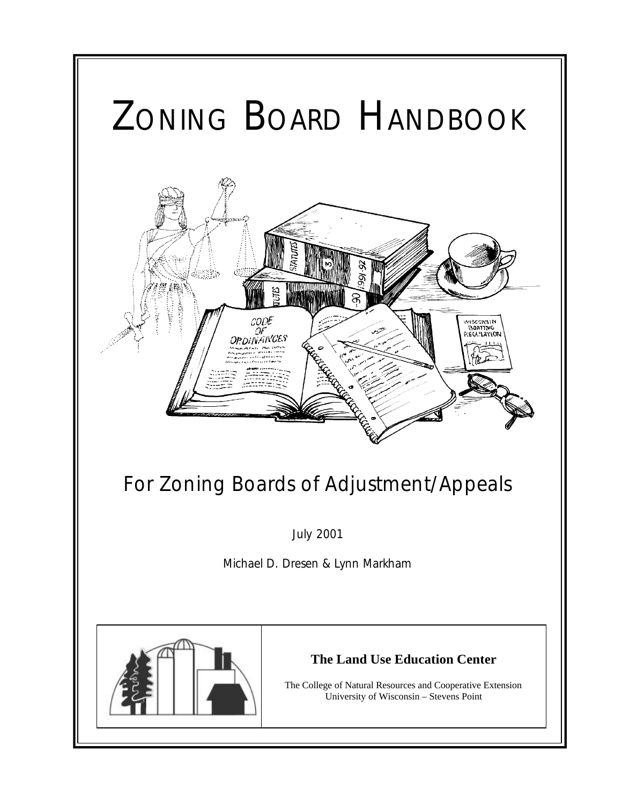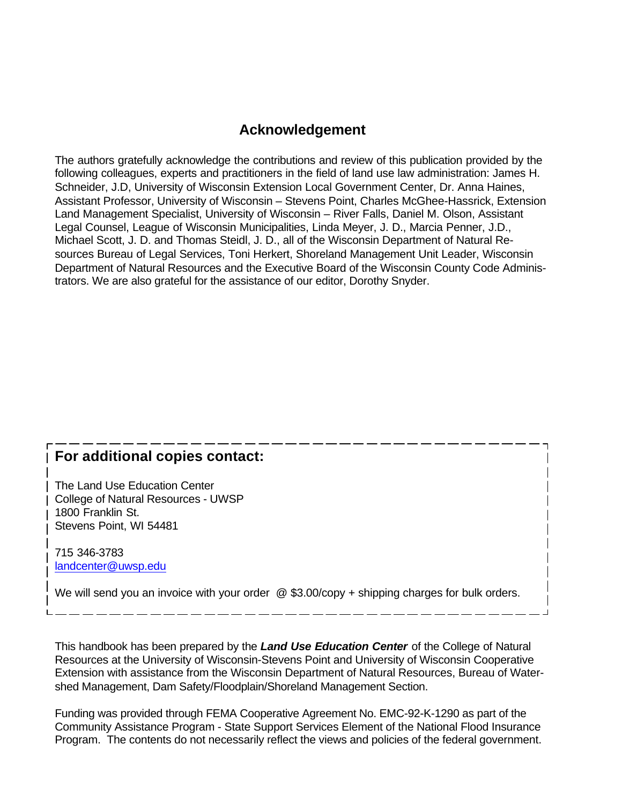### **Acknowledgement**

The authors gratefully acknowledge the contributions and review of this publication provided by the following colleagues, experts and practitioners in the field of land use law administration: James H. Schneider, J.D, University of Wisconsin Extension Local Government Center, Dr. Anna Haines, Assistant Professor, University of Wisconsin – Stevens Point, Charles McGhee-Hassrick, Extension Land Management Specialist, University of Wisconsin – River Falls, Daniel M. Olson, Assistant Legal Counsel, League of Wisconsin Municipalities, Linda Meyer, J. D., Marcia Penner, J.D., Michael Scott, J. D. and Thomas Steidl, J. D., all of the Wisconsin Department of Natural Resources Bureau of Legal Services, Toni Herkert, Shoreland Management Unit Leader, Wisconsin Department of Natural Resources and the Executive Board of the Wisconsin County Code Administrators. We are also grateful for the assistance of our editor, Dorothy Snyder.

### **For additional copies contact:**

The Land Use Education Center College of Natural Resources - UWSP 1800 Franklin St. Stevens Point, WI 54481

715 346-3783 landcenter@uwsp.edu

We will send you an invoice with your order @ \$3.00/copy + shipping charges for bulk orders.

This handbook has been prepared by the *Land Use Education Center* of the College of Natural Resources at the University of Wisconsin-Stevens Point and University of Wisconsin Cooperative Extension with assistance from the Wisconsin Department of Natural Resources, Bureau of Watershed Management, Dam Safety/Floodplain/Shoreland Management Section.

Funding was provided through FEMA Cooperative Agreement No. EMC-92-K-1290 as part of the Community Assistance Program - State Support Services Element of the National Flood Insurance Program. The contents do not necessarily reflect the views and policies of the federal government.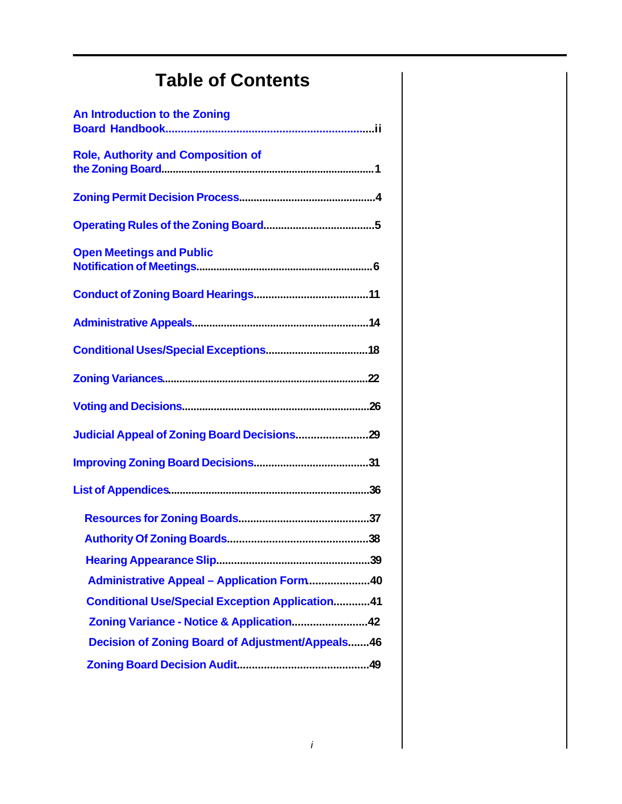# **Table of Contents**

| An Introduction to the Zoning                          |
|--------------------------------------------------------|
| <b>Role, Authority and Composition of</b>              |
|                                                        |
|                                                        |
| <b>Open Meetings and Public</b>                        |
|                                                        |
|                                                        |
|                                                        |
|                                                        |
|                                                        |
|                                                        |
|                                                        |
|                                                        |
|                                                        |
|                                                        |
| 39                                                     |
| Administrative Appeal - Application Form40             |
| <b>Conditional Use/Special Exception Application41</b> |
| Zoning Variance - Notice & Application42               |
| Decision of Zoning Board of Adjustment/Appeals46       |
|                                                        |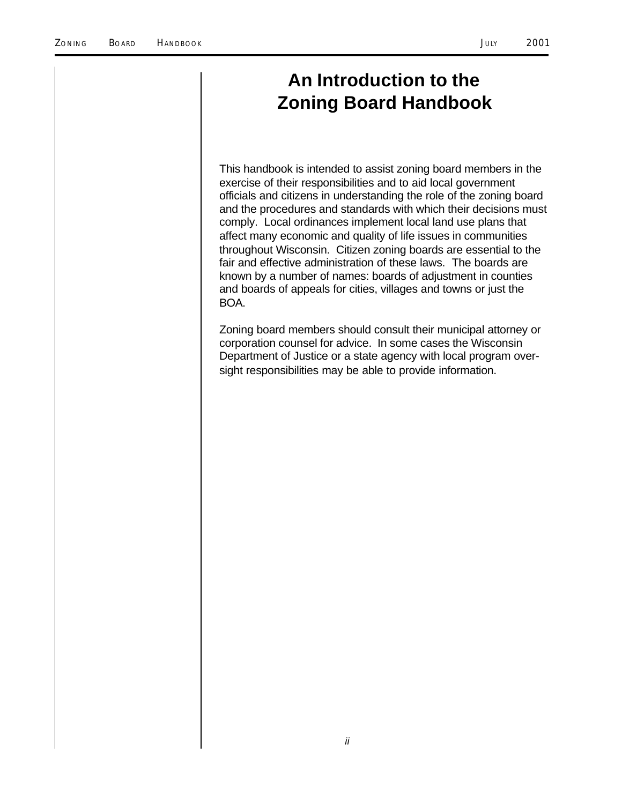### **An Introduction to the Zoning Board Handbook**

This handbook is intended to assist zoning board members in the exercise of their responsibilities and to aid local government officials and citizens in understanding the role of the zoning board and the procedures and standards with which their decisions must comply. Local ordinances implement local land use plans that affect many economic and quality of life issues in communities throughout Wisconsin. Citizen zoning boards are essential to the fair and effective administration of these laws. The boards are known by a number of names: boards of adjustment in counties and boards of appeals for cities, villages and towns or just the BOA.

Zoning board members should consult their municipal attorney or corporation counsel for advice. In some cases the Wisconsin Department of Justice or a state agency with local program oversight responsibilities may be able to provide information.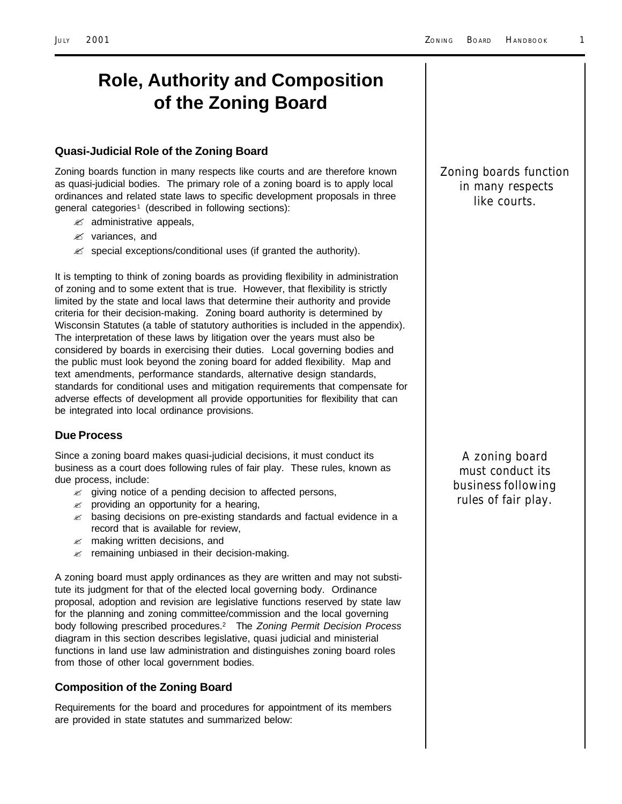## **Role, Authority and Composition of the Zoning Board**

#### **Quasi-Judicial Role of the Zoning Board**

Zoning boards function in many respects like courts and are therefore known as quasi-judicial bodies. The primary role of a zoning board is to apply local ordinances and related state laws to specific development proposals in three general categories<sup>1</sup> (described in following sections):

- $\mathscr{L}$  administrative appeals,
- $\mathscr{\mathscr{L}}$  variances, and
- $\mathscr{L}$  special exceptions/conditional uses (if granted the authority).

It is tempting to think of zoning boards as providing flexibility in administration of zoning and to some extent that is true. However, that flexibility is strictly limited by the state and local laws that determine their authority and provide criteria for their decision-making. Zoning board authority is determined by Wisconsin Statutes (a table of statutory authorities is included in the appendix). The interpretation of these laws by litigation over the years must also be considered by boards in exercising their duties. Local governing bodies and the public must look beyond the zoning board for added flexibility. Map and text amendments, performance standards, alternative design standards, standards for conditional uses and mitigation requirements that compensate for adverse effects of development all provide opportunities for flexibility that can be integrated into local ordinance provisions.

#### **Due Process**

Since a zoning board makes quasi-judicial decisions, it must conduct its business as a court does following rules of fair play. These rules, known as due process, include:

- $\mathbb{Z}$  giving notice of a pending decision to affected persons,
- $\mathscr{A}$  providing an opportunity for a hearing,
- $\mathscr{A}$  basing decisions on pre-existing standards and factual evidence in a record that is available for review,
- $\mathscr{L}$  making written decisions, and
- $\mathscr Z$  remaining unbiased in their decision-making.

A zoning board must apply ordinances as they are written and may not substitute its judgment for that of the elected local governing body. Ordinance proposal, adoption and revision are legislative functions reserved by state law for the planning and zoning committee/commission and the local governing body following prescribed procedures.<sup>2</sup> The *Zoning Permit Decision Process* diagram in this section describes legislative, quasi judicial and ministerial functions in land use law administration and distinguishes zoning board roles from those of other local government bodies.

#### **Composition of the Zoning Board**

Requirements for the board and procedures for appointment of its members are provided in state statutes and summarized below:

*Zoning boards function in many respects like courts.*

> *A zoning board must conduct its business following rules of fair play.*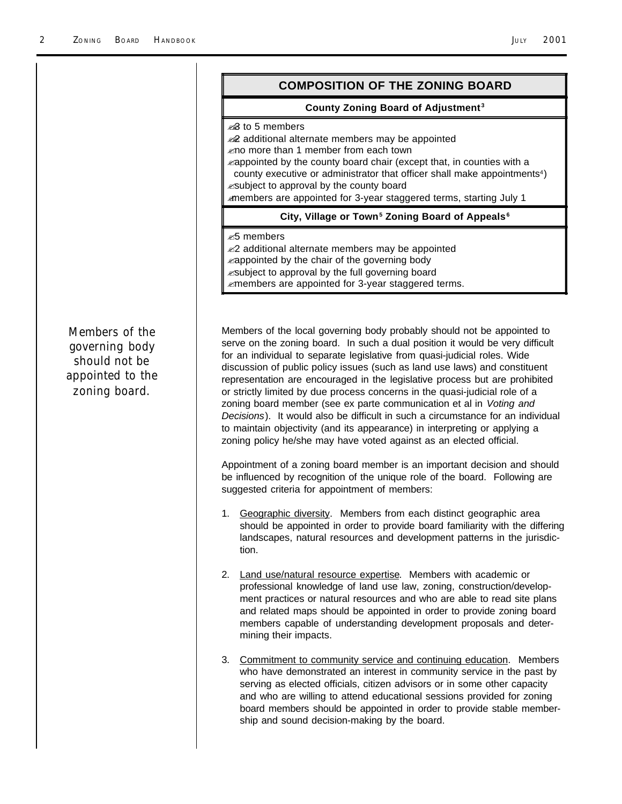|                                                                                               | <b>COMPOSITION OF THE ZONING BOARD</b>                                                                                                                                                                                                                                                                                                                                                                                                                                                                                                                                                                                                      |
|-----------------------------------------------------------------------------------------------|---------------------------------------------------------------------------------------------------------------------------------------------------------------------------------------------------------------------------------------------------------------------------------------------------------------------------------------------------------------------------------------------------------------------------------------------------------------------------------------------------------------------------------------------------------------------------------------------------------------------------------------------|
|                                                                                               | County Zoning Board of Adjustment <sup>3</sup>                                                                                                                                                                                                                                                                                                                                                                                                                                                                                                                                                                                              |
|                                                                                               | <b>∞</b> 8 to 5 members<br>additional alternate members may be appointed<br>kmo more than 1 member from each town<br>kappointed by the county board chair (except that, in counties with a<br>county executive or administrator that officer shall make appointments <sup>4</sup> )<br>esubject to approval by the county board<br>members are appointed for 3-year staggered terms, starting July 1                                                                                                                                                                                                                                        |
|                                                                                               | City, Village or Town <sup>5</sup> Zoning Board of Appeals <sup>6</sup>                                                                                                                                                                                                                                                                                                                                                                                                                                                                                                                                                                     |
|                                                                                               | <i>≥</i> 5 members<br>≤2 additional alternate members may be appointed<br>kappointed by the chair of the governing body<br><i>k</i> subject to approval by the full governing board<br>zmembers are appointed for 3-year staggered terms.                                                                                                                                                                                                                                                                                                                                                                                                   |
| <b>Members of the</b><br>governing body<br>should not be<br>appointed to the<br>zoning board. | Members of the local governing body probably should not be appointed to<br>serve on the zoning board. In such a dual position it would be very difficult<br>for an individual to separate legislative from quasi-judicial roles. Wide<br>discussion of public policy issues (such as land use laws) and constituent<br>representation are encouraged in the legislative process but are prohibited<br>or strictly limited by due process concerns in the quasi-judicial role of a<br>zoning board member (see ex parte communication et al in Voting and<br>Decisions). It would also be difficult in such a circumstance for an individual |

Appointment of a zoning board member is an important decision and should be influenced by recognition of the unique role of the board. Following are suggested criteria for appointment of members:

to maintain objectivity (and its appearance) in interpreting or applying a zoning policy he/she may have voted against as an elected official.

- 1. Geographic diversity. Members from each distinct geographic area should be appointed in order to provide board familiarity with the differing landscapes, natural resources and development patterns in the jurisdiction.
- 2. Land use/natural resource expertise. Members with academic or professional knowledge of land use law, zoning, construction/development practices or natural resources and who are able to read site plans and related maps should be appointed in order to provide zoning board members capable of understanding development proposals and determining their impacts.
- 3. Commitment to community service and continuing education. Members who have demonstrated an interest in community service in the past by serving as elected officials, citizen advisors or in some other capacity and who are willing to attend educational sessions provided for zoning board members should be appointed in order to provide stable membership and sound decision-making by the board.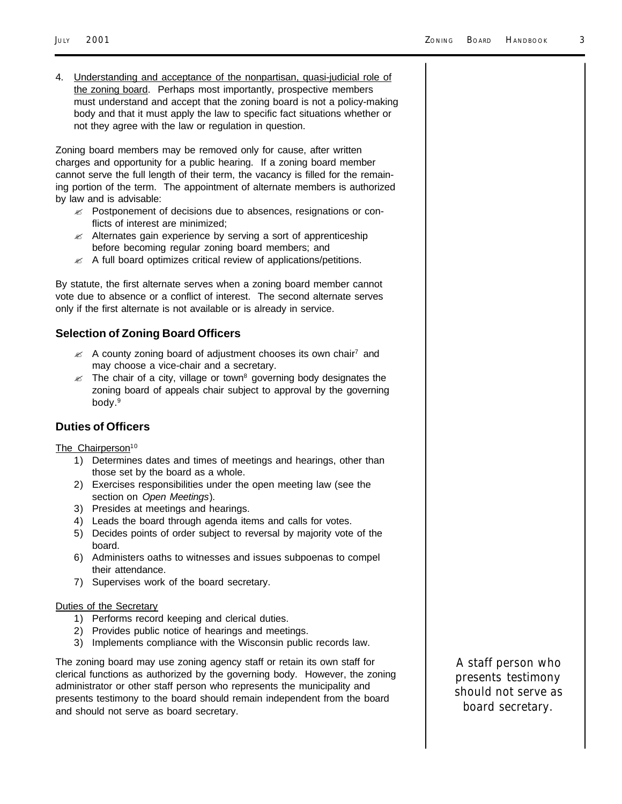4. Understanding and acceptance of the nonpartisan, quasi-judicial role of the zoning board. Perhaps most importantly, prospective members must understand and accept that the zoning board is not a policy-making body and that it must apply the law to specific fact situations whether or not they agree with the law or regulation in question.

Zoning board members may be removed only for cause, after written charges and opportunity for a public hearing. If a zoning board member cannot serve the full length of their term, the vacancy is filled for the remaining portion of the term. The appointment of alternate members is authorized by law and is advisable:

- $\mathscr{L}$  Postponement of decisions due to absences, resignations or conflicts of interest are minimized;
- $\mathscr{A}$  Alternates gain experience by serving a sort of apprenticeship before becoming regular zoning board members; and
- $\mathbb Z$  A full board optimizes critical review of applications/petitions.

By statute, the first alternate serves when a zoning board member cannot vote due to absence or a conflict of interest. The second alternate serves only if the first alternate is not available or is already in service.

#### **Selection of Zoning Board Officers**

- $\mathbb Z$  A county zoning board of adjustment chooses its own chair<sup>7</sup> and may choose a vice-chair and a secretary.
- $\mathbb Z$  The chair of a city, village or town<sup>8</sup> governing body designates the zoning board of appeals chair subject to approval by the governing body.<sup>9</sup>

#### **Duties of Officers**

The Chairperson<sup>10</sup>

- 1) Determines dates and times of meetings and hearings, other than those set by the board as a whole.
- 2) Exercises responsibilities under the open meeting law (see the section on *Open Meetings*).
- 3) Presides at meetings and hearings.
- 4) Leads the board through agenda items and calls for votes.
- 5) Decides points of order subject to reversal by majority vote of the board.
- 6) Administers oaths to witnesses and issues subpoenas to compel their attendance.
- 7) Supervises work of the board secretary.

#### Duties of the Secretary

- 1) Performs record keeping and clerical duties.
- 2) Provides public notice of hearings and meetings.
- 3) Implements compliance with the Wisconsin public records law.

The zoning board may use zoning agency staff or retain its own staff for clerical functions as authorized by the governing body. However, the zoning administrator or other staff person who represents the municipality and presents testimony to the board should remain independent from the board and should not serve as board secretary.

*A staff person who presents testimony should not serve as board secretary.*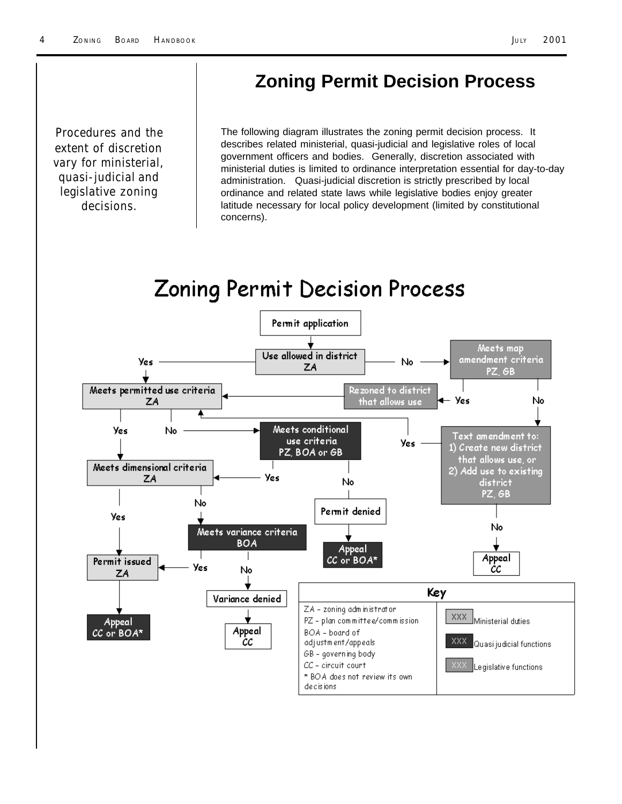### **Zoning Permit Decision Process**

*Procedures and the extent of discretion vary for ministerial, quasi-judicial and legislative zoning decisions.*

The following diagram illustrates the zoning permit decision process. It describes related ministerial, quasi-judicial and legislative roles of local government officers and bodies. Generally, discretion associated with ministerial duties is limited to ordinance interpretation essential for day-to-day administration. Quasi-judicial discretion is strictly prescribed by local ordinance and related state laws while legislative bodies enjoy greater latitude necessary for local policy development (limited by constitutional concerns).

# **Zoning Permit Decision Process**

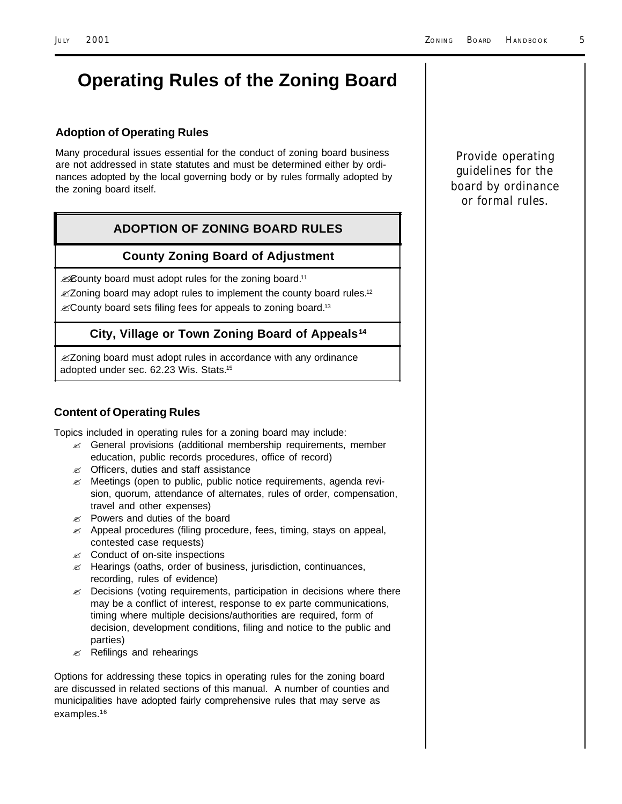# **Operating Rules of the Zoning Board**

#### **Adoption of Operating Rules**

Many procedural issues essential for the conduct of zoning board business are not addressed in state statutes and must be determined either by ordinances adopted by the local governing body or by rules formally adopted by the zoning board itself.

#### **ADOPTION OF ZONING BOARD RULES**

#### **County Zoning Board of Adjustment**

*.*County board must adopt rules for the zoning board.<sup>11</sup>

**EX2** oning board may adopt rules to implement the county board rules.<sup>12</sup>  $\mathscr{L}$ County board sets filing fees for appeals to zoning board.<sup>13</sup>

#### **City, Village or Town Zoning Board of Appeals<sup>14</sup>**

**Zoning board must adopt rules in accordance with any ordinance** adopted under sec. 62.23 Wis. Stats.<sup>15</sup>

#### **Content of Operating Rules**

Topics included in operating rules for a zoning board may include:

- $\mathscr{L}$  General provisions (additional membership requirements, member education, public records procedures, office of record)
- $\mathscr{A}$  Officers, duties and staff assistance
- $\mathscr{A}$  Meetings (open to public, public notice requirements, agenda revision, quorum, attendance of alternates, rules of order, compensation, travel and other expenses)
- $\mathscr{L}$  Powers and duties of the board
- $\mathcal{L}$  Appeal procedures (filing procedure, fees, timing, stays on appeal, contested case requests)
- $\mathbb{Z}$  Conduct of on-site inspections
- $\mathbb Z$  Hearings (oaths, order of business, jurisdiction, continuances, recording, rules of evidence)
- $\mathscr{L}$  Decisions (voting requirements, participation in decisions where there may be a conflict of interest, response to ex parte communications, timing where multiple decisions/authorities are required, form of decision, development conditions, filing and notice to the public and parties)
- $\mathscr{A}$  Refilings and rehearings

Options for addressing these topics in operating rules for the zoning board are discussed in related sections of this manual. A number of counties and municipalities have adopted fairly comprehensive rules that may serve as examples.<sup>16</sup>

*Provide operating guidelines for the board by ordinance or formal rules.*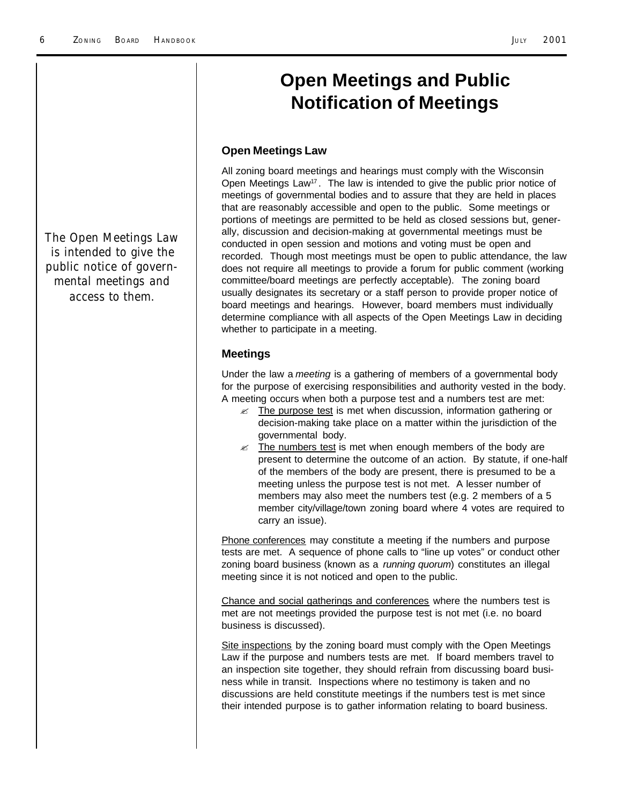### **Open Meetings and Public Notification of Meetings**

#### **Open Meetings Law**

All zoning board meetings and hearings must comply with the Wisconsin Open Meetings Law<sup>17</sup>. The law is intended to give the public prior notice of meetings of governmental bodies and to assure that they are held in places that are reasonably accessible and open to the public. Some meetings or portions of meetings are permitted to be held as closed sessions but, generally, discussion and decision-making at governmental meetings must be conducted in open session and motions and voting must be open and recorded. Though most meetings must be open to public attendance, the law does not require all meetings to provide a forum for public comment (working committee/board meetings are perfectly acceptable). The zoning board usually designates its secretary or a staff person to provide proper notice of board meetings and hearings. However, board members must individually determine compliance with all aspects of the Open Meetings Law in deciding whether to participate in a meeting.

#### **Meetings**

Under the law a *meeting* is a gathering of members of a governmental body for the purpose of exercising responsibilities and authority vested in the body. A meeting occurs when both a purpose test and a numbers test are met:

- $\mathbb Z$  The purpose test is met when discussion, information gathering or decision-making take place on a matter within the jurisdiction of the governmental body.
- $\mathbb Z$  The numbers test is met when enough members of the body are present to determine the outcome of an action. By statute, if one-half of the members of the body are present, there is presumed to be a meeting unless the purpose test is not met. A lesser number of members may also meet the numbers test (e.g. 2 members of a 5 member city/village/town zoning board where 4 votes are required to carry an issue).

Phone conferences may constitute a meeting if the numbers and purpose tests are met. A sequence of phone calls to "line up votes" or conduct other zoning board business (known as a *running quorum*) constitutes an illegal meeting since it is not noticed and open to the public.

Chance and social gatherings and conferences where the numbers test is met are not meetings provided the purpose test is not met (i.e. no board business is discussed).

Site inspections by the zoning board must comply with the Open Meetings Law if the purpose and numbers tests are met. If board members travel to an inspection site together, they should refrain from discussing board business while in transit. Inspections where no testimony is taken and no discussions are held constitute meetings if the numbers test is met since their intended purpose is to gather information relating to board business.

*The Open Meetings Law is intended to give the public notice of governmental meetings and access to them.*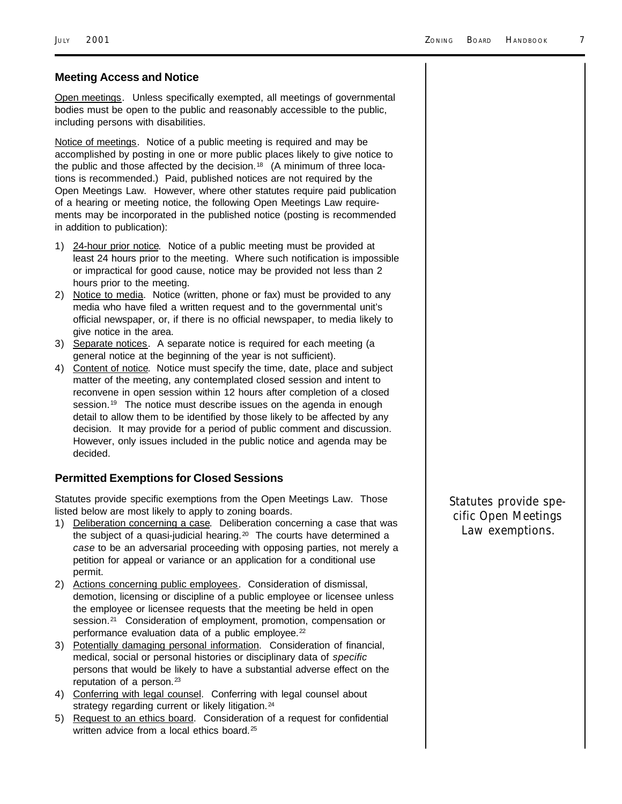#### **Meeting Access and Notice**

Open meetings. Unless specifically exempted, all meetings of governmental bodies must be open to the public and reasonably accessible to the public, including persons with disabilities.

Notice of meetings. Notice of a public meeting is required and may be accomplished by posting in one or more public places likely to give notice to the public and those affected by the decision.<sup>18</sup> (A minimum of three locations is recommended.) Paid, published notices are not required by the Open Meetings Law. However, where other statutes require paid publication of a hearing or meeting notice, the following Open Meetings Law requirements may be incorporated in the published notice (posting is recommended in addition to publication):

- 1) 24-hour prior notice. Notice of a public meeting must be provided at least 24 hours prior to the meeting. Where such notification is impossible or impractical for good cause, notice may be provided not less than 2 hours prior to the meeting.
- 2) Notice to media. Notice (written, phone or fax) must be provided to any media who have filed a written request and to the governmental unit's official newspaper, or, if there is no official newspaper, to media likely to give notice in the area.
- 3) Separate notices. A separate notice is required for each meeting (a general notice at the beginning of the year is not sufficient).
- 4) Content of notice. Notice must specify the time, date, place and subject matter of the meeting, any contemplated closed session and intent to reconvene in open session within 12 hours after completion of a closed session.<sup>19</sup> The notice must describe issues on the agenda in enough detail to allow them to be identified by those likely to be affected by any decision. It may provide for a period of public comment and discussion. However, only issues included in the public notice and agenda may be decided.

#### **Permitted Exemptions for Closed Sessions**

Statutes provide specific exemptions from the Open Meetings Law. Those listed below are most likely to apply to zoning boards.

- 1) Deliberation concerning a case. Deliberation concerning a case that was the subject of a quasi-judicial hearing. $20$  The courts have determined a *case* to be an adversarial proceeding with opposing parties, not merely a petition for appeal or variance or an application for a conditional use permit.
- 2) Actions concerning public employees. Consideration of dismissal, demotion, licensing or discipline of a public employee or licensee unless the employee or licensee requests that the meeting be held in open session.<sup>21</sup> Consideration of employment, promotion, compensation or performance evaluation data of a public employee.<sup>22</sup>
- 3) Potentially damaging personal information. Consideration of financial, medical, social or personal histories or disciplinary data of *specific* persons that would be likely to have a substantial adverse effect on the reputation of a person. $23$
- 4) Conferring with legal counsel. Conferring with legal counsel about strategy regarding current or likely litigation.<sup>24</sup>
- 5) Request to an ethics board. Consideration of a request for confidential written advice from a local ethics board.<sup>25</sup>

*Statutes provide specific Open Meetings Law exemptions.*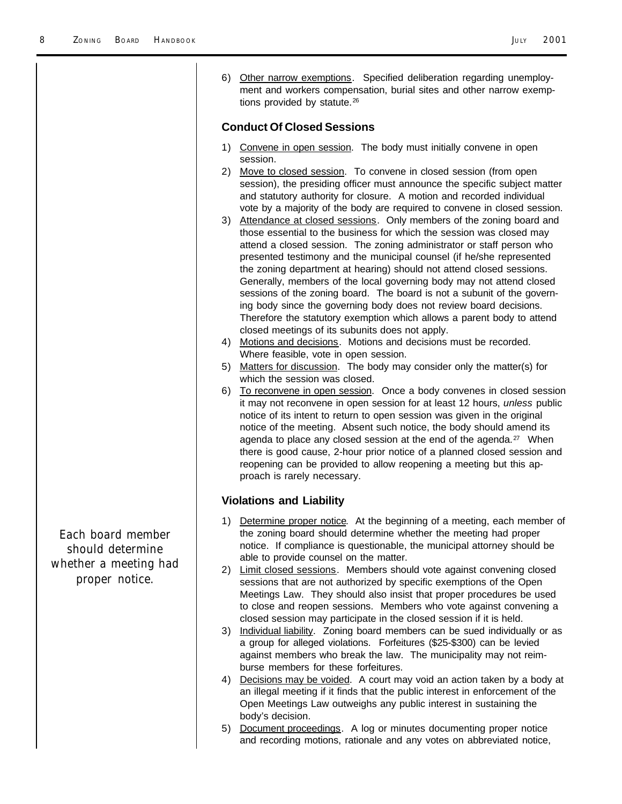| Other narrow exemptions. Specified deliberation regarding unemploy-<br>6)<br>ment and workers compensation, burial sites and other narrow exemp-<br>tions provided by statute. <sup>26</sup>                                                                                                                                                                                                                                                                                                                                                                                                                                                                                                                                                                                                                                                                                                                                                                                                                                                                                                                                                                                                                                                                                                                                                                                                                                                                                                                                                                                                                                                                                                                                                                                                                                                                                                                                                  |
|-----------------------------------------------------------------------------------------------------------------------------------------------------------------------------------------------------------------------------------------------------------------------------------------------------------------------------------------------------------------------------------------------------------------------------------------------------------------------------------------------------------------------------------------------------------------------------------------------------------------------------------------------------------------------------------------------------------------------------------------------------------------------------------------------------------------------------------------------------------------------------------------------------------------------------------------------------------------------------------------------------------------------------------------------------------------------------------------------------------------------------------------------------------------------------------------------------------------------------------------------------------------------------------------------------------------------------------------------------------------------------------------------------------------------------------------------------------------------------------------------------------------------------------------------------------------------------------------------------------------------------------------------------------------------------------------------------------------------------------------------------------------------------------------------------------------------------------------------------------------------------------------------------------------------------------------------|
| <b>Conduct Of Closed Sessions</b>                                                                                                                                                                                                                                                                                                                                                                                                                                                                                                                                                                                                                                                                                                                                                                                                                                                                                                                                                                                                                                                                                                                                                                                                                                                                                                                                                                                                                                                                                                                                                                                                                                                                                                                                                                                                                                                                                                             |
| 1) Convene in open session. The body must initially convene in open<br>session.<br>Move to closed session. To convene in closed session (from open<br>2)<br>session), the presiding officer must announce the specific subject matter<br>and statutory authority for closure. A motion and recorded individual<br>vote by a majority of the body are required to convene in closed session.<br>3) Attendance at closed sessions. Only members of the zoning board and<br>those essential to the business for which the session was closed may<br>attend a closed session. The zoning administrator or staff person who<br>presented testimony and the municipal counsel (if he/she represented<br>the zoning department at hearing) should not attend closed sessions.<br>Generally, members of the local governing body may not attend closed<br>sessions of the zoning board. The board is not a subunit of the govern-<br>ing body since the governing body does not review board decisions.<br>Therefore the statutory exemption which allows a parent body to attend<br>closed meetings of its subunits does not apply.<br>4) Motions and decisions. Motions and decisions must be recorded.<br>Where feasible, vote in open session.<br>Matters for discussion. The body may consider only the matter(s) for<br>5)<br>which the session was closed.<br>To reconvene in open session. Once a body convenes in closed session<br>6)<br>it may not reconvene in open session for at least 12 hours, unless public<br>notice of its intent to return to open session was given in the original<br>notice of the meeting. Absent such notice, the body should amend its<br>agenda to place any closed session at the end of the agenda. <sup>27</sup> When<br>there is good cause, 2-hour prior notice of a planned closed session and<br>reopening can be provided to allow reopening a meeting but this ap-<br>proach is rarely necessary. |
| <b>Violations and Liability</b>                                                                                                                                                                                                                                                                                                                                                                                                                                                                                                                                                                                                                                                                                                                                                                                                                                                                                                                                                                                                                                                                                                                                                                                                                                                                                                                                                                                                                                                                                                                                                                                                                                                                                                                                                                                                                                                                                                               |
| Determine proper notice. At the beginning of a meeting, each member of<br>1)<br>the zoning board should determine whether the meeting had proper<br>notice. If compliance is questionable, the municipal attorney should be<br>able to provide counsel on the matter.<br>2) Limit closed sessions. Members should vote against convening closed<br>sessions that are not authorized by specific exemptions of the Open<br>Meetings Law. They should also insist that proper procedures be used<br>to close and reopen sessions. Members who vote against convening a<br>closed session may participate in the closed session if it is held.<br>Individual liability. Zoning board members can be sued individually or as<br>3)<br>a group for alleged violations. Forfeitures (\$25-\$300) can be levied<br>against members who break the law. The municipality may not reim-<br>burse members for these forfeitures.<br>Decisions may be voided. A court may void an action taken by a body at<br>4)<br>an illegal meeting if it finds that the public interest in enforcement of the<br>Open Meetings Law outweighs any public interest in sustaining the<br>body's decision.<br>Document proceedings. A log or minutes documenting proper notice<br>5)<br>and recording motions, rationale and any votes on abbreviated notice,                                                                                                                                                                                                                                                                                                                                                                                                                                                                                                                                                                                                            |
|                                                                                                                                                                                                                                                                                                                                                                                                                                                                                                                                                                                                                                                                                                                                                                                                                                                                                                                                                                                                                                                                                                                                                                                                                                                                                                                                                                                                                                                                                                                                                                                                                                                                                                                                                                                                                                                                                                                                               |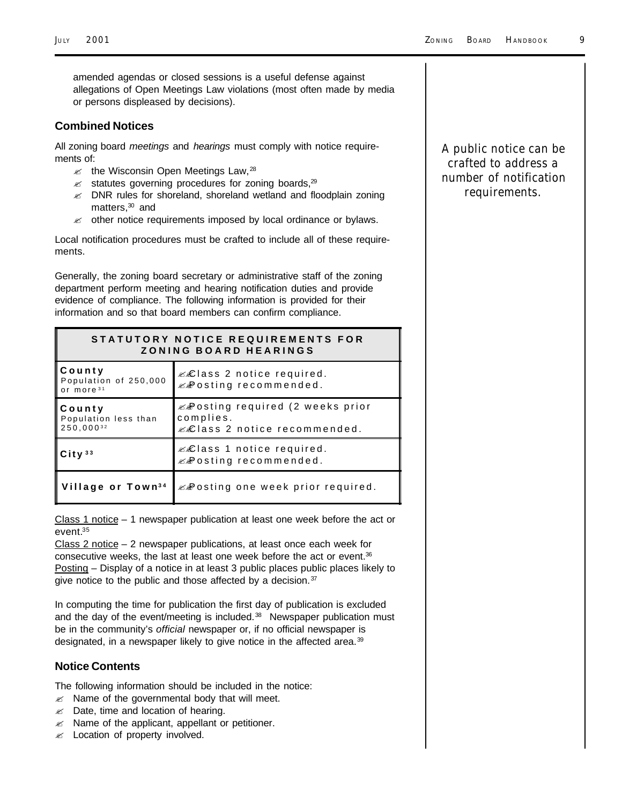amended agendas or closed sessions is a useful defense against allegations of Open Meetings Law violations (most often made by media or persons displeased by decisions).

#### **Combined Notices**

All zoning board *meetings* and *hearings* must comply with notice requirements of:

- $\approx$  the Wisconsin Open Meetings Law,  $^{28}$
- $\approx$  statutes governing procedures for zoning boards,  $29$
- $\mathscr{L}$  DNR rules for shoreland, shoreland wetland and floodplain zoning matters,<sup>30</sup> and
- $\mathscr{A}$  other notice requirements imposed by local ordinance or bylaws.

Local notification procedures must be crafted to include all of these requirements.

Generally, the zoning board secretary or administrative staff of the zoning department perform meeting and hearing notification duties and provide evidence of compliance. The following information is provided for their information and so that board members can confirm compliance.

| STATUTORY NOTICE REQUIREMENTS FOR<br>ZONING BOARD HEARINGS |                                                                                           |  |  |
|------------------------------------------------------------|-------------------------------------------------------------------------------------------|--|--|
| County<br>Population of 250,000<br>or more <sup>31</sup>   | &&lass 2 notice required.<br><b>E</b> osting recommended.                                 |  |  |
| County<br>Population less than<br>250.00032                | $\mathbb{Z}$ osting required (2 weeks prior<br>complies.<br>& Class 2 notice recommended. |  |  |
| City <sup>33</sup>                                         | &&lass 1 notice required.<br>& Posting recommended.                                       |  |  |
| Village or Town <sup>34</sup>                              | & Posting one week prior required.                                                        |  |  |

Class 1 notice  $-1$  newspaper publication at least one week before the act or event.<sup>35</sup>

Class 2 notice – 2 newspaper publications, at least once each week for consecutive weeks, the last at least one week before the act or event.<sup>36</sup> Posting – Display of a notice in at least 3 public places public places likely to give notice to the public and those affected by a decision. $37$ 

In computing the time for publication the first day of publication is excluded and the day of the event/meeting is included. $38$  Newspaper publication must be in the community's *official* newspaper or, if no official newspaper is designated, in a newspaper likely to give notice in the affected area.<sup>39</sup>

#### **Notice Contents**

The following information should be included in the notice:

- $\mathbb Z$  Name of the governmental body that will meet.
- $\mathscr{A}$  Date, time and location of hearing.
- $\mathscr{A}$  Name of the applicant, appellant or petitioner.
- $\mathscr{A}$  Location of property involved.

*A public notice can be crafted to address a number of notification requirements.*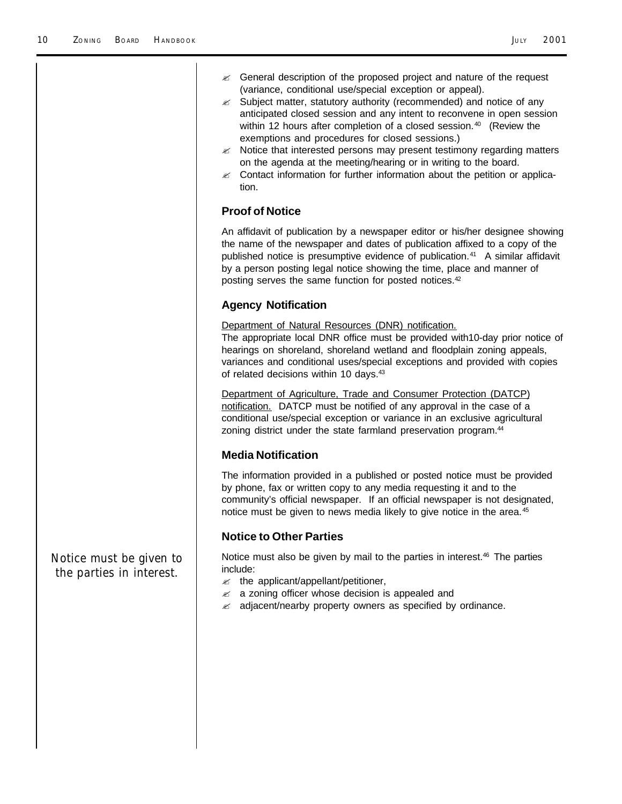|                                                     | $\mathbb{Z}$ General description of the proposed project and nature of the request<br>(variance, conditional use/special exception or appeal).<br>$\mathscr{A}$ Subject matter, statutory authority (recommended) and notice of any<br>anticipated closed session and any intent to reconvene in open session<br>within 12 hours after completion of a closed session. <sup>40</sup> (Review the<br>exemptions and procedures for closed sessions.)<br>$\mathscr{A}$ Notice that interested persons may present testimony regarding matters<br>on the agenda at the meeting/hearing or in writing to the board.<br>Contact information for further information about the petition or applica-<br>≤<br>tion. |  |  |  |
|-----------------------------------------------------|-------------------------------------------------------------------------------------------------------------------------------------------------------------------------------------------------------------------------------------------------------------------------------------------------------------------------------------------------------------------------------------------------------------------------------------------------------------------------------------------------------------------------------------------------------------------------------------------------------------------------------------------------------------------------------------------------------------|--|--|--|
|                                                     | <b>Proof of Notice</b><br>An affidavit of publication by a newspaper editor or his/her designee showing<br>the name of the newspaper and dates of publication affixed to a copy of the<br>published notice is presumptive evidence of publication. <sup>41</sup> A similar affidavit<br>by a person posting legal notice showing the time, place and manner of<br>posting serves the same function for posted notices. <sup>42</sup>                                                                                                                                                                                                                                                                        |  |  |  |
|                                                     |                                                                                                                                                                                                                                                                                                                                                                                                                                                                                                                                                                                                                                                                                                             |  |  |  |
|                                                     | <b>Agency Notification</b>                                                                                                                                                                                                                                                                                                                                                                                                                                                                                                                                                                                                                                                                                  |  |  |  |
|                                                     | Department of Natural Resources (DNR) notification.<br>The appropriate local DNR office must be provided with10-day prior notice of<br>hearings on shoreland, shoreland wetland and floodplain zoning appeals,<br>variances and conditional uses/special exceptions and provided with copies<br>of related decisions within 10 days. <sup>43</sup>                                                                                                                                                                                                                                                                                                                                                          |  |  |  |
|                                                     | Department of Agriculture, Trade and Consumer Protection (DATCP)<br>notification. DATCP must be notified of any approval in the case of a<br>conditional use/special exception or variance in an exclusive agricultural<br>zoning district under the state farmland preservation program. <sup>44</sup>                                                                                                                                                                                                                                                                                                                                                                                                     |  |  |  |
|                                                     | <b>Media Notification</b>                                                                                                                                                                                                                                                                                                                                                                                                                                                                                                                                                                                                                                                                                   |  |  |  |
|                                                     | The information provided in a published or posted notice must be provided<br>by phone, fax or written copy to any media requesting it and to the<br>community's official newspaper. If an official newspaper is not designated,<br>notice must be given to news media likely to give notice in the area. <sup>45</sup>                                                                                                                                                                                                                                                                                                                                                                                      |  |  |  |
|                                                     | <b>Notice to Other Parties</b>                                                                                                                                                                                                                                                                                                                                                                                                                                                                                                                                                                                                                                                                              |  |  |  |
| Notice must be given to<br>the parties in interest. | Notice must also be given by mail to the parties in interest. <sup>46</sup> The parties<br>include:<br>$\mathscr{A}$ the applicant/appellant/petitioner,<br>a zoning officer whose decision is appealed and<br>≤<br>$\mathbb{Z}$ adjacent/nearby property owners as specified by ordinance.                                                                                                                                                                                                                                                                                                                                                                                                                 |  |  |  |
|                                                     |                                                                                                                                                                                                                                                                                                                                                                                                                                                                                                                                                                                                                                                                                                             |  |  |  |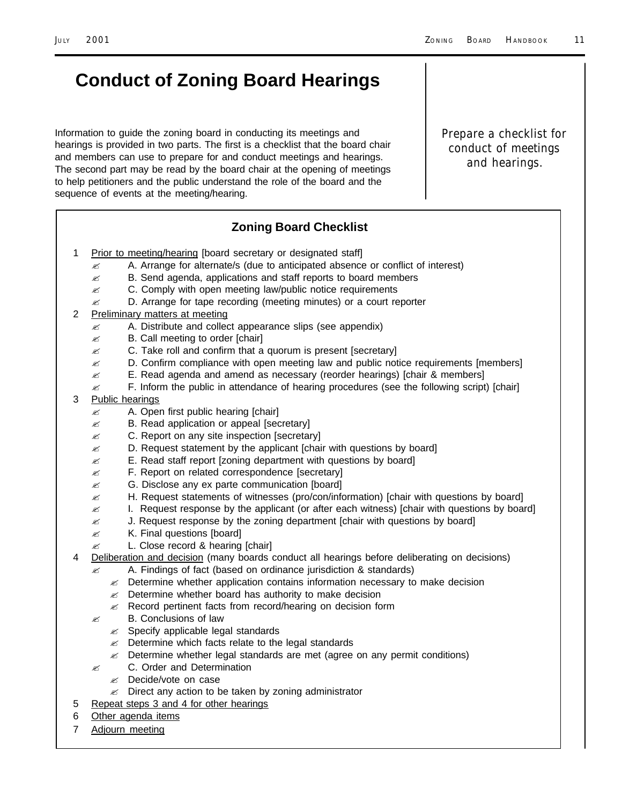*Prepare a checklist for conduct of meetings and hearings.*

# **Conduct of Zoning Board Hearings**

Information to guide the zoning board in conducting its meetings and hearings is provided in two parts. The first is a checklist that the board chair and members can use to prepare for and conduct meetings and hearings. The second part may be read by the board chair at the opening of meetings to help petitioners and the public understand the role of the board and the sequence of events at the meeting/hearing.

#### **Zoning Board Checklist**

- 1 Prior to meeting/hearing [board secretary or designated staff]
	- $\approx$  A. Arrange for alternate/s (due to anticipated absence or conflict of interest)
	- $\mathbb Z$  B. Send agenda, applications and staff reports to board members
	- $\mathscr{L}$  C. Comply with open meeting law/public notice requirements
	- $\mathbb Z$  D. Arrange for tape recording (meeting minutes) or a court reporter
- 2 Preliminary matters at meeting
	- $\mathbb{Z}$  A. Distribute and collect appearance slips (see appendix)
	- $\mathscr{E}$  B. Call meeting to order [chair]
	- $\mathbb Z$  C. Take roll and confirm that a quorum is present [secretary]
	- $\mathscr{\mathscr{L}}$  D. Confirm compliance with open meeting law and public notice requirements [members]
	- $\approx$  E. Read agenda and amend as necessary (reorder hearings) [chair & members]
	- $\approx$  F. Inform the public in attendance of hearing procedures (see the following script) [chair]
- 3 Public hearings
	- $\mathscr{A}$  A. Open first public hearing [chair]
	- $\mathscr{E}$  B. Read application or appeal [secretary]
	- $\mathscr{L}$  C. Report on any site inspection [secretary]
	- $\mathbb Z$  D. Request statement by the applicant [chair with questions by board]
	- $\mathscr{L}$  E. Read staff report [zoning department with questions by board]
	- $\mathscr{L}$  F. Report on related correspondence [secretary]
	- $\mathscr{L}$  G. Disclose any ex parte communication [board]
	- $\mathbb Z$  H. Request statements of witnesses (pro/con/information) [chair with questions by board]
	- $\approx$  I. Request response by the applicant (or after each witness) [chair with questions by board]
	- $\mathscr{\mathscr{L}}$  J. Request response by the zoning department [chair with questions by board]
	- $\mathbb{\mathscr{A}}$  K. Final questions [board]
	- $\approx$  L. Close record & hearing [chair]
- 4 Deliberation and decision (many boards conduct all hearings before deliberating on decisions)
	- ? A. Findings of fact (based on ordinance jurisdiction & standards)
	- $\mathscr Z$  Determine whether application contains information necessary to make decision
	- $\mathbb{Z}$  Determine whether board has authority to make decision
	- $\mathcal{L}$  Record pertinent facts from record/hearing on decision form
	- $\mathscr{L}$  B. Conclusions of law
		- $\mathscr{A}$  Specify applicable legal standards
		- $\mathscr{L}$  Determine which facts relate to the legal standards
		- $\mathscr Z$  Determine whether legal standards are met (agree on any permit conditions)
	- $\mathscr{E}$  C. Order and Determination
		- ? Decide/vote on case
		- $\mathscr{A}$  Direct any action to be taken by zoning administrator
- 5 Repeat steps 3 and 4 for other hearings
- 6 Other agenda items
- 7 Adjourn meeting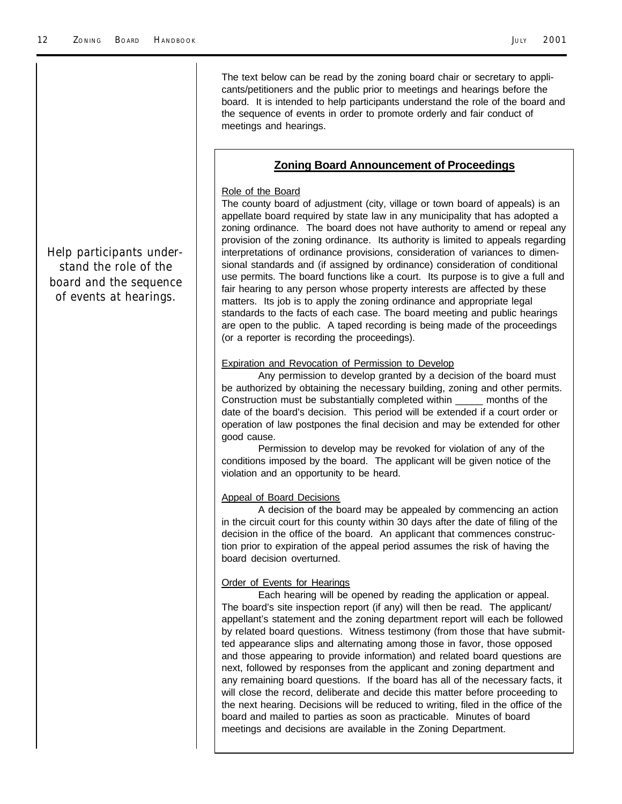The text below can be read by the zoning board chair or secretary to applicants/petitioners and the public prior to meetings and hearings before the board. It is intended to help participants understand the role of the board and the sequence of events in order to promote orderly and fair conduct of meetings and hearings.

#### **Zoning Board Announcement of Proceedings**

#### Role of the Board

The county board of adjustment (city, village or town board of appeals) is an appellate board required by state law in any municipality that has adopted a zoning ordinance. The board does not have authority to amend or repeal any provision of the zoning ordinance. Its authority is limited to appeals regarding interpretations of ordinance provisions, consideration of variances to dimensional standards and (if assigned by ordinance) consideration of conditional use permits. The board functions like a court. Its purpose is to give a full and fair hearing to any person whose property interests are affected by these matters. Its job is to apply the zoning ordinance and appropriate legal standards to the facts of each case. The board meeting and public hearings are open to the public. A taped recording is being made of the proceedings (or a reporter is recording the proceedings).

#### **Expiration and Revocation of Permission to Develop**

Any permission to develop granted by a decision of the board must be authorized by obtaining the necessary building, zoning and other permits. Construction must be substantially completed within \_\_\_\_\_ months of the date of the board's decision. This period will be extended if a court order or operation of law postpones the final decision and may be extended for other good cause.

Permission to develop may be revoked for violation of any of the conditions imposed by the board. The applicant will be given notice of the violation and an opportunity to be heard.

#### Appeal of Board Decisions

A decision of the board may be appealed by commencing an action in the circuit court for this county within 30 days after the date of filing of the decision in the office of the board. An applicant that commences construction prior to expiration of the appeal period assumes the risk of having the board decision overturned.

#### Order of Events for Hearings

Each hearing will be opened by reading the application or appeal. The board's site inspection report (if any) will then be read. The applicant/ appellant's statement and the zoning department report will each be followed by related board questions. Witness testimony (from those that have submitted appearance slips and alternating among those in favor, those opposed and those appearing to provide information) and related board questions are next, followed by responses from the applicant and zoning department and any remaining board questions. If the board has all of the necessary facts, it will close the record, deliberate and decide this matter before proceeding to the next hearing. Decisions will be reduced to writing, filed in the office of the board and mailed to parties as soon as practicable. Minutes of board meetings and decisions are available in the Zoning Department.

*Help participants understand the role of the board and the sequence of events at hearings.*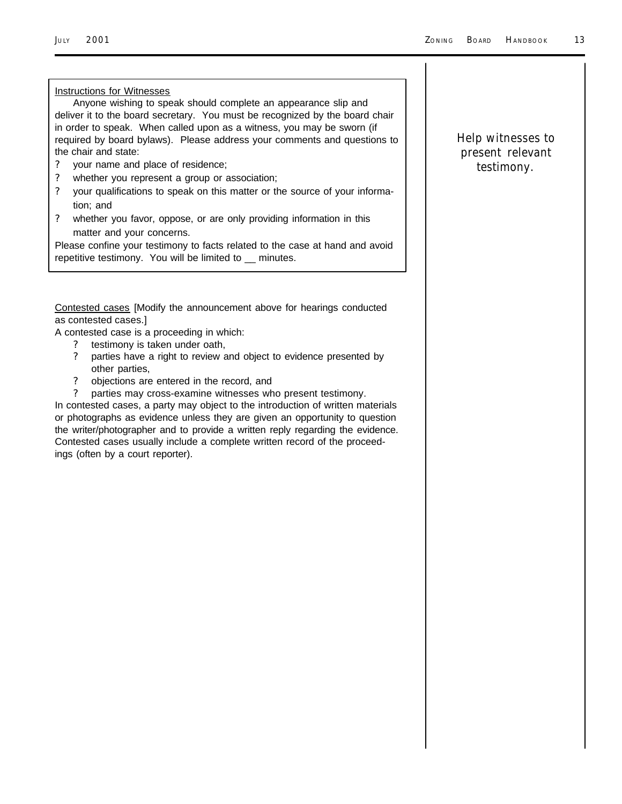#### Instructions for Witnesses

Anyone wishing to speak should complete an appearance slip and deliver it to the board secretary. You must be recognized by the board chair in order to speak. When called upon as a witness, you may be sworn (if required by board bylaws). Please address your comments and questions to the chair and state:

- ? your name and place of residence;
- ? whether you represent a group or association;
- ? your qualifications to speak on this matter or the source of your information; and
- ? whether you favor, oppose, or are only providing information in this matter and your concerns.

Please confine your testimony to facts related to the case at hand and avoid repetitive testimony. You will be limited to \_\_ minutes.

Contested cases [Modify the announcement above for hearings conducted as contested cases.]

A contested case is a proceeding in which:

- ? testimony is taken under oath,
- ? parties have a right to review and object to evidence presented by other parties,
- ? objections are entered in the record, and
- ? parties may cross-examine witnesses who present testimony.

In contested cases, a party may object to the introduction of written materials or photographs as evidence unless they are given an opportunity to question the writer/photographer and to provide a written reply regarding the evidence. Contested cases usually include a complete written record of the proceedings (often by a court reporter).

#### *Help witnesses to present relevant testimony.*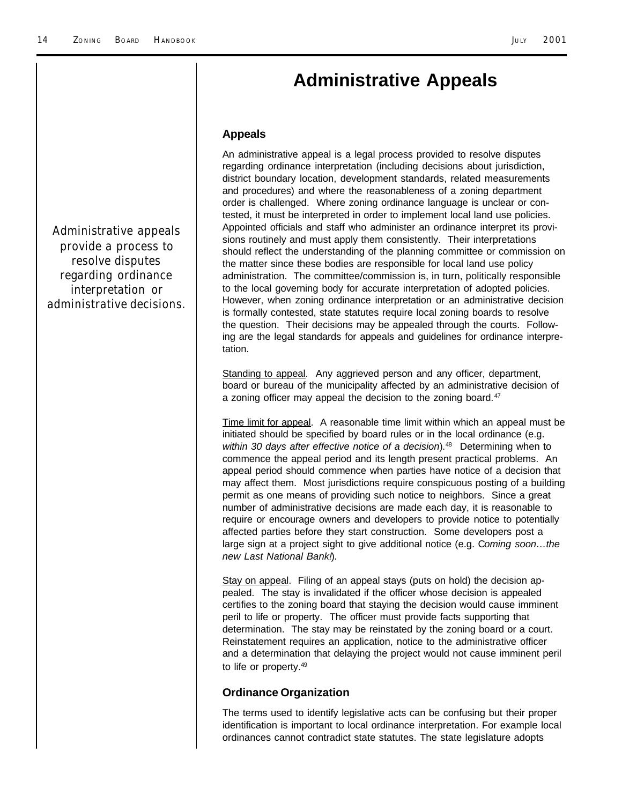### **Administrative Appeals**

#### **Appeals**

An administrative appeal is a legal process provided to resolve disputes regarding ordinance interpretation (including decisions about jurisdiction, district boundary location, development standards, related measurements and procedures) and where the reasonableness of a zoning department order is challenged. Where zoning ordinance language is unclear or contested, it must be interpreted in order to implement local land use policies. Appointed officials and staff who administer an ordinance interpret its provisions routinely and must apply them consistently. Their interpretations should reflect the understanding of the planning committee or commission on the matter since these bodies are responsible for local land use policy administration. The committee/commission is, in turn, politically responsible to the local governing body for accurate interpretation of adopted policies. However, when zoning ordinance interpretation or an administrative decision is formally contested, state statutes require local zoning boards to resolve the question. Their decisions may be appealed through the courts. Following are the legal standards for appeals and guidelines for ordinance interpretation.

Standing to appeal. Any aggrieved person and any officer, department, board or bureau of the municipality affected by an administrative decision of a zoning officer may appeal the decision to the zoning board.<sup>47</sup>

Time limit for appeal. A reasonable time limit within which an appeal must be initiated should be specified by board rules or in the local ordinance (e.g. *within 30 days after effective notice of a decision*).48 Determining when to commence the appeal period and its length present practical problems. An appeal period should commence when parties have notice of a decision that may affect them. Most jurisdictions require conspicuous posting of a building permit as one means of providing such notice to neighbors. Since a great number of administrative decisions are made each day, it is reasonable to require or encourage owners and developers to provide notice to potentially affected parties before they start construction. Some developers post a large sign at a project sight to give additional notice (e.g. C*oming soon…the new Last National Bank!*).

Stay on appeal. Filing of an appeal stays (puts on hold) the decision appealed. The stay is invalidated if the officer whose decision is appealed certifies to the zoning board that staying the decision would cause imminent peril to life or property. The officer must provide facts supporting that determination. The stay may be reinstated by the zoning board or a court. Reinstatement requires an application, notice to the administrative officer and a determination that delaying the project would not cause imminent peril to life or property.<sup>49</sup>

#### **Ordinance Organization**

The terms used to identify legislative acts can be confusing but their proper identification is important to local ordinance interpretation. For example local ordinances cannot contradict state statutes. The state legislature adopts

*Administrative appeals provide a process to resolve disputes regarding ordinance interpretation or administrative decisions.*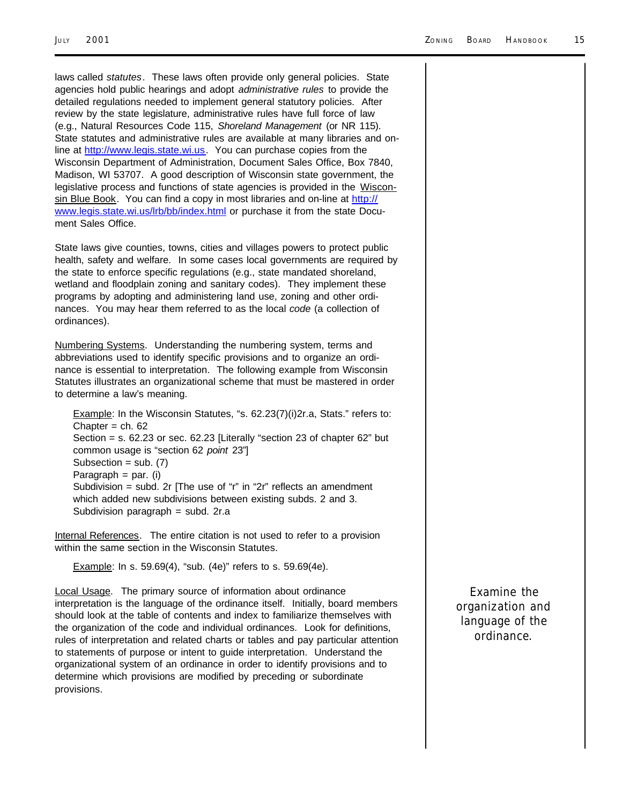laws called *statutes*. These laws often provide only general policies. State agencies hold public hearings and adopt *administrative rules* to provide the detailed regulations needed to implement general statutory policies. After review by the state legislature, administrative rules have full force of law (e.g., Natural Resources Code 115, *Shoreland Management* (or NR 115). State statutes and administrative rules are available at many libraries and online at http://www.legis.state.wi.us. You can purchase copies from the Wisconsin Department of Administration, Document Sales Office, Box 7840, Madison, WI 53707. A good description of Wisconsin state government, the legislative process and functions of state agencies is provided in the Wisconsin Blue Book. You can find a copy in most libraries and on-line at http:// www.legis.state.wi.us/lrb/bb/index.html or purchase it from the state Document Sales Office.

State laws give counties, towns, cities and villages powers to protect public health, safety and welfare. In some cases local governments are required by the state to enforce specific regulations (e.g., state mandated shoreland, wetland and floodplain zoning and sanitary codes). They implement these programs by adopting and administering land use, zoning and other ordinances. You may hear them referred to as the local *code* (a collection of ordinances).

Numbering Systems. Understanding the numbering system, terms and abbreviations used to identify specific provisions and to organize an ordinance is essential to interpretation. The following example from Wisconsin Statutes illustrates an organizational scheme that must be mastered in order to determine a law's meaning.

Example: In the Wisconsin Statutes, "s. 62.23(7)(i)2r.a, Stats." refers to: Chapter  $=$  ch. 62 Section = s. 62.23 or sec. 62.23 [Literally "section 23 of chapter 62" but common usage is "section 62 *point* 23"] Subsection =  $sub. (7)$ Paragraph  $=$  par. (i) Subdivision = subd. 2r [The use of "r" in "2r" reflects an amendment which added new subdivisions between existing subds. 2 and 3. Subdivision paragraph = subd. 2r.a

Internal References.The entire citation is not used to refer to a provision within the same section in the Wisconsin Statutes.

**Example:** In s. 59.69(4), "sub. (4e)" refers to s. 59.69(4e).

Local Usage.The primary source of information about ordinance interpretation is the language of the ordinance itself. Initially, board members should look at the table of contents and index to familiarize themselves with the organization of the code and individual ordinances. Look for definitions, rules of interpretation and related charts or tables and pay particular attention to statements of purpose or intent to guide interpretation. Understand the organizational system of an ordinance in order to identify provisions and to determine which provisions are modified by preceding or subordinate provisions.

*Examine the organization and language of the ordinance.*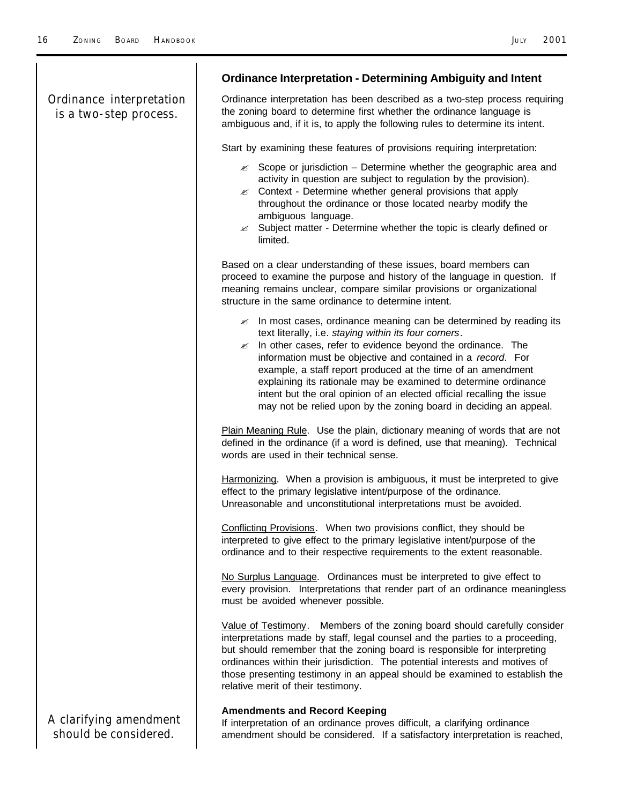|                                                    | <b>Ordinance Interpretation - Determining Ambiguity and Intent</b>                                                                                                                                                                                                                                                                                                                                                                                                                                                                                            |  |  |  |
|----------------------------------------------------|---------------------------------------------------------------------------------------------------------------------------------------------------------------------------------------------------------------------------------------------------------------------------------------------------------------------------------------------------------------------------------------------------------------------------------------------------------------------------------------------------------------------------------------------------------------|--|--|--|
| Ordinance interpretation<br>is a two-step process. | Ordinance interpretation has been described as a two-step process requiring<br>the zoning board to determine first whether the ordinance language is<br>ambiguous and, if it is, to apply the following rules to determine its intent.                                                                                                                                                                                                                                                                                                                        |  |  |  |
|                                                    | Start by examining these features of provisions requiring interpretation:                                                                                                                                                                                                                                                                                                                                                                                                                                                                                     |  |  |  |
|                                                    | $\mathbb{Z}$ Scope or jurisdiction – Determine whether the geographic area and<br>activity in question are subject to regulation by the provision).<br>$\mathscr{A}$ Context - Determine whether general provisions that apply<br>throughout the ordinance or those located nearby modify the<br>ambiguous language.<br>$\mathbb{Z}$ Subject matter - Determine whether the topic is clearly defined or<br>limited.                                                                                                                                           |  |  |  |
|                                                    | Based on a clear understanding of these issues, board members can<br>proceed to examine the purpose and history of the language in question. If<br>meaning remains unclear, compare similar provisions or organizational<br>structure in the same ordinance to determine intent.                                                                                                                                                                                                                                                                              |  |  |  |
|                                                    | $\mathbb{Z}$ In most cases, ordinance meaning can be determined by reading its<br>text literally, i.e. staying within its four corners.<br>In other cases, refer to evidence beyond the ordinance. The<br>≤<br>information must be objective and contained in a record. For<br>example, a staff report produced at the time of an amendment<br>explaining its rationale may be examined to determine ordinance<br>intent but the oral opinion of an elected official recalling the issue<br>may not be relied upon by the zoning board in deciding an appeal. |  |  |  |
|                                                    | Plain Meaning Rule. Use the plain, dictionary meaning of words that are not<br>defined in the ordinance (if a word is defined, use that meaning). Technical<br>words are used in their technical sense.                                                                                                                                                                                                                                                                                                                                                       |  |  |  |
|                                                    | Harmonizing. When a provision is ambiguous, it must be interpreted to give<br>effect to the primary legislative intent/purpose of the ordinance.<br>Unreasonable and unconstitutional interpretations must be avoided.                                                                                                                                                                                                                                                                                                                                        |  |  |  |
|                                                    | Conflicting Provisions. When two provisions conflict, they should be<br>interpreted to give effect to the primary legislative intent/purpose of the<br>ordinance and to their respective requirements to the extent reasonable.                                                                                                                                                                                                                                                                                                                               |  |  |  |
|                                                    | No Surplus Language. Ordinances must be interpreted to give effect to<br>every provision. Interpretations that render part of an ordinance meaningless<br>must be avoided whenever possible.                                                                                                                                                                                                                                                                                                                                                                  |  |  |  |
|                                                    | Value of Testimony. Members of the zoning board should carefully consider<br>interpretations made by staff, legal counsel and the parties to a proceeding,<br>but should remember that the zoning board is responsible for interpreting<br>ordinances within their jurisdiction. The potential interests and motives of<br>those presenting testimony in an appeal should be examined to establish the<br>relative merit of their testimony.                                                                                                                  |  |  |  |
| A clarifying amendment<br>should be considered.    | <b>Amendments and Record Keeping</b><br>If interpretation of an ordinance proves difficult, a clarifying ordinance<br>amendment should be considered. If a satisfactory interpretation is reached,                                                                                                                                                                                                                                                                                                                                                            |  |  |  |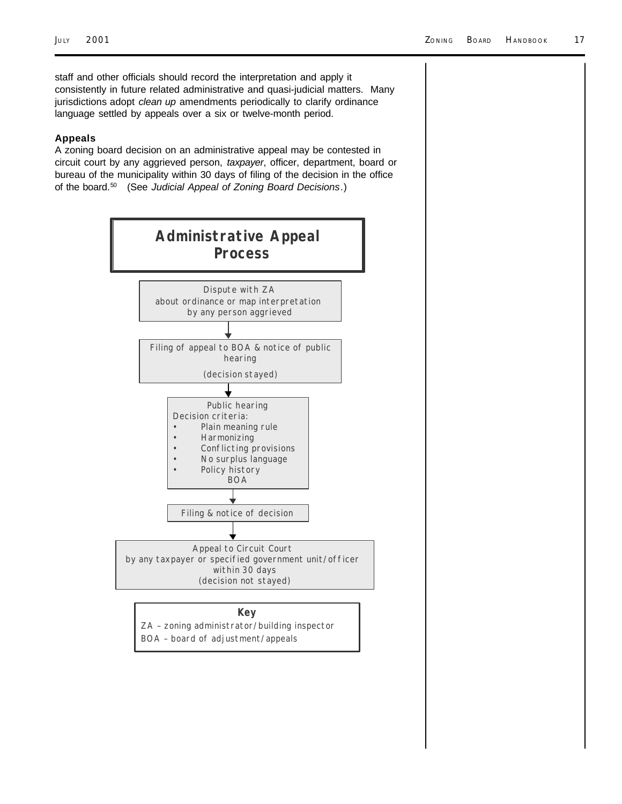staff and other officials should record the interpretation and apply it consistently in future related administrative and quasi-judicial matters. Many jurisdictions adopt *clean up* amendments periodically to clarify ordinance language settled by appeals over a six or twelve-month period.

#### **Appeals**

A zoning board decision on an administrative appeal may be contested in circuit court by any aggrieved person, *taxpayer*, officer, department, board or bureau of the municipality within 30 days of filing of the decision in the office of the board.50 (See *Judicial Appeal of Zoning Board Decisions*.)

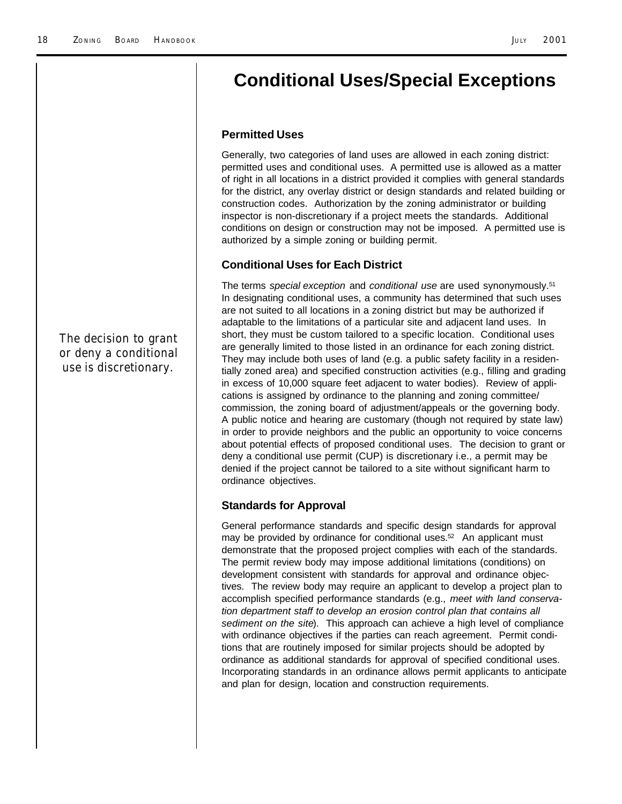### **Conditional Uses/Special Exceptions**

#### **Permitted Uses**

Generally, two categories of land uses are allowed in each zoning district: permitted uses and conditional uses. A permitted use is allowed as a matter of right in all locations in a district provided it complies with general standards for the district, any overlay district or design standards and related building or construction codes. Authorization by the zoning administrator or building inspector is non-discretionary if a project meets the standards. Additional conditions on design or construction may not be imposed. A permitted use is authorized by a simple zoning or building permit.

#### **Conditional Uses for Each District**

The terms *special exception* and *conditional use* are used synonymously.<sup>51</sup> In designating conditional uses, a community has determined that such uses are not suited to all locations in a zoning district but may be authorized if adaptable to the limitations of a particular site and adjacent land uses. In short, they must be custom tailored to a specific location. Conditional uses are generally limited to those listed in an ordinance for each zoning district. They may include both uses of land (e.g. a public safety facility in a residentially zoned area) and specified construction activities (e.g., filling and grading in excess of 10,000 square feet adjacent to water bodies). Review of applications is assigned by ordinance to the planning and zoning committee/ commission, the zoning board of adjustment/appeals or the governing body. A public notice and hearing are customary (though not required by state law) in order to provide neighbors and the public an opportunity to voice concerns about potential effects of proposed conditional uses. The decision to grant or deny a conditional use permit (CUP) is discretionary i.e., a permit may be denied if the project cannot be tailored to a site without significant harm to ordinance objectives.

#### **Standards for Approval**

General performance standards and specific design standards for approval may be provided by ordinance for conditional uses. $52$  An applicant must demonstrate that the proposed project complies with each of the standards. The permit review body may impose additional limitations (conditions) on development consistent with standards for approval and ordinance objectives. The review body may require an applicant to develop a project plan to accomplish specified performance standards (e.g., *meet with land conservation department staff to develop an erosion control plan that contains all sediment on the site*). This approach can achieve a high level of compliance with ordinance objectives if the parties can reach agreement. Permit conditions that are routinely imposed for similar projects should be adopted by ordinance as additional standards for approval of specified conditional uses. Incorporating standards in an ordinance allows permit applicants to anticipate and plan for design, location and construction requirements.

*The decision to grant or deny a conditional use is discretionary.*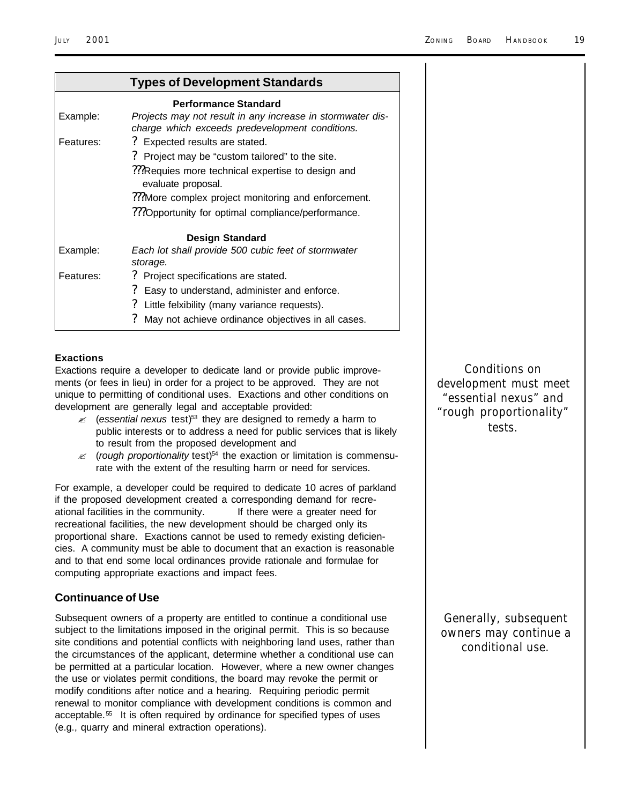| <b>Types of Development Standards</b> |                                                                                                               |  |
|---------------------------------------|---------------------------------------------------------------------------------------------------------------|--|
|                                       | <b>Performance Standard</b>                                                                                   |  |
| Example:                              | Projects may not result in any increase in stormwater dis-<br>charge which exceeds predevelopment conditions. |  |
| Features:                             | ? Expected results are stated.                                                                                |  |
|                                       | Project may be "custom tailored" to the site.                                                                 |  |
|                                       | ???Requies more technical expertise to design and<br>evaluate proposal.                                       |  |
|                                       | :. More complex project monitoring and enforcement."                                                          |  |
|                                       | ??? Opportunity for optimal compliance/performance.                                                           |  |
|                                       | <b>Design Standard</b>                                                                                        |  |
| Example:                              | Each lot shall provide 500 cubic feet of stormwater<br>storage.                                               |  |
| Features:                             | Project specifications are stated.<br>7                                                                       |  |
|                                       | ?<br>Easy to understand, administer and enforce.                                                              |  |
|                                       | ?<br>Little felxibility (many variance requests).                                                             |  |
|                                       | May not achieve ordinance objectives in all cases.                                                            |  |

#### **Exactions**

Exactions require a developer to dedicate land or provide public improvements (or fees in lieu) in order for a project to be approved. They are not unique to permitting of conditional uses. Exactions and other conditions on development are generally legal and acceptable provided:

- ? (*essential nexus* test)53 they are designed to remedy a harm to public interests or to address a need for public services that is likely to result from the proposed development and
- $\mathcal{L}$  (*rough proportionality* test)<sup>54</sup> the exaction or limitation is commensurate with the extent of the resulting harm or need for services.

For example, a developer could be required to dedicate 10 acres of parkland if the proposed development created a corresponding demand for recreational facilities in the community. If there were a greater need for recreational facilities, the new development should be charged only its proportional share. Exactions cannot be used to remedy existing deficiencies. A community must be able to document that an exaction is reasonable and to that end some local ordinances provide rationale and formulae for computing appropriate exactions and impact fees.

#### **Continuance of Use**

Subsequent owners of a property are entitled to continue a conditional use subject to the limitations imposed in the original permit. This is so because site conditions and potential conflicts with neighboring land uses, rather than the circumstances of the applicant, determine whether a conditional use can be permitted at a particular location. However, where a new owner changes the use or violates permit conditions, the board may revoke the permit or modify conditions after notice and a hearing. Requiring periodic permit renewal to monitor compliance with development conditions is common and acceptable.<sup>55</sup> It is often required by ordinance for specified types of uses (e.g., quarry and mineral extraction operations).

*Conditions on development must meet "essential nexus" and "rough proportionality" tests.*

*Generally, subsequent owners may continue a conditional use.*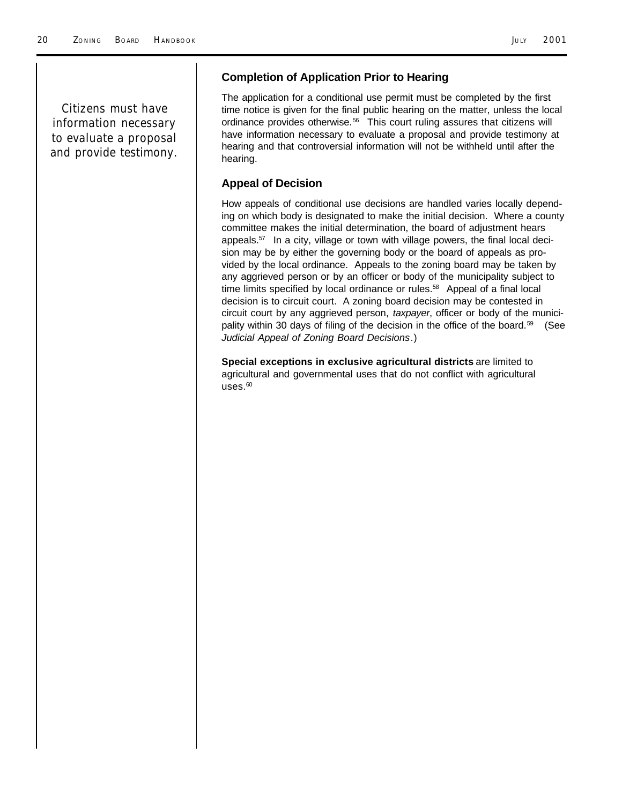*Citizens must have information necessary to evaluate a proposal and provide testimony.*

#### **Completion of Application Prior to Hearing**

The application for a conditional use permit must be completed by the first time notice is given for the final public hearing on the matter, unless the local ordinance provides otherwise.<sup>56</sup> This court ruling assures that citizens will have information necessary to evaluate a proposal and provide testimony at hearing and that controversial information will not be withheld until after the hearing.

#### **Appeal of Decision**

How appeals of conditional use decisions are handled varies locally depending on which body is designated to make the initial decision. Where a county committee makes the initial determination, the board of adjustment hears appeals.57 In a city, village or town with village powers, the final local decision may be by either the governing body or the board of appeals as provided by the local ordinance. Appeals to the zoning board may be taken by any aggrieved person or by an officer or body of the municipality subject to time limits specified by local ordinance or rules.<sup>58</sup> Appeal of a final local decision is to circuit court. A zoning board decision may be contested in circuit court by any aggrieved person, *taxpayer*, officer or body of the municipality within 30 days of filing of the decision in the office of the board.<sup>59</sup> (See *Judicial Appeal of Zoning Board Decisions*.)

**Special exceptions in exclusive agricultural districts** are limited to agricultural and governmental uses that do not conflict with agricultural  $uses<sub>60</sub>$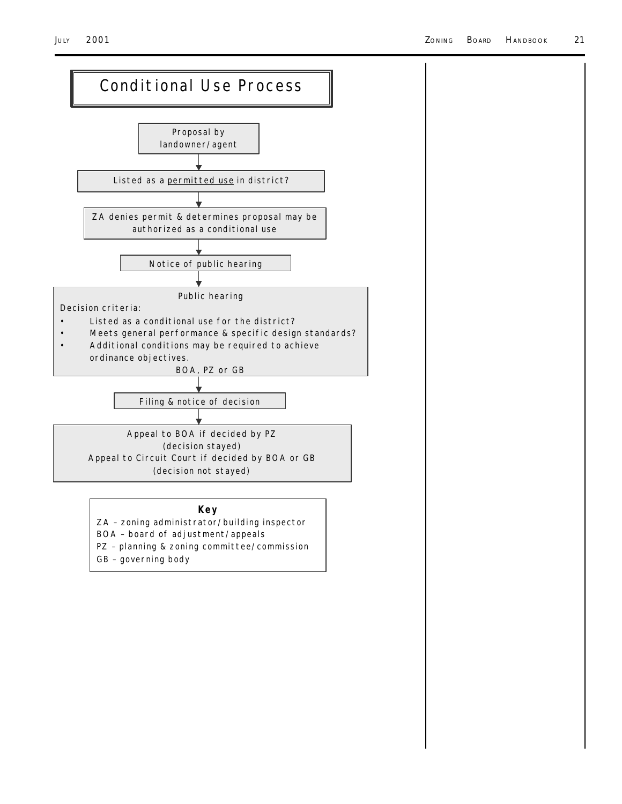

ZA – zoning administrator/building inspector

- BOA board of adjustment/appeals
- PZ planning & zoning committee/commission
- GB governing body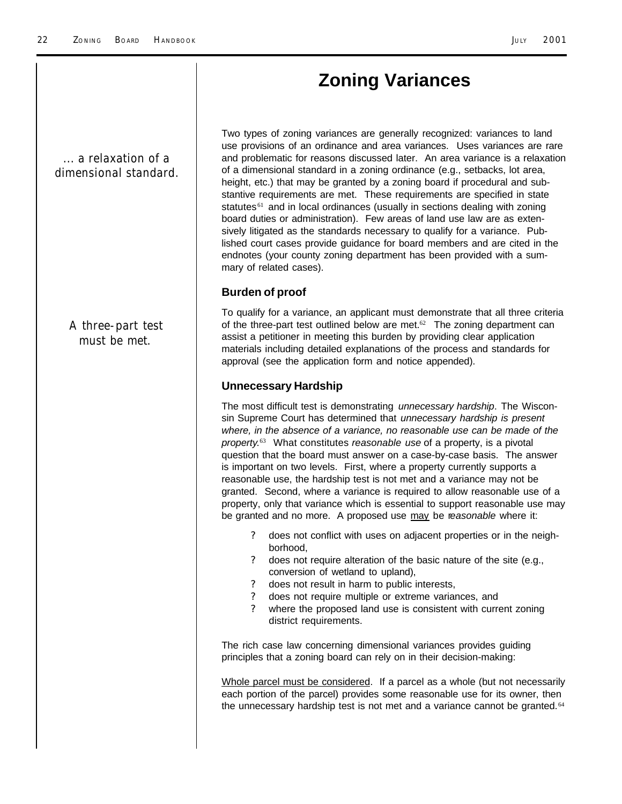### **Zoning Variances**

*... a relaxation of a dimensional standard.*

> *A three-part test must be met.*

Two types of zoning variances are generally recognized: variances to land use provisions of an ordinance and area variances. Uses variances are rare and problematic for reasons discussed later. An area variance is a relaxation of a dimensional standard in a zoning ordinance (e.g., setbacks, lot area, height, etc.) that may be granted by a zoning board if procedural and substantive requirements are met. These requirements are specified in state statutes<sup>61</sup> and in local ordinances (usually in sections dealing with zoning board duties or administration). Few areas of land use law are as extensively litigated as the standards necessary to qualify for a variance. Published court cases provide guidance for board members and are cited in the endnotes (your county zoning department has been provided with a summary of related cases).

#### **Burden of proof**

To qualify for a variance, an applicant must demonstrate that all three criteria of the three-part test outlined below are met. $62$  The zoning department can assist a petitioner in meeting this burden by providing clear application materials including detailed explanations of the process and standards for approval (see the application form and notice appended).

#### **Unnecessary Hardship**

The most difficult test is demonstrating *unnecessary hardship*. The Wisconsin Supreme Court has determined that *unnecessary hardship is present where, in the absence of a variance, no reasonable use can be made of the property*. <sup>63</sup> What constitutes *reasonable use* of a property, is a pivotal question that the board must answer on a case-by-case basis. The answer is important on two levels. First, where a property currently supports a reasonable use, the hardship test is not met and a variance may not be granted. Second, where a variance is required to allow reasonable use of a property, only that variance which is essential to support reasonable use may be granted and no more. A proposed use may be r*easonable* where it:

- ? does not conflict with uses on adjacent properties or in the neighborhood,
- ? does not require alteration of the basic nature of the site (e.g., conversion of wetland to upland),
- ? does not result in harm to public interests,
- ? does not require multiple or extreme variances, and
- where the proposed land use is consistent with current zoning district requirements.

The rich case law concerning dimensional variances provides guiding principles that a zoning board can rely on in their decision-making:

Whole parcel must be considered. If a parcel as a whole (but not necessarily each portion of the parcel) provides some reasonable use for its owner, then the unnecessary hardship test is not met and a variance cannot be granted.<sup>64</sup>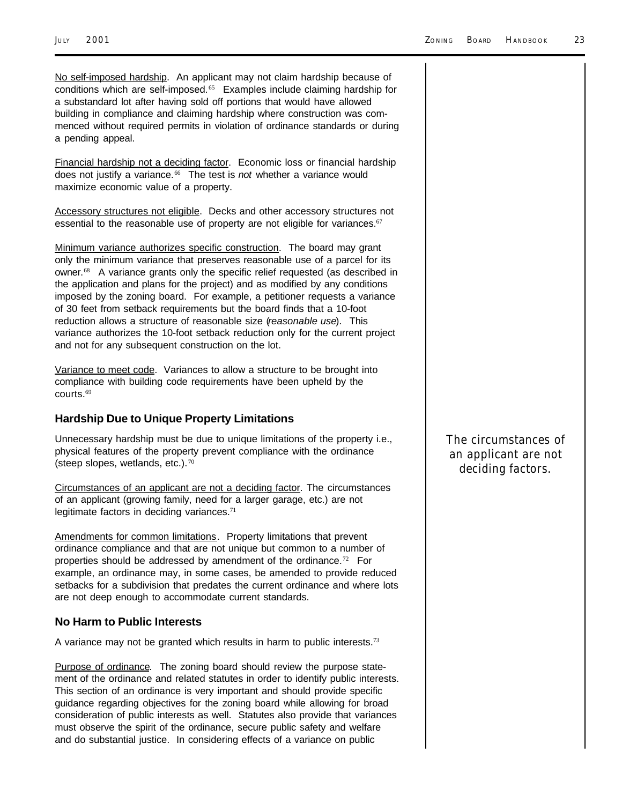No self-imposed hardship. An applicant may not claim hardship because of conditions which are self-imposed.<sup>65</sup> Examples include claiming hardship for a substandard lot after having sold off portions that would have allowed building in compliance and claiming hardship where construction was commenced without required permits in violation of ordinance standards or during a pending appeal.

Financial hardship not a deciding factor. Economic loss or financial hardship does not justify a variance.66 The test is *not* whether a variance would maximize economic value of a property.

Accessory structures not eligible. Decks and other accessory structures not essential to the reasonable use of property are not eligible for variances.<sup>67</sup>

Minimum variance authorizes specific construction. The board may grant only the minimum variance that preserves reasonable use of a parcel for its owner.<sup>68</sup> A variance grants only the specific relief requested (as described in the application and plans for the project) and as modified by any conditions imposed by the zoning board. For example, a petitioner requests a variance of 30 feet from setback requirements but the board finds that a 10-foot reduction allows a structure of reasonable size (*reasonable use*). This variance authorizes the 10-foot setback reduction only for the current project and not for any subsequent construction on the lot.

Variance to meet code. Variances to allow a structure to be brought into compliance with building code requirements have been upheld by the courts.<sup>69</sup>

#### **Hardship Due to Unique Property Limitations**

Unnecessary hardship must be due to unique limitations of the property i.e., physical features of the property prevent compliance with the ordinance (steep slopes, wetlands, etc.). <sup>70</sup>

Circumstances of an applicant are not a deciding factor. The circumstances of an applicant (growing family, need for a larger garage, etc.) are not legitimate factors in deciding variances.<sup>71</sup>

Amendments for common limitations. Property limitations that prevent ordinance compliance and that are not unique but common to a number of properties should be addressed by amendment of the ordinance.<sup>72</sup> For example, an ordinance may, in some cases, be amended to provide reduced setbacks for a subdivision that predates the current ordinance and where lots are not deep enough to accommodate current standards.

#### **No Harm to Public Interests**

A variance may not be granted which results in harm to public interests.<sup>73</sup>

Purpose of ordinance. The zoning board should review the purpose statement of the ordinance and related statutes in order to identify public interests. This section of an ordinance is very important and should provide specific guidance regarding objectives for the zoning board while allowing for broad consideration of public interests as well. Statutes also provide that variances must observe the spirit of the ordinance, secure public safety and welfare and do substantial justice. In considering effects of a variance on public

*The circumstances of an applicant are not deciding factors.*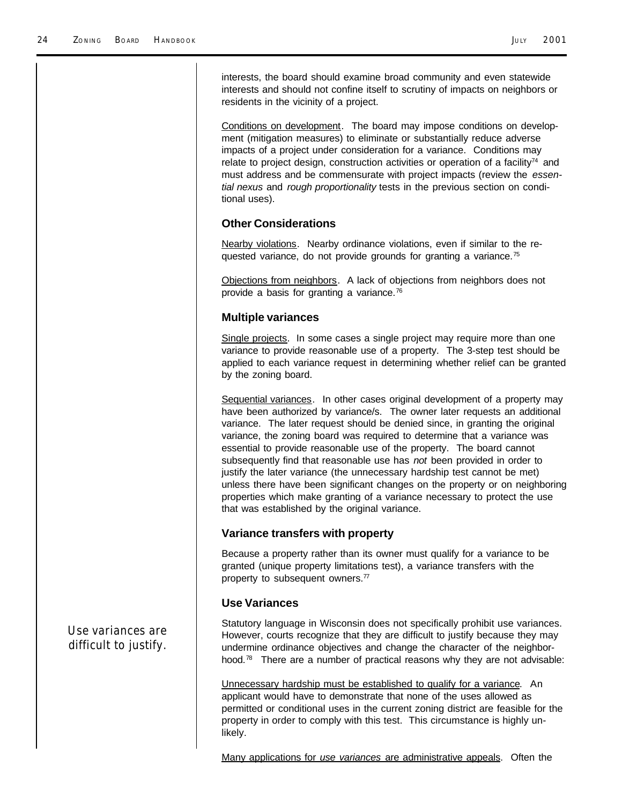interests, the board should examine broad community and even statewide interests and should not confine itself to scrutiny of impacts on neighbors or residents in the vicinity of a project.

Conditions on development. The board may impose conditions on development (mitigation measures) to eliminate or substantially reduce adverse impacts of a project under consideration for a variance. Conditions may relate to project design, construction activities or operation of a facility<sup>74</sup> and must address and be commensurate with project impacts (review the *essential nexus* and *rough proportionality* tests in the previous section on conditional uses).

#### **Other Considerations**

Nearby violations. Nearby ordinance violations, even if similar to the requested variance, do not provide grounds for granting a variance.<sup>75</sup>

Objections from neighbors. A lack of objections from neighbors does not provide a basis for granting a variance.<sup>76</sup>

#### **Multiple variances**

Single projects. In some cases a single project may require more than one variance to provide reasonable use of a property. The 3-step test should be applied to each variance request in determining whether relief can be granted by the zoning board.

Sequential variances. In other cases original development of a property may have been authorized by variance/s. The owner later requests an additional variance. The later request should be denied since, in granting the original variance, the zoning board was required to determine that a variance was essential to provide reasonable use of the property. The board cannot subsequently find that reasonable use has *not* been provided in order to justify the later variance (the unnecessary hardship test cannot be met) unless there have been significant changes on the property or on neighboring properties which make granting of a variance necessary to protect the use that was established by the original variance.

#### **Variance transfers with property**

Because a property rather than its owner must qualify for a variance to be granted (unique property limitations test), a variance transfers with the property to subsequent owners.<sup>77</sup>

#### **Use Variances**

Statutory language in Wisconsin does not specifically prohibit use variances. However, courts recognize that they are difficult to justify because they may undermine ordinance objectives and change the character of the neighborhood.<sup>78</sup> There are a number of practical reasons why they are not advisable:

Unnecessary hardship must be established to qualify for a variance. An applicant would have to demonstrate that none of the uses allowed as permitted or conditional uses in the current zoning district are feasible for the property in order to comply with this test. This circumstance is highly unlikely.

Many applications for *use variances* are administrative appeals. Often the

*Use variances are difficult to justify.*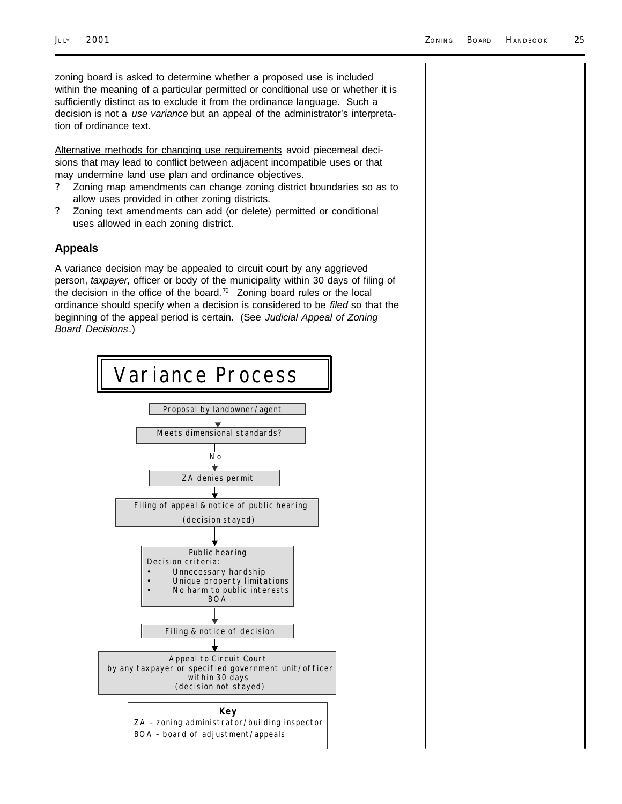zoning board is asked to determine whether a proposed use is included within the meaning of a particular permitted or conditional use or whether it is sufficiently distinct as to exclude it from the ordinance language. Such a decision is not a *use variance* but an appeal of the administrator's interpretation of ordinance text.

Alternative methods for changing use requirements avoid piecemeal decisions that may lead to conflict between adjacent incompatible uses or that may undermine land use plan and ordinance objectives.

- ? Zoning map amendments can change zoning district boundaries so as to allow uses provided in other zoning districts.
- ? Zoning text amendments can add (or delete) permitted or conditional uses allowed in each zoning district.

#### **Appeals**

A variance decision may be appealed to circuit court by any aggrieved person, *taxpayer*, officer or body of the municipality within 30 days of filing of the decision in the office of the board.79 Zoning board rules or the local ordinance should specify when a decision is considered to be *filed* so that the beginning of the appeal period is certain. (See *Judicial Appeal of Zoning Board Decisions*.)

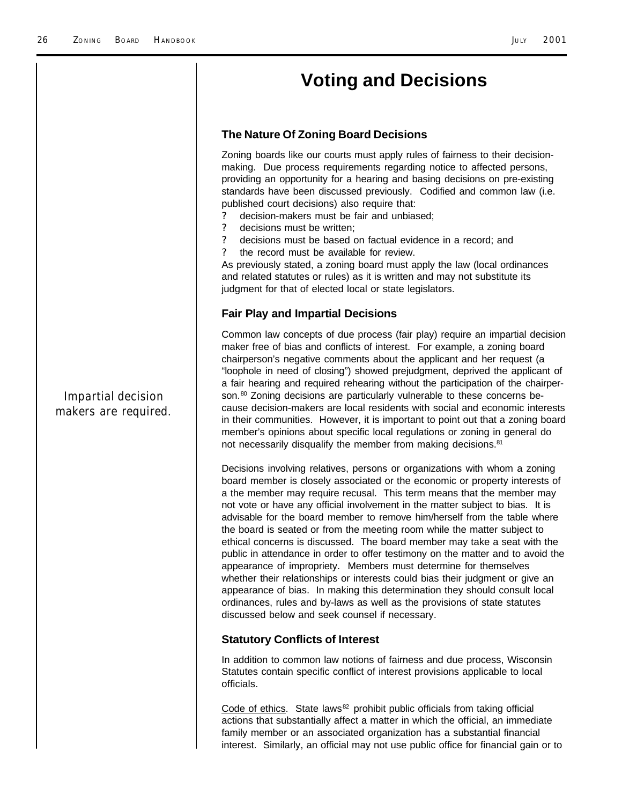### **Voting and Decisions**

#### **The Nature Of Zoning Board Decisions**

Zoning boards like our courts must apply rules of fairness to their decisionmaking. Due process requirements regarding notice to affected persons, providing an opportunity for a hearing and basing decisions on pre-existing standards have been discussed previously. Codified and common law (i.e. published court decisions) also require that:

- ? decision-makers must be fair and unbiased;
- ? decisions must be written;
- ? decisions must be based on factual evidence in a record; and
- the record must be available for review.

As previously stated, a zoning board must apply the law (local ordinances and related statutes or rules) as it is written and may not substitute its judgment for that of elected local or state legislators.

#### **Fair Play and Impartial Decisions**

Common law concepts of due process (fair play) require an impartial decision maker free of bias and conflicts of interest. For example, a zoning board chairperson's negative comments about the applicant and her request (a "loophole in need of closing") showed prejudgment, deprived the applicant of a fair hearing and required rehearing without the participation of the chairperson.<sup>80</sup> Zoning decisions are particularly vulnerable to these concerns because decision-makers are local residents with social and economic interests in their communities. However, it is important to point out that a zoning board member's opinions about specific local regulations or zoning in general do not necessarily disqualify the member from making decisions.<sup>81</sup>

Decisions involving relatives, persons or organizations with whom a zoning board member is closely associated or the economic or property interests of a the member may require recusal. This term means that the member may not vote or have any official involvement in the matter subject to bias. It is advisable for the board member to remove him/herself from the table where the board is seated or from the meeting room while the matter subject to ethical concerns is discussed. The board member may take a seat with the public in attendance in order to offer testimony on the matter and to avoid the appearance of impropriety. Members must determine for themselves whether their relationships or interests could bias their judgment or give an appearance of bias. In making this determination they should consult local ordinances, rules and by-laws as well as the provisions of state statutes discussed below and seek counsel if necessary.

#### **Statutory Conflicts of Interest**

In addition to common law notions of fairness and due process, Wisconsin Statutes contain specific conflict of interest provisions applicable to local officials.

Code of ethics. State laws<sup>82</sup> prohibit public officials from taking official actions that substantially affect a matter in which the official, an immediate family member or an associated organization has a substantial financial interest. Similarly, an official may not use public office for financial gain or to

*Impartial decision makers are required.*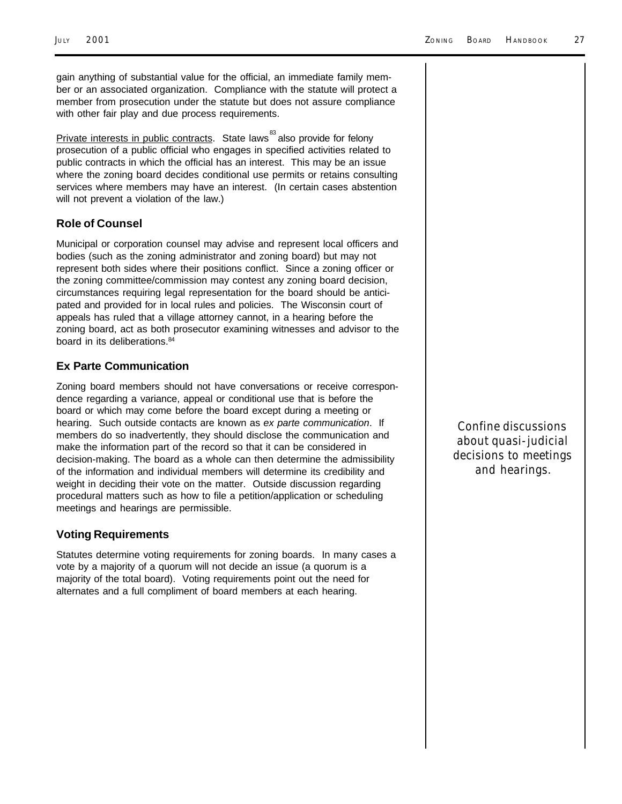gain anything of substantial value for the official, an immediate family member or an associated organization. Compliance with the statute will protect a member from prosecution under the statute but does not assure compliance with other fair play and due process requirements.

Private interests in public contracts. State laws<sup>83</sup> also provide for felony prosecution of a public official who engages in specified activities related to public contracts in which the official has an interest. This may be an issue where the zoning board decides conditional use permits or retains consulting services where members may have an interest. (In certain cases abstention will not prevent a violation of the law.)

#### **Role of Counsel**

Municipal or corporation counsel may advise and represent local officers and bodies (such as the zoning administrator and zoning board) but may not represent both sides where their positions conflict. Since a zoning officer or the zoning committee/commission may contest any zoning board decision, circumstances requiring legal representation for the board should be anticipated and provided for in local rules and policies. The Wisconsin court of appeals has ruled that a village attorney cannot, in a hearing before the zoning board, act as both prosecutor examining witnesses and advisor to the board in its deliberations.<sup>84</sup>

#### **Ex Parte Communication**

Zoning board members should not have conversations or receive correspondence regarding a variance, appeal or conditional use that is before the board or which may come before the board except during a meeting or hearing. Such outside contacts are known as *ex parte communication*. If members do so inadvertently, they should disclose the communication and make the information part of the record so that it can be considered in decision-making. The board as a whole can then determine the admissibility of the information and individual members will determine its credibility and weight in deciding their vote on the matter. Outside discussion regarding procedural matters such as how to file a petition/application or scheduling meetings and hearings are permissible.

#### **Voting Requirements**

Statutes determine voting requirements for zoning boards. In many cases a vote by a majority of a quorum will not decide an issue (a quorum is a majority of the total board). Voting requirements point out the need for alternates and a full compliment of board members at each hearing.

*Confine discussions about quasi-judicial decisions to meetings and hearings.*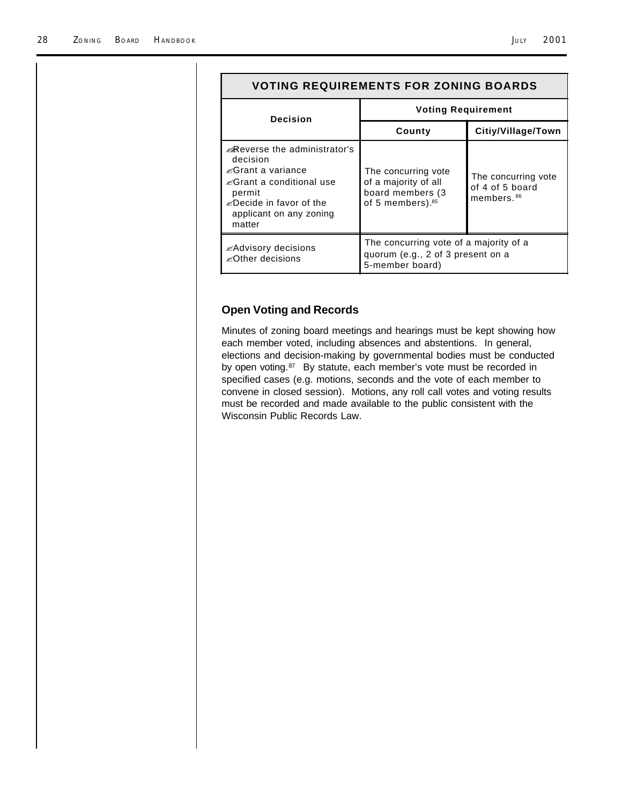| <b>VOTING REQUIREMENTS FOR ZONING BOARDS</b>                                                                                                                                                                  |                                                                                                  |                                                                  |  |
|---------------------------------------------------------------------------------------------------------------------------------------------------------------------------------------------------------------|--------------------------------------------------------------------------------------------------|------------------------------------------------------------------|--|
| <b>Decision</b>                                                                                                                                                                                               | <b>Voting Requirement</b>                                                                        |                                                                  |  |
|                                                                                                                                                                                                               | County                                                                                           | Citiy/Village/Town                                               |  |
| <b>. Reverse the administrator's</b><br>decision<br><i>i</i> ≤Grant a variance<br><i>i</i> ≤Grant a conditional use<br>permit<br><i><u></u> E</i> Decide in favor of the<br>applicant on any zoning<br>matter | The concurring vote<br>of a majority of all<br>board members (3)<br>of 5 members). <sup>85</sup> | The concurring vote<br>of 4 of 5 board<br>members. <sup>86</sup> |  |
| $\mathbb Z$ Advisory decisions<br><i> ≤</i> Other decisions                                                                                                                                                   | The concurring vote of a majority of a<br>quorum (e.g., 2 of 3 present on a<br>5-member board)   |                                                                  |  |

#### **Open Voting and Records**

Minutes of zoning board meetings and hearings must be kept showing how each member voted, including absences and abstentions. In general, elections and decision-making by governmental bodies must be conducted by open voting.<sup>87</sup> By statute, each member's vote must be recorded in specified cases (e.g. motions, seconds and the vote of each member to convene in closed session). Motions, any roll call votes and voting results must be recorded and made available to the public consistent with the Wisconsin Public Records Law.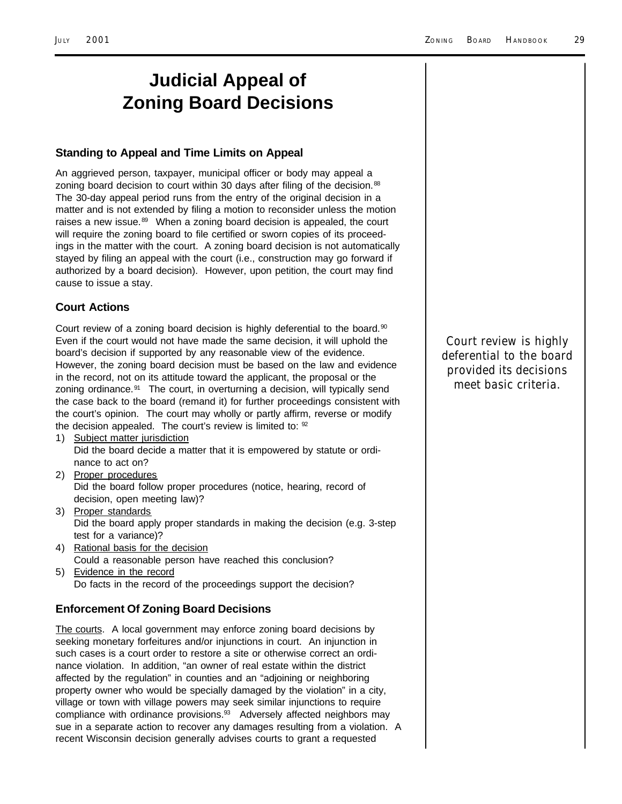### **Judicial Appeal of Zoning Board Decisions**

#### **Standing to Appeal and Time Limits on Appeal**

An aggrieved person, taxpayer, municipal officer or body may appeal a zoning board decision to court within 30 days after filing of the decision.<sup>88</sup> The 30-day appeal period runs from the entry of the original decision in a matter and is not extended by filing a motion to reconsider unless the motion raises a new issue. $89$  When a zoning board decision is appealed, the court will require the zoning board to file certified or sworn copies of its proceedings in the matter with the court. A zoning board decision is not automatically stayed by filing an appeal with the court (i.e., construction may go forward if authorized by a board decision). However, upon petition, the court may find cause to issue a stay.

#### **Court Actions**

Court review of a zoning board decision is highly deferential to the board. $90$ Even if the court would not have made the same decision, it will uphold the board's decision if supported by any reasonable view of the evidence. However, the zoning board decision must be based on the law and evidence in the record, not on its attitude toward the applicant, the proposal or the zoning ordinance.<sup>91</sup> The court, in overturning a decision, will typically send the case back to the board (remand it) for further proceedings consistent with the court's opinion. The court may wholly or partly affirm, reverse or modify the decision appealed. The court's review is limited to:  $92$ 

- 1) Subject matter jurisdiction Did the board decide a matter that it is empowered by statute or ordinance to act on?
- 2) Proper procedures Did the board follow proper procedures (notice, hearing, record of decision, open meeting law)?
- 3) Proper standards Did the board apply proper standards in making the decision (e.g. 3-step test for a variance)?
- 4) Rational basis for the decision Could a reasonable person have reached this conclusion?
- 5) Evidence in the record Do facts in the record of the proceedings support the decision?

#### **Enforcement Of Zoning Board Decisions**

The courts. A local government may enforce zoning board decisions by seeking monetary forfeitures and/or injunctions in court. An injunction in such cases is a court order to restore a site or otherwise correct an ordinance violation. In addition, "an owner of real estate within the district affected by the regulation" in counties and an "adjoining or neighboring property owner who would be specially damaged by the violation" in a city, village or town with village powers may seek similar injunctions to require compliance with ordinance provisions.<sup>93</sup> Adversely affected neighbors may sue in a separate action to recover any damages resulting from a violation. A recent Wisconsin decision generally advises courts to grant a requested

*Court review is highly deferential to the board provided its decisions meet basic criteria.*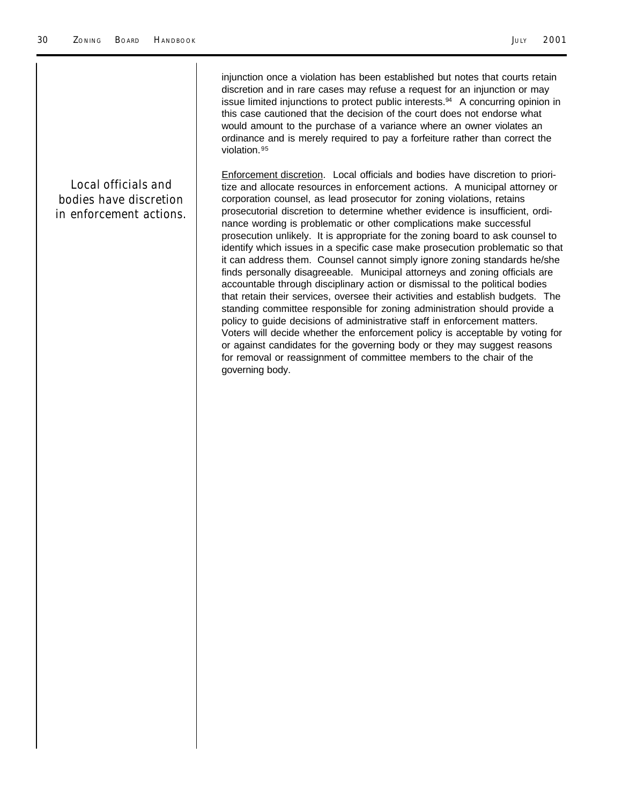injunction once a violation has been established but notes that courts retain discretion and in rare cases may refuse a request for an injunction or may issue limited injunctions to protect public interests.94 A concurring opinion in this case cautioned that the decision of the court does not endorse what would amount to the purchase of a variance where an owner violates an ordinance and is merely required to pay a forfeiture rather than correct the violation.<sup>95</sup>

*Local officials and bodies have discretion in enforcement actions.* Enforcement discretion. Local officials and bodies have discretion to prioritize and allocate resources in enforcement actions. A municipal attorney or corporation counsel, as lead prosecutor for zoning violations, retains prosecutorial discretion to determine whether evidence is insufficient, ordinance wording is problematic or other complications make successful prosecution unlikely. It is appropriate for the zoning board to ask counsel to identify which issues in a specific case make prosecution problematic so that it can address them. Counsel cannot simply ignore zoning standards he/she finds personally disagreeable. Municipal attorneys and zoning officials are accountable through disciplinary action or dismissal to the political bodies that retain their services, oversee their activities and establish budgets. The standing committee responsible for zoning administration should provide a policy to guide decisions of administrative staff in enforcement matters. Voters will decide whether the enforcement policy is acceptable by voting for or against candidates for the governing body or they may suggest reasons for removal or reassignment of committee members to the chair of the governing body.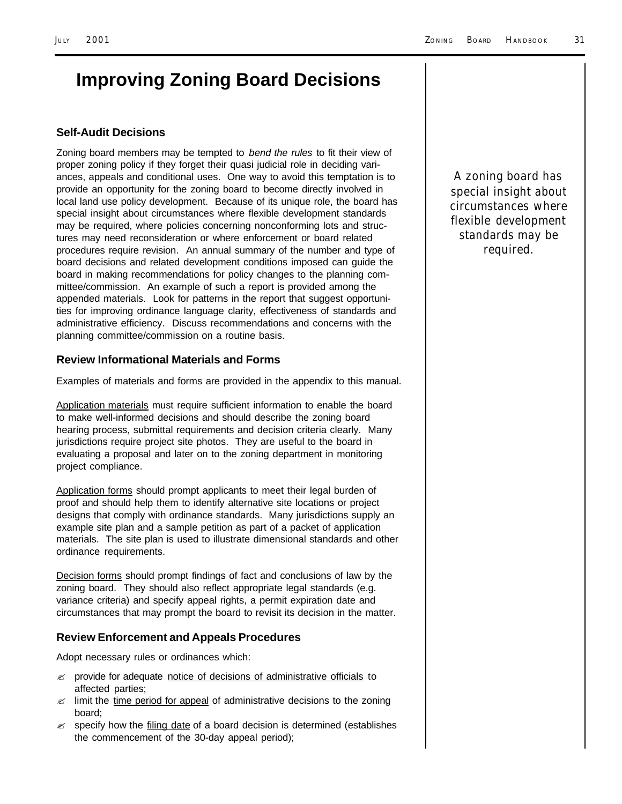# **Improving Zoning Board Decisions**

#### **Self-Audit Decisions**

Zoning board members may be tempted to *bend the rules* to fit their view of proper zoning policy if they forget their quasi judicial role in deciding variances, appeals and conditional uses. One way to avoid this temptation is to provide an opportunity for the zoning board to become directly involved in local land use policy development. Because of its unique role, the board has special insight about circumstances where flexible development standards may be required, where policies concerning nonconforming lots and structures may need reconsideration or where enforcement or board related procedures require revision. An annual summary of the number and type of board decisions and related development conditions imposed can guide the board in making recommendations for policy changes to the planning committee/commission. An example of such a report is provided among the appended materials. Look for patterns in the report that suggest opportunities for improving ordinance language clarity, effectiveness of standards and administrative efficiency. Discuss recommendations and concerns with the planning committee/commission on a routine basis.

#### **Review Informational Materials and Forms**

Examples of materials and forms are provided in the appendix to this manual.

Application materials must require sufficient information to enable the board to make well-informed decisions and should describe the zoning board hearing process, submittal requirements and decision criteria clearly. Many jurisdictions require project site photos. They are useful to the board in evaluating a proposal and later on to the zoning department in monitoring project compliance.

Application forms should prompt applicants to meet their legal burden of proof and should help them to identify alternative site locations or project designs that comply with ordinance standards. Many jurisdictions supply an example site plan and a sample petition as part of a packet of application materials. The site plan is used to illustrate dimensional standards and other ordinance requirements.

Decision forms should prompt findings of fact and conclusions of law by the zoning board. They should also reflect appropriate legal standards (e.g. variance criteria) and specify appeal rights, a permit expiration date and circumstances that may prompt the board to revisit its decision in the matter.

#### **Review Enforcement and Appeals Procedures**

Adopt necessary rules or ordinances which:

- **EX** provide for adequate notice of decisions of administrative officials to affected parties;
- $\ll$  limit the time period for appeal of administrative decisions to the zoning board;
- $\mathcal{L}$  specify how the filing date of a board decision is determined (establishes the commencement of the 30-day appeal period);

*A zoning board has special insight about circumstances where flexible development standards may be required.*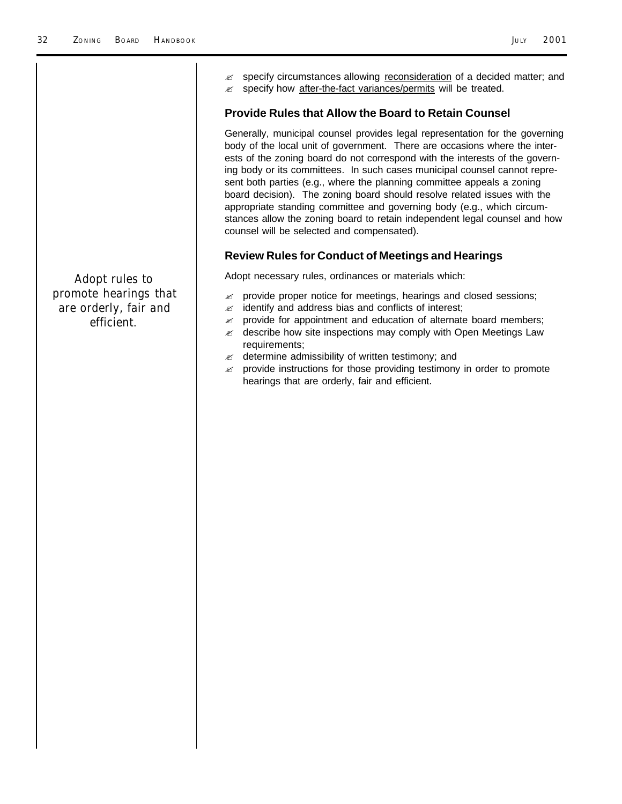|                                                              | specify circumstances allowing reconsideration of a decided matter; and<br>specify how after-the-fact variances/permits will be treated.<br><b>Provide Rules that Allow the Board to Retain Counsel</b><br>Generally, municipal counsel provides legal representation for the governing<br>body of the local unit of government. There are occasions where the inter-<br>ests of the zoning board do not correspond with the interests of the govern-<br>ing body or its committees. In such cases municipal counsel cannot repre-<br>sent both parties (e.g., where the planning committee appeals a zoning<br>board decision). The zoning board should resolve related issues with the<br>appropriate standing committee and governing body (e.g., which circum-<br>stances allow the zoning board to retain independent legal counsel and how<br>counsel will be selected and compensated).<br><b>Review Rules for Conduct of Meetings and Hearings</b> |
|--------------------------------------------------------------|------------------------------------------------------------------------------------------------------------------------------------------------------------------------------------------------------------------------------------------------------------------------------------------------------------------------------------------------------------------------------------------------------------------------------------------------------------------------------------------------------------------------------------------------------------------------------------------------------------------------------------------------------------------------------------------------------------------------------------------------------------------------------------------------------------------------------------------------------------------------------------------------------------------------------------------------------------|
| <b>Adopt rules to</b>                                        | Adopt necessary rules, ordinances or materials which:                                                                                                                                                                                                                                                                                                                                                                                                                                                                                                                                                                                                                                                                                                                                                                                                                                                                                                      |
| promote hearings that<br>are orderly, fair and<br>efficient. | provide proper notice for meetings, hearings and closed sessions;<br>≤<br>identify and address bias and conflicts of interest;<br>≤<br>provide for appointment and education of alternate board members;<br>≤<br>describe how site inspections may comply with Open Meetings Law<br>≤<br>requirements;<br>determine admissibility of written testimony; and<br>≤<br>provide instructions for those providing testimony in order to promote<br>≤<br>hearings that are orderly, fair and efficient.                                                                                                                                                                                                                                                                                                                                                                                                                                                          |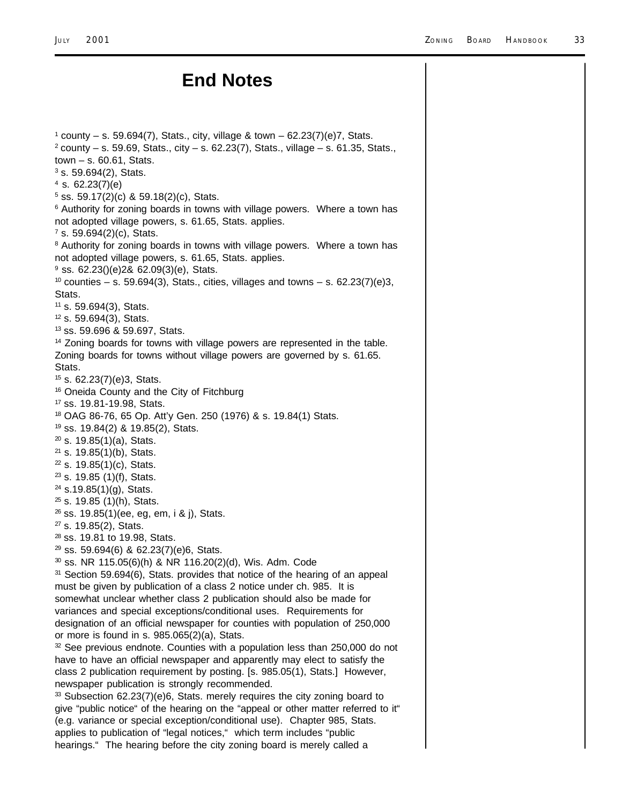### **End Notes**

 $1$  county – s. 59.694(7), Stats., city, village & town – 62.23(7)(e)7, Stats.  $2$  county – s. 59.69, Stats., city – s. 62.23(7), Stats., village – s. 61.35, Stats., town – s. 60.61, Stats.  $3$  s. 59.694(2), Stats.  $4$  s. 62.23(7)(e) 5 ss. 59.17(2)(c) & 59.18(2)(c), Stats. <sup>6</sup> Authority for zoning boards in towns with village powers. Where a town has not adopted village powers, s. 61.65, Stats. applies. 7 s. 59.694(2)(c), Stats. <sup>8</sup> Authority for zoning boards in towns with village powers. Where a town has not adopted village powers, s. 61.65, Stats. applies. <sup>9</sup> ss. 62.23()(e)2& 62.09(3)(e), Stats.  $10$  counties – s. 59.694(3), Stats., cities, villages and towns – s. 62.23(7)(e)3, Stats. <sup>11</sup> s. 59.694(3), Stats. <sup>12</sup> s. 59.694(3), Stats. <sup>13</sup> ss. 59.696 & 59.697, Stats. <sup>14</sup> Zoning boards for towns with village powers are represented in the table. Zoning boards for towns without village powers are governed by s. 61.65. Stats. <sup>15</sup> s. 62.23(7)(e)3, Stats. <sup>16</sup> Oneida County and the City of Fitchburg <sup>17</sup> ss. 19.81-19.98, Stats. <sup>18</sup> OAG 86-76, 65 Op. Att'y Gen. 250 (1976) & s. 19.84(1) Stats. <sup>19</sup> ss. 19.84(2) & 19.85(2), Stats.  $20$  s. 19.85(1)(a), Stats.  $21$  s. 19.85(1)(b), Stats.  $22$  s. 19.85(1)(c), Stats.  $23$  s. 19.85 (1)(f), Stats. <sup>24</sup> s.19.85(1)(g), Stats. <sup>25</sup> s. 19.85 (1)(h), Stats.  $26$  ss. 19.85(1)(ee, eg, em, i & j), Stats. <sup>27</sup> s. 19.85(2), Stats. <sup>28</sup> ss. 19.81 to 19.98, Stats.  $29$  ss. 59.694(6) & 62.23(7)(e)6, Stats.  $30$  ss. NR 115.05(6)(h) & NR 116.20(2)(d), Wis. Adm. Code <sup>31</sup> Section 59.694(6), Stats. provides that notice of the hearing of an appeal must be given by publication of a class 2 notice under ch. 985. It is somewhat unclear whether class 2 publication should also be made for variances and special exceptions/conditional uses. Requirements for designation of an official newspaper for counties with population of 250,000 or more is found in s. 985.065(2)(a), Stats. 32 See previous endnote. Counties with a population less than 250,000 do not have to have an official newspaper and apparently may elect to satisfy the class 2 publication requirement by posting. [s. 985.05(1), Stats.] However, newspaper publication is strongly recommended.  $33$  Subsection 62.23(7)(e)6, Stats. merely requires the city zoning board to give "public notice" of the hearing on the "appeal or other matter referred to it" (e.g. variance or special exception/conditional use). Chapter 985, Stats. applies to publication of "legal notices," which term includes "public hearings." The hearing before the city zoning board is merely called a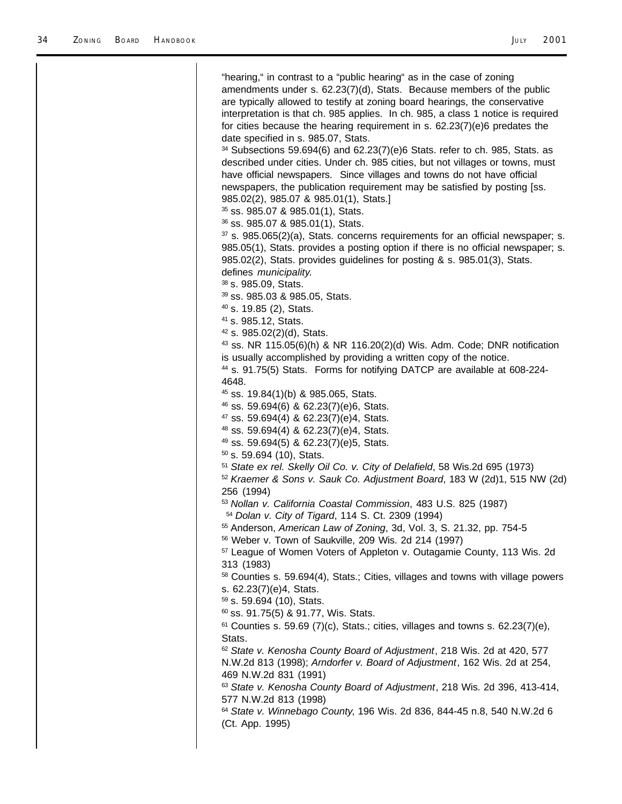| "hearing," in contrast to a "public hearing" as in the case of zoning                                                                                                                                                                                                                                                  |
|------------------------------------------------------------------------------------------------------------------------------------------------------------------------------------------------------------------------------------------------------------------------------------------------------------------------|
| amendments under s. 62.23(7)(d), Stats. Because members of the public<br>are typically allowed to testify at zoning board hearings, the conservative<br>interpretation is that ch. 985 applies. In ch. 985, a class 1 notice is required<br>for cities because the hearing requirement in s. 62.23(7)(e)6 predates the |
| date specified in s. 985.07, Stats.<br>$34$ Subsections 59.694(6) and 62.23(7)(e)6 Stats. refer to ch. 985, Stats. as<br>described under cities. Under ch. 985 cities, but not villages or towns, must<br>have official newspapers. Since villages and towns do not have official                                      |
| newspapers, the publication requirement may be satisfied by posting [ss.<br>985.02(2), 985.07 & 985.01(1), Stats.]<br><sup>35</sup> ss. 985.07 & 985.01(1), Stats.                                                                                                                                                     |
| <sup>36</sup> ss. 985.07 & 985.01(1), Stats.                                                                                                                                                                                                                                                                           |
| <sup>37</sup> s. 985.065(2)(a), Stats. concerns requirements for an official newspaper; s.<br>985.05(1), Stats. provides a posting option if there is no official newspaper; s.<br>985.02(2), Stats. provides guidelines for posting & s. 985.01(3), Stats.<br>defines municipality.                                   |
| <sup>38</sup> s. 985.09, Stats.                                                                                                                                                                                                                                                                                        |
| <sup>39</sup> ss. 985.03 & 985.05, Stats.                                                                                                                                                                                                                                                                              |
| <sup>40</sup> s. 19.85 (2), Stats.                                                                                                                                                                                                                                                                                     |
| <sup>41</sup> s. 985.12, Stats.<br>$42$ s. 985.02(2)(d), Stats.                                                                                                                                                                                                                                                        |
| <sup>43</sup> ss. NR 115.05(6)(h) & NR 116.20(2)(d) Wis. Adm. Code; DNR notification                                                                                                                                                                                                                                   |
| is usually accomplished by providing a written copy of the notice.                                                                                                                                                                                                                                                     |
| <sup>44</sup> s. 91.75(5) Stats. Forms for notifying DATCP are available at 608-224-                                                                                                                                                                                                                                   |
| 4648.<br><sup>45</sup> ss. 19.84(1)(b) & 985.065, Stats.                                                                                                                                                                                                                                                               |
| <sup>46</sup> ss. 59.694(6) & 62.23(7)(e)6, Stats.                                                                                                                                                                                                                                                                     |
| <sup>47</sup> ss. 59.694(4) & 62.23(7)(e)4, Stats.                                                                                                                                                                                                                                                                     |
| <sup>48</sup> ss. 59.694(4) & 62.23(7)(e)4, Stats.                                                                                                                                                                                                                                                                     |
| <sup>49</sup> ss. 59.694(5) & 62.23(7)(e)5, Stats.                                                                                                                                                                                                                                                                     |
| 50 s. 59.694 (10), Stats.                                                                                                                                                                                                                                                                                              |
| 51 State ex rel. Skelly Oil Co. v. City of Delafield, 58 Wis.2d 695 (1973)<br><sup>52</sup> Kraemer & Sons v. Sauk Co. Adjustment Board, 183 W (2d)1, 515 NW (2d)<br>256 (1994)                                                                                                                                        |
| 53 Nollan v. California Coastal Commission, 483 U.S. 825 (1987)<br><sup>54</sup> Dolan v. City of Tigard, 114 S. Ct. 2309 (1994)                                                                                                                                                                                       |
| 55 Anderson, American Law of Zoning, 3d, Vol. 3, S. 21.32, pp. 754-5<br>56 Weber v. Town of Saukville, 209 Wis. 2d 214 (1997)                                                                                                                                                                                          |
| <sup>57</sup> League of Women Voters of Appleton v. Outagamie County, 113 Wis. 2d<br>313 (1983)                                                                                                                                                                                                                        |
| 58 Counties s. 59.694(4), Stats.; Cities, villages and towns with village powers<br>s. 62.23(7)(e)4, Stats.                                                                                                                                                                                                            |
| 59 s. 59.694 (10), Stats.<br>60 ss. 91.75(5) & 91.77, Wis. Stats.                                                                                                                                                                                                                                                      |
| 61 Counties s. 59.69 (7)(c), Stats.; cities, villages and towns s. 62.23(7)(e),                                                                                                                                                                                                                                        |
| Stats.                                                                                                                                                                                                                                                                                                                 |
| 62 State v. Kenosha County Board of Adjustment, 218 Wis. 2d at 420, 577<br>N.W.2d 813 (1998); Arndorfer v. Board of Adjustment, 162 Wis. 2d at 254,<br>469 N.W.2d 831 (1991)                                                                                                                                           |
| 63 State v. Kenosha County Board of Adjustment, 218 Wis. 2d 396, 413-414,<br>577 N.W.2d 813 (1998)                                                                                                                                                                                                                     |
| 64 State v. Winnebago County, 196 Wis. 2d 836, 844-45 n.8, 540 N.W.2d 6                                                                                                                                                                                                                                                |
| (Ct. App. 1995)                                                                                                                                                                                                                                                                                                        |
|                                                                                                                                                                                                                                                                                                                        |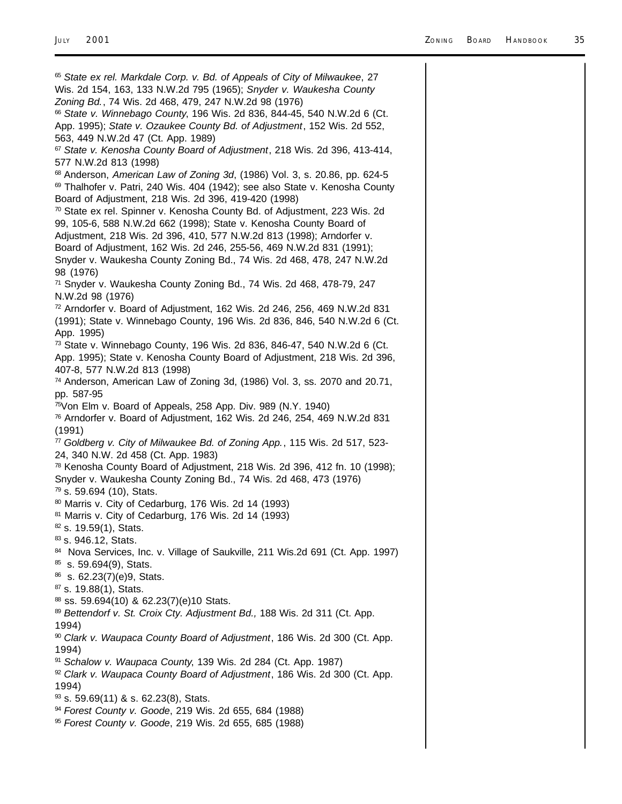<sup>65</sup> *State ex rel. Markdale Corp. v. Bd. of Appeals of City of Milwaukee*, 27 Wis. 2d 154, 163, 133 N.W.2d 795 (1965); *Snyder v. Waukesha County Zoning Bd.*, 74 Wis. 2d 468, 479, 247 N.W.2d 98 (1976) <sup>66</sup> *State v. Winnebago County*, 196 Wis. 2d 836, 844-45, 540 N.W.2d 6 (Ct. App. 1995); *State v. Ozaukee County Bd. of Adjustment*, 152 Wis. 2d 552, 563, 449 N.W.2d 47 (Ct. App. 1989) <sup>67</sup> *State v. Kenosha County Board of Adjustment*, 218 Wis. 2d 396, 413-414, 577 N.W.2d 813 (1998) <sup>68</sup> Anderson, *American Law of Zoning 3d*, (1986) Vol. 3, s. 20.86, pp. 624-5  $69$  Thalhofer v. Patri, 240 Wis. 404 (1942); see also State v. Kenosha County Board of Adjustment, 218 Wis. 2d 396, 419-420 (1998) <sup>70</sup> State ex rel. Spinner v. Kenosha County Bd. of Adjustment, 223 Wis. 2d 99, 105-6, 588 N.W.2d 662 (1998); State v. Kenosha County Board of Adjustment, 218 Wis. 2d 396, 410, 577 N.W.2d 813 (1998); Arndorfer v. Board of Adjustment, 162 Wis. 2d 246, 255-56, 469 N.W.2d 831 (1991); Snyder v. Waukesha County Zoning Bd., 74 Wis. 2d 468, 478, 247 N.W.2d 98 (1976) <sup>71</sup> Snyder v. Waukesha County Zoning Bd., 74 Wis. 2d 468, 478-79, 247 N.W.2d 98 (1976) <sup>72</sup> Arndorfer v. Board of Adjustment, 162 Wis. 2d 246, 256, 469 N.W.2d 831 (1991); State v. Winnebago County, 196 Wis. 2d 836, 846, 540 N.W.2d 6 (Ct. App. 1995) <sup>73</sup> State v. Winnebago County, 196 Wis. 2d 836, 846-47, 540 N.W.2d 6 (Ct. App. 1995); State v. Kenosha County Board of Adjustment, 218 Wis. 2d 396, 407-8, 577 N.W.2d 813 (1998) <sup>74</sup> Anderson, American Law of Zoning 3d, (1986) Vol. 3, ss. 2070 and 20.71, pp. 587-95 <sup>75</sup>Von Elm v. Board of Appeals, 258 App. Div. 989 (N.Y. 1940) <sup>76</sup> Arndorfer v. Board of Adjustment, 162 Wis. 2d 246, 254, 469 N.W.2d 831 (1991) <sup>77</sup> *Goldberg v. City of Milwaukee Bd. of Zoning App.*, 115 Wis. 2d 517, 523- 24, 340 N.W. 2d 458 (Ct. App. 1983) <sup>78</sup> Kenosha County Board of Adjustment, 218 Wis. 2d 396, 412 fn. 10 (1998); Snyder v. Waukesha County Zoning Bd., 74 Wis. 2d 468, 473 (1976)  $79$  s. 59.694 (10), Stats. <sup>80</sup> Marris v. City of Cedarburg, 176 Wis. 2d 14 (1993) <sup>81</sup> Marris v. City of Cedarburg, 176 Wis. 2d 14 (1993) 82 s. 19.59(1), Stats. 83 s. 946.12, Stats. 84 Nova Services, Inc. v. Village of Saukville, 211 Wis.2d 691 (Ct. App. 1997) 85 s. 59.694(9), Stats. <sup>86</sup> s. 62.23(7)(e)9, Stats. <sup>87</sup> s. 19.88(1), Stats. 88 ss. 59.694(10) & 62.23(7)(e)10 Stats. <sup>89</sup> *Bettendorf v. St. Croix Cty. Adjustment Bd.,* 188 Wis. 2d 311 (Ct. App. 1994) <sup>90</sup> *Clark v. Waupaca County Board of Adjustment*, 186 Wis. 2d 300 (Ct. App. 1994) <sup>91</sup> *Schalow v. Waupaca County*, 139 Wis. 2d 284 (Ct. App. 1987) <sup>92</sup> *Clark v. Waupaca County Board of Adjustment*, 186 Wis. 2d 300 (Ct. App. 1994) 93 s. 59.69(11) & s. 62.23(8), Stats. <sup>94</sup> *Forest County v. Goode*, 219 Wis. 2d 655, 684 (1988) <sup>95</sup> *Forest County v. Goode*, 219 Wis. 2d 655, 685 (1988)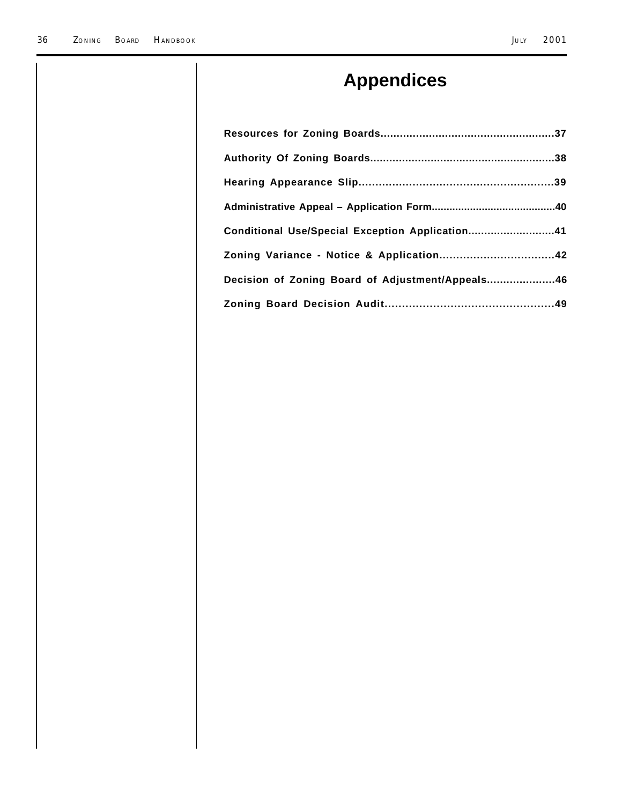# **Appendices**

| Conditional Use/Special Exception Application41  |  |
|--------------------------------------------------|--|
| Zoning Variance - Notice & Application42         |  |
| Decision of Zoning Board of Adjustment/Appeals46 |  |
|                                                  |  |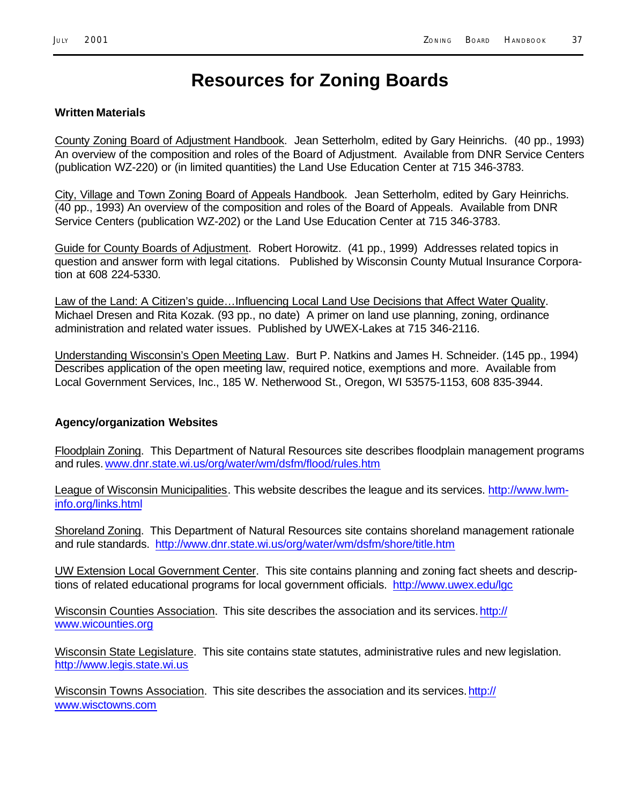### **Resources for Zoning Boards**

#### **Written Materials**

County Zoning Board of Adjustment Handbook. Jean Setterholm, edited by Gary Heinrichs. (40 pp., 1993) An overview of the composition and roles of the Board of Adjustment. Available from DNR Service Centers (publication WZ-220) or (in limited quantities) the Land Use Education Center at 715 346-3783.

City, Village and Town Zoning Board of Appeals Handbook. Jean Setterholm, edited by Gary Heinrichs. (40 pp., 1993) An overview of the composition and roles of the Board of Appeals. Available from DNR Service Centers (publication WZ-202) or the Land Use Education Center at 715 346-3783.

Guide for County Boards of Adjustment.Robert Horowitz. (41 pp., 1999) Addresses related topics in question and answer form with legal citations. Published by Wisconsin County Mutual Insurance Corporation at 608 224-5330.

Law of the Land: A Citizen's guide…Influencing Local Land Use Decisions that Affect Water Quality. Michael Dresen and Rita Kozak. (93 pp., no date) A primer on land use planning, zoning, ordinance administration and related water issues. Published by UWEX-Lakes at 715 346-2116.

Understanding Wisconsin's Open Meeting Law. Burt P. Natkins and James H. Schneider. (145 pp., 1994) Describes application of the open meeting law, required notice, exemptions and more. Available from Local Government Services, Inc., 185 W. Netherwood St., Oregon, WI 53575-1153, 608 835-3944.

#### **Agency/organization Websites**

Floodplain Zoning. This Department of Natural Resources site describes floodplain management programs and rules. www.dnr.state.wi.us/org/water/wm/dsfm/flood/rules.htm

League of Wisconsin Municipalities. This website describes the league and its services. http://www.lwminfo.org/links.html

Shoreland Zoning.This Department of Natural Resources site contains shoreland management rationale and rule standards. http://www.dnr.state.wi.us/org/water/wm/dsfm/shore/title.htm

UW Extension Local Government Center. This site contains planning and zoning fact sheets and descriptions of related educational programs for local government officials. http://www.uwex.edu/lgc

Wisconsin Counties Association.This site describes the association and its services.http:// www.wicounties.org

Wisconsin State Legislature. This site contains state statutes, administrative rules and new legislation. http://www.legis.state.wi.us

Wisconsin Towns Association. This site describes the association and its services. http:// www.wisctowns.com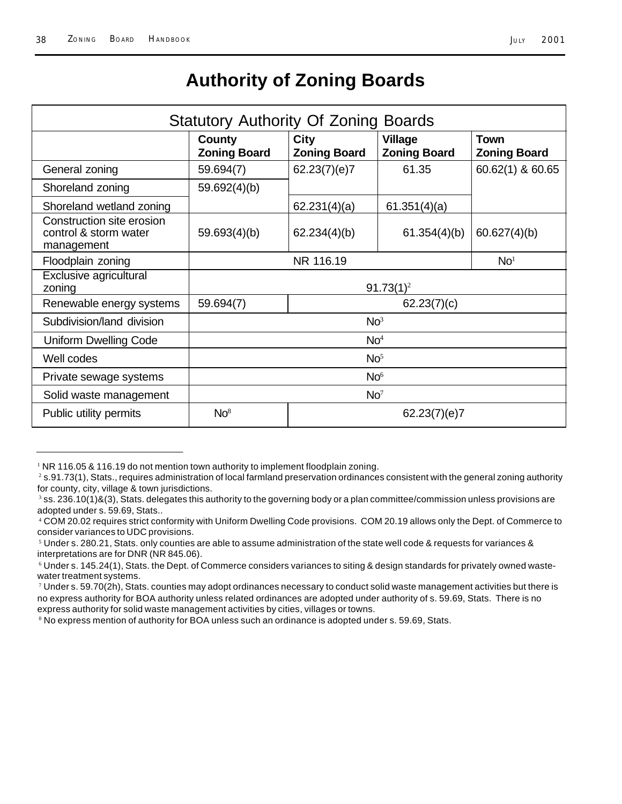### **Authority of Zoning Boards**

| <b>Statutory Authority Of Zoning Boards</b>                      |                                      |                                    |                                       |                                    |
|------------------------------------------------------------------|--------------------------------------|------------------------------------|---------------------------------------|------------------------------------|
|                                                                  | <b>County</b><br><b>Zoning Board</b> | <b>City</b><br><b>Zoning Board</b> | <b>Village</b><br><b>Zoning Board</b> | <b>Town</b><br><b>Zoning Board</b> |
| General zoning                                                   | 59.694(7)                            | 62.23(7)(e)7                       | 61.35                                 | 60.62(1) & 60.65                   |
| Shoreland zoning                                                 | 59.692(4)(b)                         |                                    |                                       |                                    |
| Shoreland wetland zoning                                         |                                      | 62.231(4)(a)                       | 61.351(4)(a)                          |                                    |
| Construction site erosion<br>control & storm water<br>management | 59.693(4)(b)                         | 62.234(4)(b)                       | 61.354(4)(b)                          | 60.627(4)(b)                       |
| Floodplain zoning                                                | NR 116.19<br>No <sup>1</sup>         |                                    |                                       |                                    |
| Exclusive agricultural<br>zoning                                 | $91.73(1)^2$                         |                                    |                                       |                                    |
| Renewable energy systems                                         | 59.694(7)<br>62.23(7)(c)             |                                    |                                       |                                    |
| Subdivision/land division                                        | No <sup>3</sup>                      |                                    |                                       |                                    |
| <b>Uniform Dwelling Code</b>                                     | No <sup>4</sup>                      |                                    |                                       |                                    |
| Well codes                                                       | No <sup>5</sup>                      |                                    |                                       |                                    |
| Private sewage systems                                           | No <sup>6</sup>                      |                                    |                                       |                                    |
| Solid waste management                                           | No <sup>7</sup>                      |                                    |                                       |                                    |
| Public utility permits                                           | No <sup>8</sup><br>62.23(7)(e)7      |                                    |                                       |                                    |

 $1$  NR 116.05 & 116.19 do not mention town authority to implement floodplain zoning.

<sup>2</sup> s.91.73(1), Stats., requires administration of local farmland preservation ordinances consistent with the general zoning authority for county, city, village & town jurisdictions.

 $^3$  ss. 236.10(1)&(3), Stats. delegates this authority to the governing body or a plan committee/commission unless provisions are adopted under s. 59.69, Stats..

<sup>4</sup> COM 20.02 requires strict conformity with Uniform Dwelling Code provisions. COM 20.19 allows only the Dept. of Commerce to consider variances to UDC provisions.

 $^{\rm 5}$  Under s. 280.21, Stats. only counties are able to assume administration of the state well code & requests for variances & interpretations are for DNR (NR 845.06).

 $^6$  Under s. 145.24(1), Stats. the Dept. of Commerce considers variances to siting & design standards for privately owned wastewater treatment systems.

 $^7$  Under s. 59.70(2h), Stats. counties may adopt ordinances necessary to conduct solid waste management activities but there is no express authority for BOA authority unless related ordinances are adopted under authority of s. 59.69, Stats. There is no express authority for solid waste management activities by cities, villages or towns.

 $\,^8$  No express mention of authority for BOA unless such an ordinance is adopted under s. 59.69, Stats.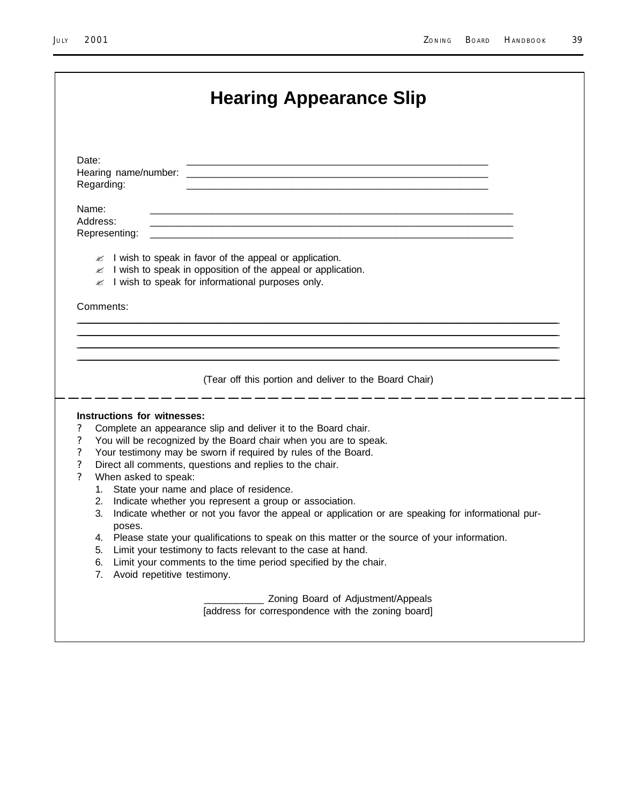| Regarding:<br>the control of the control of the control of the control of the control of the control of the control of the control of the control of the control of the control of the control of the control of the control of the control<br>and the control of the control of the control of the control of the control of the control of the control of the<br>Address:<br>Representing:<br>and the control of the control of the control of the control of the control of the control of the control of the<br>$\mathscr{A}$ I wish to speak in favor of the appeal or application.<br>I wish to speak in opposition of the appeal or application.<br>≤<br>$\mathbb Z$ I wish to speak for informational purposes only.<br>Comments:<br>(Tear off this portion and deliver to the Board Chair)<br>Instructions for witnesses:<br>Complete an appearance slip and deliver it to the Board chair.<br>You will be recognized by the Board chair when you are to speak.<br>Your testimony may be sworn if required by rules of the Board.<br>Direct all comments, questions and replies to the chair.<br>When asked to speak:<br>1. State your name and place of residence.<br>Indicate whether you represent a group or association.<br>2.<br>Indicate whether or not you favor the appeal or application or are speaking for informational pur-<br>3.<br>poses.<br>Please state your qualifications to speak on this matter or the source of your information.<br>4.<br>Limit your testimony to facts relevant to the case at hand.<br>5.<br>Limit your comments to the time period specified by the chair.<br>6.<br>Avoid repetitive testimony.<br>7.<br>Zoning Board of Adjustment/Appeals<br>[address for correspondence with the zoning board] |          | <b>Hearing Appearance Slip</b> |
|-------------------------------------------------------------------------------------------------------------------------------------------------------------------------------------------------------------------------------------------------------------------------------------------------------------------------------------------------------------------------------------------------------------------------------------------------------------------------------------------------------------------------------------------------------------------------------------------------------------------------------------------------------------------------------------------------------------------------------------------------------------------------------------------------------------------------------------------------------------------------------------------------------------------------------------------------------------------------------------------------------------------------------------------------------------------------------------------------------------------------------------------------------------------------------------------------------------------------------------------------------------------------------------------------------------------------------------------------------------------------------------------------------------------------------------------------------------------------------------------------------------------------------------------------------------------------------------------------------------------------------------------------------------------------------------------------------------------------------------------------------|----------|--------------------------------|
|                                                                                                                                                                                                                                                                                                                                                                                                                                                                                                                                                                                                                                                                                                                                                                                                                                                                                                                                                                                                                                                                                                                                                                                                                                                                                                                                                                                                                                                                                                                                                                                                                                                                                                                                                       | Date:    |                                |
|                                                                                                                                                                                                                                                                                                                                                                                                                                                                                                                                                                                                                                                                                                                                                                                                                                                                                                                                                                                                                                                                                                                                                                                                                                                                                                                                                                                                                                                                                                                                                                                                                                                                                                                                                       |          |                                |
|                                                                                                                                                                                                                                                                                                                                                                                                                                                                                                                                                                                                                                                                                                                                                                                                                                                                                                                                                                                                                                                                                                                                                                                                                                                                                                                                                                                                                                                                                                                                                                                                                                                                                                                                                       | Name:    |                                |
|                                                                                                                                                                                                                                                                                                                                                                                                                                                                                                                                                                                                                                                                                                                                                                                                                                                                                                                                                                                                                                                                                                                                                                                                                                                                                                                                                                                                                                                                                                                                                                                                                                                                                                                                                       |          |                                |
|                                                                                                                                                                                                                                                                                                                                                                                                                                                                                                                                                                                                                                                                                                                                                                                                                                                                                                                                                                                                                                                                                                                                                                                                                                                                                                                                                                                                                                                                                                                                                                                                                                                                                                                                                       |          |                                |
|                                                                                                                                                                                                                                                                                                                                                                                                                                                                                                                                                                                                                                                                                                                                                                                                                                                                                                                                                                                                                                                                                                                                                                                                                                                                                                                                                                                                                                                                                                                                                                                                                                                                                                                                                       |          |                                |
|                                                                                                                                                                                                                                                                                                                                                                                                                                                                                                                                                                                                                                                                                                                                                                                                                                                                                                                                                                                                                                                                                                                                                                                                                                                                                                                                                                                                                                                                                                                                                                                                                                                                                                                                                       |          |                                |
|                                                                                                                                                                                                                                                                                                                                                                                                                                                                                                                                                                                                                                                                                                                                                                                                                                                                                                                                                                                                                                                                                                                                                                                                                                                                                                                                                                                                                                                                                                                                                                                                                                                                                                                                                       |          |                                |
|                                                                                                                                                                                                                                                                                                                                                                                                                                                                                                                                                                                                                                                                                                                                                                                                                                                                                                                                                                                                                                                                                                                                                                                                                                                                                                                                                                                                                                                                                                                                                                                                                                                                                                                                                       |          |                                |
|                                                                                                                                                                                                                                                                                                                                                                                                                                                                                                                                                                                                                                                                                                                                                                                                                                                                                                                                                                                                                                                                                                                                                                                                                                                                                                                                                                                                                                                                                                                                                                                                                                                                                                                                                       |          |                                |
|                                                                                                                                                                                                                                                                                                                                                                                                                                                                                                                                                                                                                                                                                                                                                                                                                                                                                                                                                                                                                                                                                                                                                                                                                                                                                                                                                                                                                                                                                                                                                                                                                                                                                                                                                       |          |                                |
|                                                                                                                                                                                                                                                                                                                                                                                                                                                                                                                                                                                                                                                                                                                                                                                                                                                                                                                                                                                                                                                                                                                                                                                                                                                                                                                                                                                                                                                                                                                                                                                                                                                                                                                                                       |          |                                |
|                                                                                                                                                                                                                                                                                                                                                                                                                                                                                                                                                                                                                                                                                                                                                                                                                                                                                                                                                                                                                                                                                                                                                                                                                                                                                                                                                                                                                                                                                                                                                                                                                                                                                                                                                       |          |                                |
|                                                                                                                                                                                                                                                                                                                                                                                                                                                                                                                                                                                                                                                                                                                                                                                                                                                                                                                                                                                                                                                                                                                                                                                                                                                                                                                                                                                                                                                                                                                                                                                                                                                                                                                                                       |          |                                |
|                                                                                                                                                                                                                                                                                                                                                                                                                                                                                                                                                                                                                                                                                                                                                                                                                                                                                                                                                                                                                                                                                                                                                                                                                                                                                                                                                                                                                                                                                                                                                                                                                                                                                                                                                       | $\gamma$ |                                |
|                                                                                                                                                                                                                                                                                                                                                                                                                                                                                                                                                                                                                                                                                                                                                                                                                                                                                                                                                                                                                                                                                                                                                                                                                                                                                                                                                                                                                                                                                                                                                                                                                                                                                                                                                       | $\gamma$ |                                |
|                                                                                                                                                                                                                                                                                                                                                                                                                                                                                                                                                                                                                                                                                                                                                                                                                                                                                                                                                                                                                                                                                                                                                                                                                                                                                                                                                                                                                                                                                                                                                                                                                                                                                                                                                       | $\gamma$ |                                |
|                                                                                                                                                                                                                                                                                                                                                                                                                                                                                                                                                                                                                                                                                                                                                                                                                                                                                                                                                                                                                                                                                                                                                                                                                                                                                                                                                                                                                                                                                                                                                                                                                                                                                                                                                       | $\gamma$ |                                |
|                                                                                                                                                                                                                                                                                                                                                                                                                                                                                                                                                                                                                                                                                                                                                                                                                                                                                                                                                                                                                                                                                                                                                                                                                                                                                                                                                                                                                                                                                                                                                                                                                                                                                                                                                       | $\gamma$ |                                |
|                                                                                                                                                                                                                                                                                                                                                                                                                                                                                                                                                                                                                                                                                                                                                                                                                                                                                                                                                                                                                                                                                                                                                                                                                                                                                                                                                                                                                                                                                                                                                                                                                                                                                                                                                       |          |                                |
|                                                                                                                                                                                                                                                                                                                                                                                                                                                                                                                                                                                                                                                                                                                                                                                                                                                                                                                                                                                                                                                                                                                                                                                                                                                                                                                                                                                                                                                                                                                                                                                                                                                                                                                                                       |          |                                |
|                                                                                                                                                                                                                                                                                                                                                                                                                                                                                                                                                                                                                                                                                                                                                                                                                                                                                                                                                                                                                                                                                                                                                                                                                                                                                                                                                                                                                                                                                                                                                                                                                                                                                                                                                       |          |                                |
|                                                                                                                                                                                                                                                                                                                                                                                                                                                                                                                                                                                                                                                                                                                                                                                                                                                                                                                                                                                                                                                                                                                                                                                                                                                                                                                                                                                                                                                                                                                                                                                                                                                                                                                                                       |          |                                |
|                                                                                                                                                                                                                                                                                                                                                                                                                                                                                                                                                                                                                                                                                                                                                                                                                                                                                                                                                                                                                                                                                                                                                                                                                                                                                                                                                                                                                                                                                                                                                                                                                                                                                                                                                       |          |                                |
|                                                                                                                                                                                                                                                                                                                                                                                                                                                                                                                                                                                                                                                                                                                                                                                                                                                                                                                                                                                                                                                                                                                                                                                                                                                                                                                                                                                                                                                                                                                                                                                                                                                                                                                                                       |          |                                |
|                                                                                                                                                                                                                                                                                                                                                                                                                                                                                                                                                                                                                                                                                                                                                                                                                                                                                                                                                                                                                                                                                                                                                                                                                                                                                                                                                                                                                                                                                                                                                                                                                                                                                                                                                       |          |                                |
|                                                                                                                                                                                                                                                                                                                                                                                                                                                                                                                                                                                                                                                                                                                                                                                                                                                                                                                                                                                                                                                                                                                                                                                                                                                                                                                                                                                                                                                                                                                                                                                                                                                                                                                                                       |          |                                |
|                                                                                                                                                                                                                                                                                                                                                                                                                                                                                                                                                                                                                                                                                                                                                                                                                                                                                                                                                                                                                                                                                                                                                                                                                                                                                                                                                                                                                                                                                                                                                                                                                                                                                                                                                       |          |                                |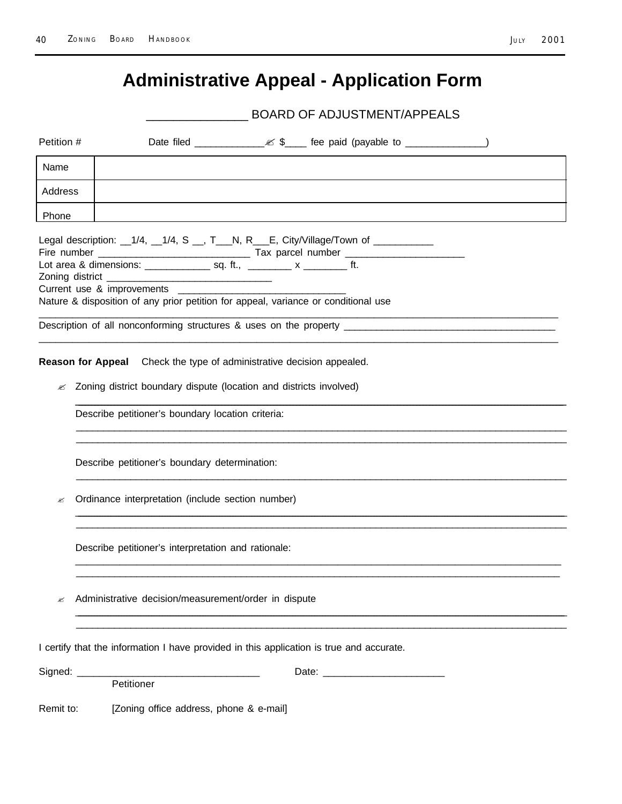# **Administrative Appeal - Application Form**

BOARD OF ADJUSTMENT/APPEALS

| Petition # |                                                                                                                                                                                                                                                                                                                                                                                         |  |  |  |  |  |
|------------|-----------------------------------------------------------------------------------------------------------------------------------------------------------------------------------------------------------------------------------------------------------------------------------------------------------------------------------------------------------------------------------------|--|--|--|--|--|
| Name       |                                                                                                                                                                                                                                                                                                                                                                                         |  |  |  |  |  |
| Address    |                                                                                                                                                                                                                                                                                                                                                                                         |  |  |  |  |  |
| Phone      |                                                                                                                                                                                                                                                                                                                                                                                         |  |  |  |  |  |
|            | Legal description: __1/4, __1/4, S __, T___N, R___E, City/Village/Town of __________<br>Lot area & dimensions: _________________ sq. ft., _________ x _________ ft.<br>Zoning district<br><u> 1989 - Johann John Stein, marwolaethau (b. 1989)</u><br>Current use & improvements ________________<br>Nature & disposition of any prior petition for appeal, variance or conditional use |  |  |  |  |  |
|            | Description of all nonconforming structures & uses on the property _________________________________                                                                                                                                                                                                                                                                                    |  |  |  |  |  |
|            | Reason for Appeal Check the type of administrative decision appealed.                                                                                                                                                                                                                                                                                                                   |  |  |  |  |  |
| ≤          | Zoning district boundary dispute (location and districts involved)                                                                                                                                                                                                                                                                                                                      |  |  |  |  |  |
|            | Describe petitioner's boundary location criteria:                                                                                                                                                                                                                                                                                                                                       |  |  |  |  |  |
|            | Describe petitioner's boundary determination:                                                                                                                                                                                                                                                                                                                                           |  |  |  |  |  |
| ø          | Ordinance interpretation (include section number)                                                                                                                                                                                                                                                                                                                                       |  |  |  |  |  |
|            | Describe petitioner's interpretation and rationale:                                                                                                                                                                                                                                                                                                                                     |  |  |  |  |  |
|            | Administrative decision/measurement/order in dispute                                                                                                                                                                                                                                                                                                                                    |  |  |  |  |  |
|            | I certify that the information I have provided in this application is true and accurate.                                                                                                                                                                                                                                                                                                |  |  |  |  |  |
|            | Petitioner                                                                                                                                                                                                                                                                                                                                                                              |  |  |  |  |  |
| Remit to:  | [Zoning office address, phone & e-mail]                                                                                                                                                                                                                                                                                                                                                 |  |  |  |  |  |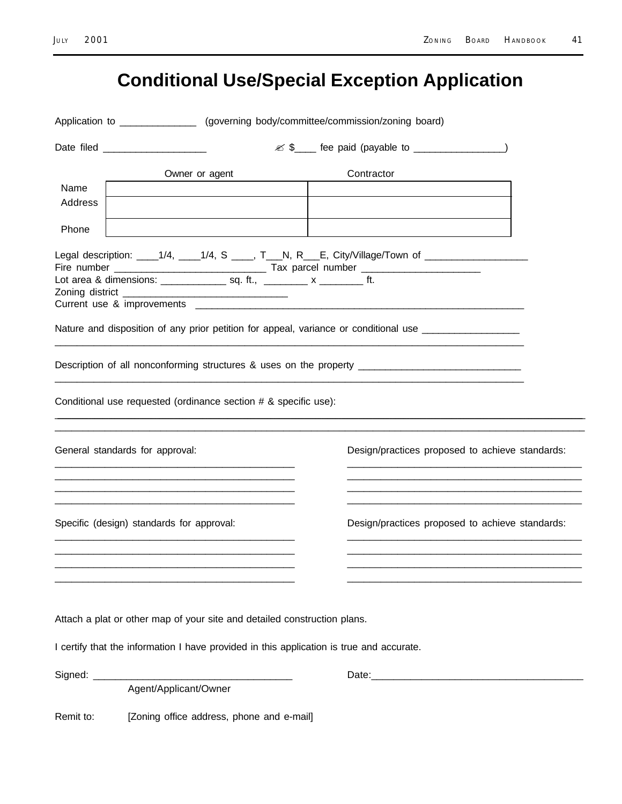# **Conditional Use/Special Exception Application**

|                  | Application to ________________ (governing body/committee/commission/zoning board)                                                                                   |  |                                                                                                                                                                                                            |  |  |
|------------------|----------------------------------------------------------------------------------------------------------------------------------------------------------------------|--|------------------------------------------------------------------------------------------------------------------------------------------------------------------------------------------------------------|--|--|
|                  | Date filed ____________________                                                                                                                                      |  |                                                                                                                                                                                                            |  |  |
| Name             | Owner or agent                                                                                                                                                       |  | Contractor                                                                                                                                                                                                 |  |  |
| Address<br>Phone |                                                                                                                                                                      |  |                                                                                                                                                                                                            |  |  |
|                  |                                                                                                                                                                      |  | Legal description: ____1/4, ____1/4, S ____, T___N, R___E, City/Village/Town of __________________<br>Nature and disposition of any prior petition for appeal, variance or conditional use _______________ |  |  |
|                  |                                                                                                                                                                      |  | Description of all nonconforming structures & uses on the property ________________________________                                                                                                        |  |  |
|                  | Conditional use requested (ordinance section # & specific use):                                                                                                      |  |                                                                                                                                                                                                            |  |  |
|                  | General standards for approval:                                                                                                                                      |  | Design/practices proposed to achieve standards:                                                                                                                                                            |  |  |
|                  | Specific (design) standards for approval:                                                                                                                            |  | Design/practices proposed to achieve standards:                                                                                                                                                            |  |  |
|                  | Attach a plat or other map of your site and detailed construction plans.<br>I certify that the information I have provided in this application is true and accurate. |  |                                                                                                                                                                                                            |  |  |
|                  |                                                                                                                                                                      |  |                                                                                                                                                                                                            |  |  |
|                  | Agent/Applicant/Owner                                                                                                                                                |  |                                                                                                                                                                                                            |  |  |
| Remit to:        | [Zoning office address, phone and e-mail]                                                                                                                            |  |                                                                                                                                                                                                            |  |  |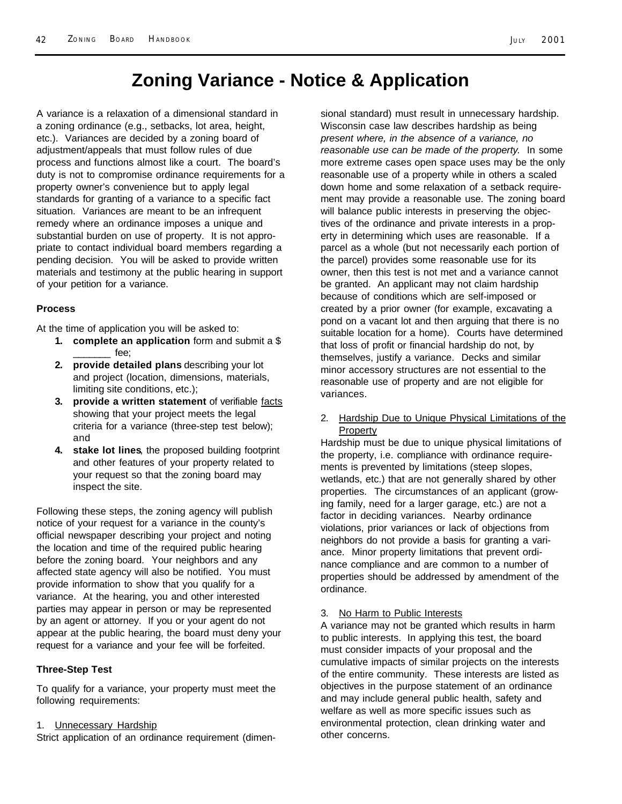### **Zoning Variance - Notice & Application**

A variance is a relaxation of a dimensional standard in a zoning ordinance (e.g., setbacks, lot area, height, etc.). Variances are decided by a zoning board of adjustment/appeals that must follow rules of due process and functions almost like a court. The board's duty is not to compromise ordinance requirements for a property owner's convenience but to apply legal standards for granting of a variance to a specific fact situation. Variances are meant to be an infrequent remedy where an ordinance imposes a unique and substantial burden on use of property. It is not appropriate to contact individual board members regarding a pending decision. You will be asked to provide written materials and testimony at the public hearing in support of your petition for a variance.

#### **Process**

At the time of application you will be asked to:

- **1. complete an application** form and submit a \$ fee;
- **2. provide detailed plans** describing your lot and project (location, dimensions, materials, limiting site conditions, etc.);
- **3. provide a written statement** of verifiable facts showing that your project meets the legal criteria for a variance (three-step test below); and
- **4. stake lot lines**, the proposed building footprint and other features of your property related to your request so that the zoning board may inspect the site.

Following these steps, the zoning agency will publish notice of your request for a variance in the county's official newspaper describing your project and noting the location and time of the required public hearing before the zoning board. Your neighbors and any affected state agency will also be notified. You must provide information to show that you qualify for a variance. At the hearing, you and other interested parties may appear in person or may be represented by an agent or attorney. If you or your agent do not appear at the public hearing, the board must deny your request for a variance and your fee will be forfeited.

#### **Three-Step Test**

To qualify for a variance, your property must meet the following requirements:

#### 1. Unnecessary Hardship

Strict application of an ordinance requirement (dimen-

sional standard) must result in unnecessary hardship. Wisconsin case law describes hardship as being *present where, in the absence of a variance, no reasonable use can be made of the property*. In some more extreme cases open space uses may be the only reasonable use of a property while in others a scaled down home and some relaxation of a setback requirement may provide a reasonable use. The zoning board will balance public interests in preserving the objectives of the ordinance and private interests in a property in determining which uses are reasonable. If a parcel as a whole (but not necessarily each portion of the parcel) provides some reasonable use for its owner, then this test is not met and a variance cannot be granted. An applicant may not claim hardship because of conditions which are self-imposed or created by a prior owner (for example, excavating a pond on a vacant lot and then arguing that there is no suitable location for a home). Courts have determined that loss of profit or financial hardship do not, by themselves, justify a variance. Decks and similar minor accessory structures are not essential to the reasonable use of property and are not eligible for variances.

#### 2. Hardship Due to Unique Physical Limitations of the **Property**

Hardship must be due to unique physical limitations of the property, i.e. compliance with ordinance requirements is prevented by limitations (steep slopes, wetlands, etc.) that are not generally shared by other properties. The circumstances of an applicant (growing family, need for a larger garage, etc.) are not a factor in deciding variances. Nearby ordinance violations, prior variances or lack of objections from neighbors do not provide a basis for granting a variance. Minor property limitations that prevent ordinance compliance and are common to a number of properties should be addressed by amendment of the ordinance.

#### 3. No Harm to Public Interests

A variance may not be granted which results in harm to public interests. In applying this test, the board must consider impacts of your proposal and the cumulative impacts of similar projects on the interests of the entire community. These interests are listed as objectives in the purpose statement of an ordinance and may include general public health, safety and welfare as well as more specific issues such as environmental protection, clean drinking water and other concerns.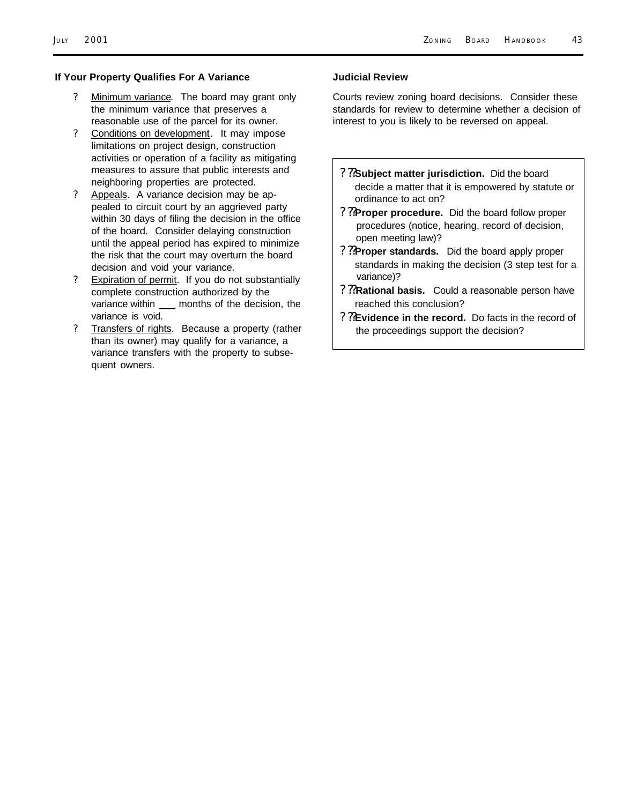#### **If Your Property Qualifies For A Variance**

- ? Minimum variance. The board may grant only the minimum variance that preserves a reasonable use of the parcel for its owner.
- ? Conditions on development. It may impose limitations on project design, construction activities or operation of a facility as mitigating measures to assure that public interests and neighboring properties are protected.
- ? Appeals. A variance decision may be appealed to circuit court by an aggrieved party within 30 days of filing the decision in the office of the board. Consider delaying construction until the appeal period has expired to minimize the risk that the court may overturn the board decision and void your variance.
- ? Expiration of permit. If you do not substantially complete construction authorized by the variance within \_\_\_ months of the decision, the variance is void.
- ? Transfers of rights. Because a property (rather than its owner) may qualify for a variance, a variance transfers with the property to subsequent owners.

#### **Judicial Review**

Courts review zoning board decisions. Consider these standards for review to determine whether a decision of interest to you is likely to be reversed on appeal.

- **? ??Subject matter jurisdiction.** Did the board decide a matter that it is empowered by statute or ordinance to act on?
- **? ??Proper procedure.** Did the board follow proper procedures (notice, hearing, record of decision, open meeting law)?
- **? ??Proper standards.** Did the board apply proper standards in making the decision (3 step test for a variance)?
- **? ??Rational basis.** Could a reasonable person have reached this conclusion?
- **? ??Evidence in the record.** Do facts in the record of the proceedings support the decision?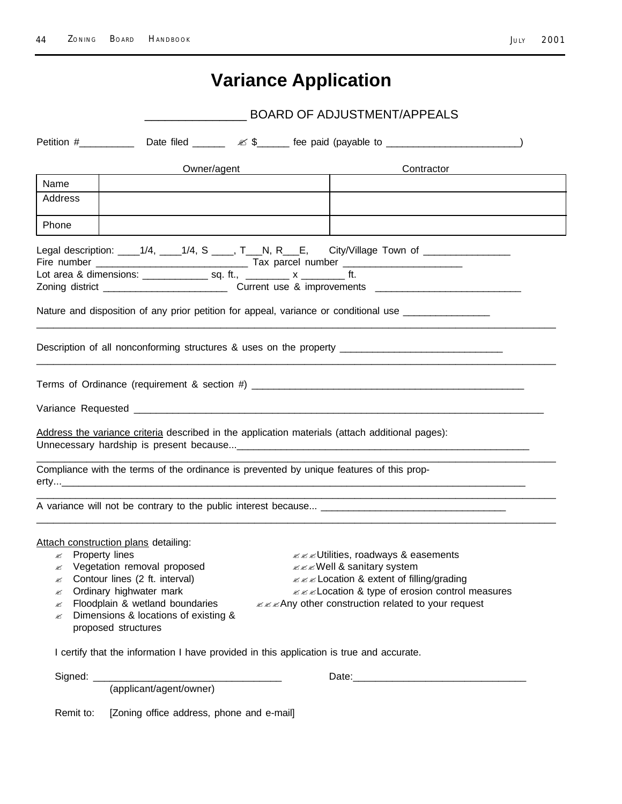# **Variance Application**

|                  |                                                                                                                                                                                                                                                                                                                                                                                                                                                                                                                           |                                                                  | <b>BOARD OF ADJUSTMENT/APPEALS</b>                                                                  |
|------------------|---------------------------------------------------------------------------------------------------------------------------------------------------------------------------------------------------------------------------------------------------------------------------------------------------------------------------------------------------------------------------------------------------------------------------------------------------------------------------------------------------------------------------|------------------------------------------------------------------|-----------------------------------------------------------------------------------------------------|
| Petition #       |                                                                                                                                                                                                                                                                                                                                                                                                                                                                                                                           |                                                                  | Date filed $\frac{\&\text{L}}{\&\text{L}}$ fee paid (payable to $\frac{\&\text{L}}{\&\text{L}}$ )   |
|                  | Owner/agent                                                                                                                                                                                                                                                                                                                                                                                                                                                                                                               | <u> 1989 - Johann Stein, mars an t-Amerikaansk kommunister (</u> | Contractor                                                                                          |
| Name             |                                                                                                                                                                                                                                                                                                                                                                                                                                                                                                                           |                                                                  |                                                                                                     |
| Address          |                                                                                                                                                                                                                                                                                                                                                                                                                                                                                                                           |                                                                  |                                                                                                     |
| Phone            |                                                                                                                                                                                                                                                                                                                                                                                                                                                                                                                           |                                                                  |                                                                                                     |
|                  | Lot area & dimensions: _________________ sq. ft., _________ x __________ ft.                                                                                                                                                                                                                                                                                                                                                                                                                                              |                                                                  | Legal description: _____1/4, _____1/4, S _____, T___N, R___E, City/Village Town of ________________ |
|                  |                                                                                                                                                                                                                                                                                                                                                                                                                                                                                                                           |                                                                  | Nature and disposition of any prior petition for appeal, variance or conditional use ______________ |
|                  |                                                                                                                                                                                                                                                                                                                                                                                                                                                                                                                           |                                                                  | Description of all nonconforming structures & uses on the property ________________________________ |
|                  |                                                                                                                                                                                                                                                                                                                                                                                                                                                                                                                           |                                                                  |                                                                                                     |
|                  |                                                                                                                                                                                                                                                                                                                                                                                                                                                                                                                           |                                                                  |                                                                                                     |
|                  |                                                                                                                                                                                                                                                                                                                                                                                                                                                                                                                           |                                                                  |                                                                                                     |
|                  | Address the variance criteria described in the application materials (attach additional pages):                                                                                                                                                                                                                                                                                                                                                                                                                           |                                                                  |                                                                                                     |
|                  | Compliance with the terms of the ordinance is prevented by unique features of this prop-                                                                                                                                                                                                                                                                                                                                                                                                                                  |                                                                  |                                                                                                     |
|                  |                                                                                                                                                                                                                                                                                                                                                                                                                                                                                                                           |                                                                  |                                                                                                     |
|                  |                                                                                                                                                                                                                                                                                                                                                                                                                                                                                                                           |                                                                  |                                                                                                     |
| ø<br>ø<br>ø<br>ø | Attach construction plans detailing:<br>$\mathscr{A}$ Property lines<br><b>∠∠∠Utilities, roadways &amp; easements</b><br>Vegetation removal proposed<br><b>EXEWell &amp; sanitary system</b><br>Contour lines (2 ft. interval)<br>zzz Location & extent of filling/grading<br>Ordinary highwater mark<br><b>∠∠∠Location &amp; type of erosion control measures</b><br>zzzAny other construction related to your request<br>Floodplain & wetland boundaries<br>Dimensions & locations of existing &<br>proposed structures |                                                                  |                                                                                                     |
|                  | I certify that the information I have provided in this application is true and accurate.                                                                                                                                                                                                                                                                                                                                                                                                                                  |                                                                  |                                                                                                     |
|                  |                                                                                                                                                                                                                                                                                                                                                                                                                                                                                                                           |                                                                  |                                                                                                     |
| Remit to:        | [Zoning office address, phone and e-mail]                                                                                                                                                                                                                                                                                                                                                                                                                                                                                 |                                                                  |                                                                                                     |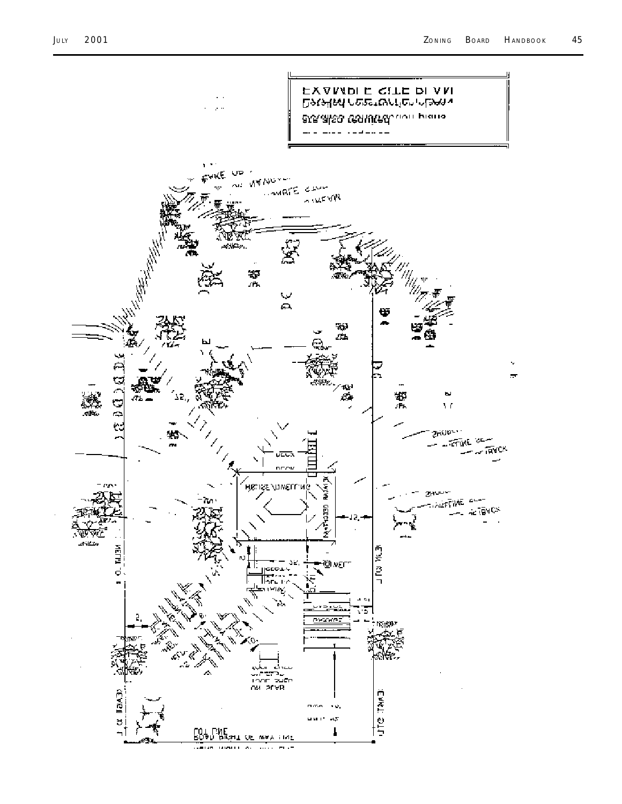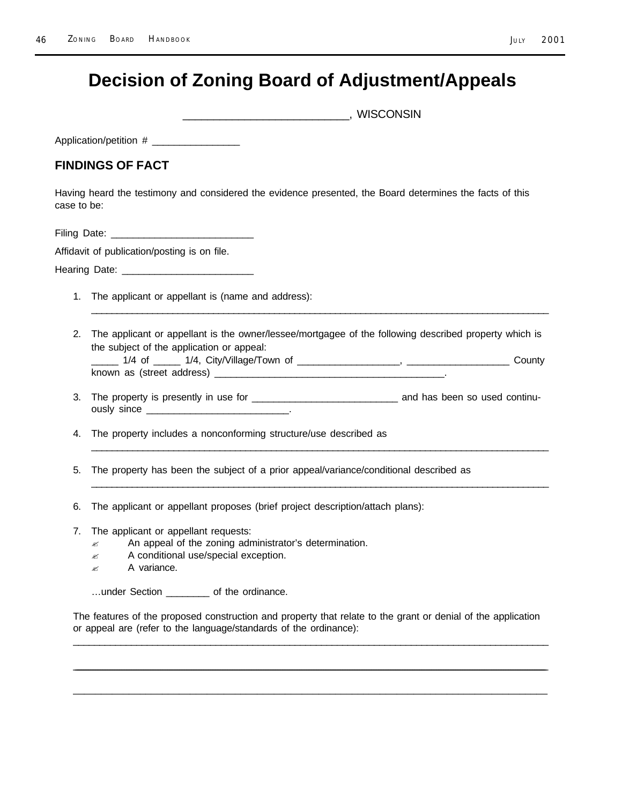### **Decision of Zoning Board of Adjustment/Appeals**

 $\blacksquare$  . WISCONSIN

Application/petition #

#### **FINDINGS OF FACT**

Having heard the testimony and considered the evidence presented, the Board determines the facts of this case to be:

Filing Date: \_\_\_\_\_\_\_\_\_\_\_\_\_\_\_\_\_\_\_\_\_\_\_\_\_\_

Affidavit of publication/posting is on file.

Hearing Date:

- 1. The applicant or appellant is (name and address):
- 2. The applicant or appellant is the owner/lessee/mortgagee of the following described property which is the subject of the application or appeal: \_\_\_\_\_ 1/4 of \_\_\_\_\_ 1/4, City/Village/Town of \_\_\_\_\_\_\_\_\_\_\_\_\_\_\_\_\_\_\_, \_\_\_\_\_\_\_\_\_\_\_\_\_\_\_\_\_\_\_ County

\_\_\_\_\_\_\_\_\_\_\_\_\_\_\_\_\_\_\_\_\_\_\_\_\_\_\_\_\_\_\_\_\_\_\_\_\_\_\_\_\_\_\_\_\_\_\_\_\_\_\_\_\_\_\_\_\_\_\_\_\_\_\_\_\_\_\_\_\_\_\_\_\_\_\_\_\_\_\_\_\_\_\_\_\_\_\_\_\_\_

- known as (street address) \_\_\_\_\_\_\_\_\_\_\_\_\_\_\_\_\_\_\_\_\_\_\_\_\_\_\_\_\_\_\_\_\_\_\_\_\_\_\_\_\_\_.
- 3. The property is presently in use for \_\_\_\_\_\_\_\_\_\_\_\_\_\_\_\_\_\_\_\_\_\_\_\_\_\_\_ and has been so used continuously since the contract of the contract of the contract of the contract of the contract of the contract of the contract of the contract of the contract of the contract of the contract of the contract of the contract of th

\_\_\_\_\_\_\_\_\_\_\_\_\_\_\_\_\_\_\_\_\_\_\_\_\_\_\_\_\_\_\_\_\_\_\_\_\_\_\_\_\_\_\_\_\_\_\_\_\_\_\_\_\_\_\_\_\_\_\_\_\_\_\_\_\_\_\_\_\_\_\_\_\_\_\_\_\_\_\_\_\_\_\_\_\_\_\_\_\_

\_\_\_\_\_\_\_\_\_\_\_\_\_\_\_\_\_\_\_\_\_\_\_\_\_\_\_\_\_\_\_\_\_\_\_\_\_\_\_\_\_\_\_\_\_\_\_\_\_\_\_\_\_\_\_\_\_\_\_\_\_\_\_\_\_\_\_\_\_\_\_\_\_\_\_\_\_\_\_\_\_\_\_\_\_\_\_\_\_\_

- 4. The property includes a nonconforming structure/use described as
- 5. The property has been the subject of a prior appeal/variance/conditional described as
- 6. The applicant or appellant proposes (brief project description/attach plans):
- 7. The applicant or appellant requests:
	- $\mathbb{R}$  An appeal of the zoning administrator's determination.
	- $\mathbb Z$  A conditional use/special exception.
	- $\approx$  A variance.

…under Section \_\_\_\_\_\_\_\_ of the ordinance.

The features of the proposed construction and property that relate to the grant or denial of the application or appeal are (refer to the language/standards of the ordinance): \_\_\_\_\_\_\_\_\_\_\_\_\_\_\_\_\_\_\_\_\_\_\_\_\_\_\_\_\_\_\_\_\_\_\_\_\_\_\_\_\_\_\_\_\_\_\_\_\_\_\_\_\_\_\_\_\_\_\_\_\_\_\_\_\_\_\_\_\_\_\_\_\_\_\_\_\_\_\_\_\_\_\_\_\_\_\_\_\_\_

<u> Louis Communication (1999), communication (1999), communication (1999), communication (1999), communication</u>

\_\_\_\_\_\_\_\_\_\_\_\_\_\_\_\_\_\_\_\_\_\_\_\_\_\_\_\_\_\_\_\_\_\_\_\_\_\_\_\_\_\_\_\_\_\_\_\_\_\_\_\_\_\_\_\_\_\_\_\_\_\_\_\_\_\_\_\_\_\_\_\_\_\_\_\_\_\_\_\_\_\_\_\_\_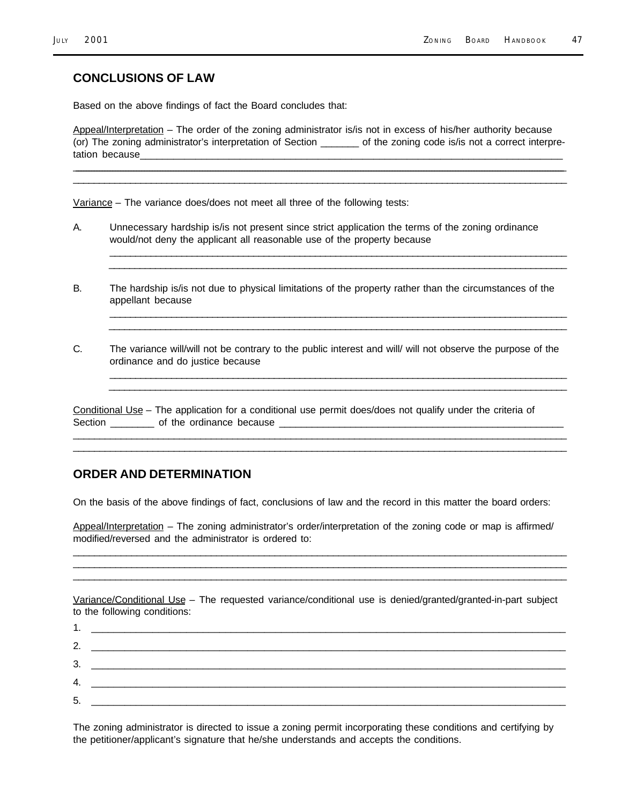#### **CONCLUSIONS OF LAW**

Based on the above findings of fact the Board concludes that:

Appeal/Interpretation – The order of the zoning administrator is/is not in excess of his/her authority because (or) The zoning administrator's interpretation of Section \_\_\_\_\_\_\_ of the zoning code is/is not a correct interpretation because

\_\_\_\_\_\_\_\_\_\_\_\_\_\_\_\_\_\_\_\_\_\_\_\_\_\_\_\_\_\_\_\_\_\_\_\_\_\_\_\_\_\_\_\_\_\_\_\_\_\_\_\_\_\_\_\_\_\_\_\_\_\_\_\_\_\_\_\_\_\_\_\_\_\_\_\_\_\_\_\_\_\_\_\_\_\_\_\_\_\_\_\_\_\_\_\_\_\_\_\_\_\_\_\_\_\_\_\_\_\_\_\_\_\_\_\_\_\_\_\_\_\_\_\_\_\_\_\_\_\_\_\_\_\_\_\_\_\_\_\_\_\_\_\_\_\_\_\_\_\_\_\_\_\_\_\_\_\_\_\_\_\_\_\_\_\_\_\_\_\_\_\_\_\_\_\_\_\_\_\_\_\_\_\_\_\_ \_\_\_\_\_\_\_\_\_\_\_\_\_\_\_\_\_\_\_\_\_\_\_\_\_\_\_\_\_\_\_\_\_\_\_\_\_\_\_\_\_\_\_\_\_\_\_\_\_\_\_\_\_\_\_\_\_\_\_\_\_\_\_\_\_\_\_\_\_\_\_\_\_\_\_\_\_\_\_\_\_\_\_\_\_\_\_\_\_\_\_\_\_\_\_

Variance – The variance does/does not meet all three of the following tests:

- A. Unnecessary hardship is/is not present since strict application the terms of the zoning ordinance would/not deny the applicant all reasonable use of the property because
- B. The hardship is/is not due to physical limitations of the property rather than the circumstances of the appellant because

\_\_\_\_\_\_\_\_\_\_\_\_\_\_\_\_\_\_\_\_\_\_\_\_\_\_\_\_\_\_\_\_\_\_\_\_\_\_\_\_\_\_\_\_\_\_\_\_\_\_\_\_\_\_\_\_\_\_\_\_\_\_\_\_\_\_\_\_\_\_\_\_\_\_\_\_\_\_\_\_\_\_\_\_\_\_\_\_\_  $\overline{\phantom{a}}$  , and the set of the set of the set of the set of the set of the set of the set of the set of the set of the set of the set of the set of the set of the set of the set of the set of the set of the set of the s

\_\_\_\_\_\_\_\_\_\_\_\_\_\_\_\_\_\_\_\_\_\_\_\_\_\_\_\_\_\_\_\_\_\_\_\_\_\_\_\_\_\_\_\_\_\_\_\_\_\_\_\_\_\_\_\_\_\_\_\_\_\_\_\_\_\_\_\_\_\_\_\_\_\_\_\_\_\_\_\_\_\_\_\_\_\_\_\_\_  $\overline{\phantom{a}}$  , and the set of the set of the set of the set of the set of the set of the set of the set of the set of the set of the set of the set of the set of the set of the set of the set of the set of the set of the s

\_\_\_\_\_\_\_\_\_\_\_\_\_\_\_\_\_\_\_\_\_\_\_\_\_\_\_\_\_\_\_\_\_\_\_\_\_\_\_\_\_\_\_\_\_\_\_\_\_\_\_\_\_\_\_\_\_\_\_\_\_\_\_\_\_\_\_\_\_\_\_\_\_\_\_\_\_\_\_\_\_\_\_\_\_\_\_\_\_  $\overline{\phantom{a}}$  , and the set of the set of the set of the set of the set of the set of the set of the set of the set of the set of the set of the set of the set of the set of the set of the set of the set of the set of the s

C. The variance will/will not be contrary to the public interest and will/ will not observe the purpose of the ordinance and do justice because

Conditional Use – The application for a conditional use permit does/does not qualify under the criteria of Section \_\_\_\_\_\_\_\_ of the ordinance because \_\_\_\_\_\_\_\_\_\_\_\_\_\_\_\_\_\_\_\_\_\_\_\_\_\_\_\_\_\_\_\_\_\_\_\_\_\_\_\_\_\_\_\_\_\_\_\_\_\_\_\_

\_\_\_\_\_\_\_\_\_\_\_\_\_\_\_\_\_\_\_\_\_\_\_\_\_\_\_\_\_\_\_\_\_\_\_\_\_\_\_\_\_\_\_\_\_\_\_\_\_\_\_\_\_\_\_\_\_\_\_\_\_\_\_\_\_\_\_\_\_\_\_\_\_\_\_\_\_\_\_\_\_\_\_\_\_\_\_\_\_\_\_\_\_ \_\_\_\_\_\_\_\_\_\_\_\_\_\_\_\_\_\_\_\_\_\_\_\_\_\_\_\_\_\_\_\_\_\_\_\_\_\_\_\_\_\_\_\_\_\_\_\_\_\_\_\_\_\_\_\_\_\_\_\_\_\_\_\_\_\_\_\_\_\_\_\_\_\_\_\_\_\_\_\_\_\_\_\_\_\_\_\_\_\_\_\_\_

#### **ORDER AND DETERMINATION**

On the basis of the above findings of fact, conclusions of law and the record in this matter the board orders:

Appeal/Interpretation – The zoning administrator's order/interpretation of the zoning code or map is affirmed/ modified/reversed and the administrator is ordered to:

\_\_\_\_\_\_\_\_\_\_\_\_\_\_\_\_\_\_\_\_\_\_\_\_\_\_\_\_\_\_\_\_\_\_\_\_\_\_\_\_\_\_\_\_\_\_\_\_\_\_\_\_\_\_\_\_\_\_\_\_\_\_\_\_\_\_\_\_\_\_\_\_\_\_\_\_\_\_\_\_\_\_\_\_\_\_\_\_\_\_\_\_\_ \_\_\_\_\_\_\_\_\_\_\_\_\_\_\_\_\_\_\_\_\_\_\_\_\_\_\_\_\_\_\_\_\_\_\_\_\_\_\_\_\_\_\_\_\_\_\_\_\_\_\_\_\_\_\_\_\_\_\_\_\_\_\_\_\_\_\_\_\_\_\_\_\_\_\_\_\_\_\_\_\_\_\_\_\_\_\_\_\_\_\_\_\_ \_\_\_\_\_\_\_\_\_\_\_\_\_\_\_\_\_\_\_\_\_\_\_\_\_\_\_\_\_\_\_\_\_\_\_\_\_\_\_\_\_\_\_\_\_\_\_\_\_\_\_\_\_\_\_\_\_\_\_\_\_\_\_\_\_\_\_\_\_\_\_\_\_\_\_\_\_\_\_\_\_\_\_\_\_\_\_\_\_\_\_\_\_

Variance/Conditional Use – The requested variance/conditional use is denied/granted/granted-in-part subject to the following conditions:

1. \_\_\_\_\_\_\_\_\_\_\_\_\_\_\_\_\_\_\_\_\_\_\_\_\_\_\_\_\_\_\_\_\_\_\_\_\_\_\_\_\_\_\_\_\_\_\_\_\_\_\_\_\_\_\_\_\_\_\_\_\_\_\_\_\_\_\_\_\_\_\_\_\_\_\_\_\_\_\_\_\_\_\_\_\_ 2. \_\_\_\_\_\_\_\_\_\_\_\_\_\_\_\_\_\_\_\_\_\_\_\_\_\_\_\_\_\_\_\_\_\_\_\_\_\_\_\_\_\_\_\_\_\_\_\_\_\_\_\_\_\_\_\_\_\_\_\_\_\_\_\_\_\_\_\_\_\_\_\_\_\_\_\_\_\_\_\_\_\_\_\_\_ 3. \_\_\_\_\_\_\_\_\_\_\_\_\_\_\_\_\_\_\_\_\_\_\_\_\_\_\_\_\_\_\_\_\_\_\_\_\_\_\_\_\_\_\_\_\_\_\_\_\_\_\_\_\_\_\_\_\_\_\_\_\_\_\_\_\_\_\_\_\_\_\_\_\_\_\_\_\_\_\_\_\_\_\_\_\_ 4. \_\_\_\_\_\_\_\_\_\_\_\_\_\_\_\_\_\_\_\_\_\_\_\_\_\_\_\_\_\_\_\_\_\_\_\_\_\_\_\_\_\_\_\_\_\_\_\_\_\_\_\_\_\_\_\_\_\_\_\_\_\_\_\_\_\_\_\_\_\_\_\_\_\_\_\_\_\_\_\_\_\_\_\_\_ 5. \_\_\_\_\_\_\_\_\_\_\_\_\_\_\_\_\_\_\_\_\_\_\_\_\_\_\_\_\_\_\_\_\_\_\_\_\_\_\_\_\_\_\_\_\_\_\_\_\_\_\_\_\_\_\_\_\_\_\_\_\_\_\_\_\_\_\_\_\_\_\_\_\_\_\_\_\_\_\_\_\_\_\_\_\_

The zoning administrator is directed to issue a zoning permit incorporating these conditions and certifying by the petitioner/applicant's signature that he/she understands and accepts the conditions.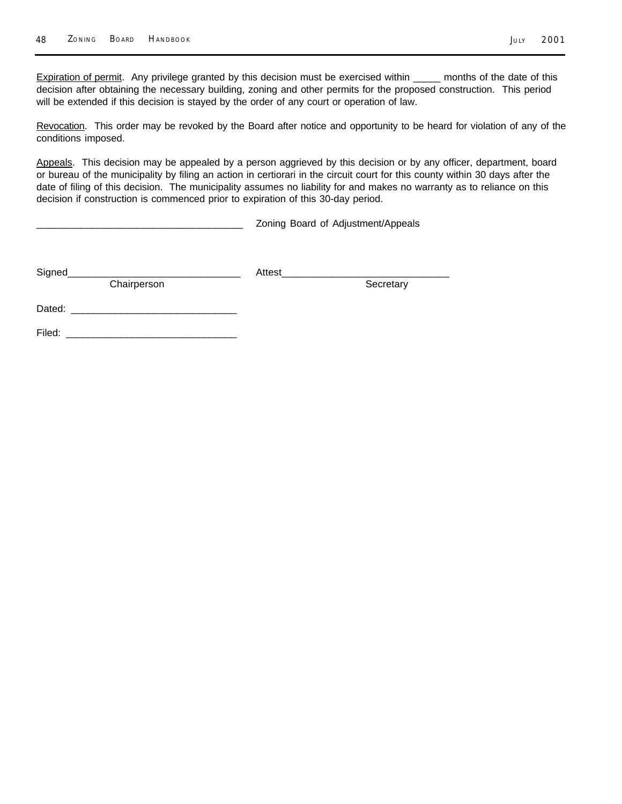Expiration of permit. Any privilege granted by this decision must be exercised within \_\_\_\_\_ months of the date of this decision after obtaining the necessary building, zoning and other permits for the proposed construction. This period

Revocation. This order may be revoked by the Board after notice and opportunity to be heard for violation of any of the conditions imposed.

Appeals. This decision may be appealed by a person aggrieved by this decision or by any officer, department, board or bureau of the municipality by filing an action in certiorari in the circuit court for this county within 30 days after the date of filing of this decision. The municipality assumes no liability for and makes no warranty as to reliance on this decision if construction is commenced prior to expiration of this 30-day period.

Zoning Board of Adjustment/Appeals

| Signed      | Attest |           |
|-------------|--------|-----------|
| Chairperson |        | Secretary |
| Dated:      |        |           |
| Filed:      |        |           |

will be extended if this decision is stayed by the order of any court or operation of law.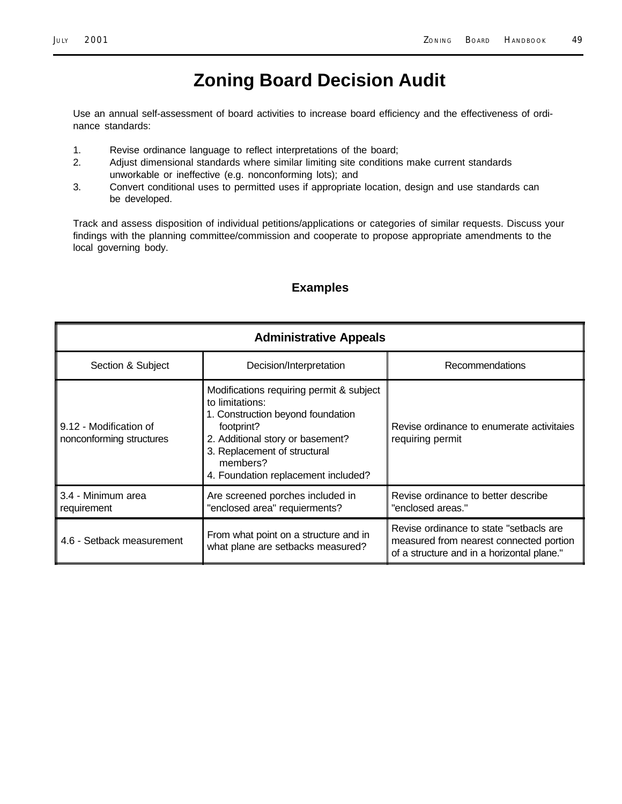Use an annual self-assessment of board activities to increase board efficiency and the effectiveness of ordinance standards:

- 1. Revise ordinance language to reflect interpretations of the board;
- 2. Adjust dimensional standards where similar limiting site conditions make current standards unworkable or ineffective (e.g. nonconforming lots); and
- 3. Convert conditional uses to permitted uses if appropriate location, design and use standards can be developed.

Track and assess disposition of individual petitions/applications or categories of similar requests. Discuss your findings with the planning committee/commission and cooperate to propose appropriate amendments to the local governing body.

#### **Examples**

| <b>Administrative Appeals</b>                      |                                                                                                                                                                                                                                       |                                                                                                                                  |  |  |
|----------------------------------------------------|---------------------------------------------------------------------------------------------------------------------------------------------------------------------------------------------------------------------------------------|----------------------------------------------------------------------------------------------------------------------------------|--|--|
| Section & Subject                                  | Decision/Interpretation                                                                                                                                                                                                               | Recommendations                                                                                                                  |  |  |
| 9.12 - Modification of<br>nonconforming structures | Modifications requiring permit & subject<br>to limitations:<br>1. Construction beyond foundation<br>footprint?<br>2. Additional story or basement?<br>3. Replacement of structural<br>members?<br>4. Foundation replacement included? | Revise ordinance to enumerate activitaies<br>requiring permit                                                                    |  |  |
| 3.4 - Minimum area<br>requirement                  | Are screened porches included in<br>"enclosed area" requierments?                                                                                                                                                                     | Revise ordinance to better describe<br>"enclosed areas."                                                                         |  |  |
| 4.6 - Setback measurement                          | From what point on a structure and in<br>what plane are setbacks measured?                                                                                                                                                            | Revise ordinance to state "setbacls are<br>measured from nearest connected portion<br>of a structure and in a horizontal plane." |  |  |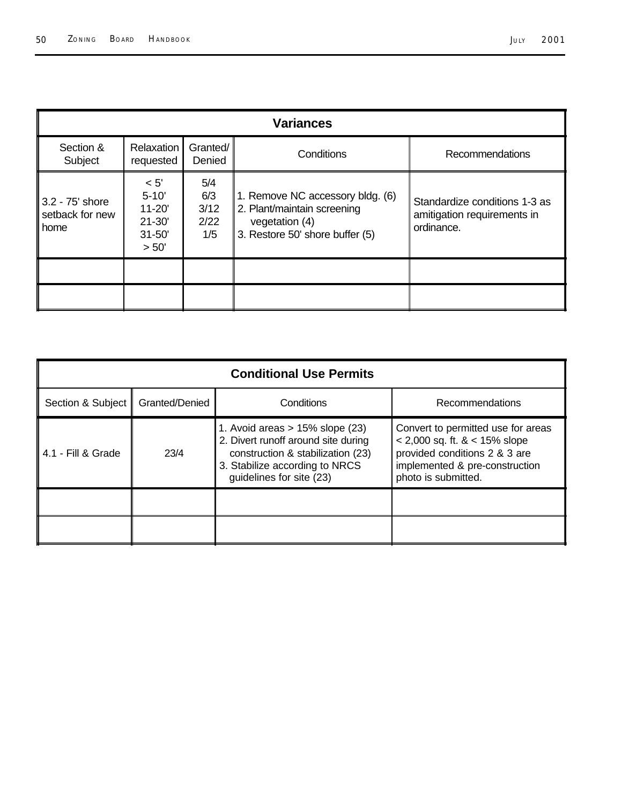| <b>Variances</b>                             |                                                                      |                                   |                                                                                                                      |                                                                            |  |
|----------------------------------------------|----------------------------------------------------------------------|-----------------------------------|----------------------------------------------------------------------------------------------------------------------|----------------------------------------------------------------------------|--|
| Section &<br>Subject                         | Relaxation<br>requested                                              | Granted/<br>Denied                | Conditions                                                                                                           | Recommendations                                                            |  |
| $3.2 - 75'$ shore<br>setback for new<br>home | < 5'<br>$5 - 10'$<br>$11 - 20'$<br>$21 - 30'$<br>$31 - 50'$<br>> 50' | 5/4<br>6/3<br>3/12<br>2/22<br>1/5 | 1. Remove NC accessory bldg. (6)<br>2. Plant/maintain screening<br>vegetation (4)<br>3. Restore 50' shore buffer (5) | Standardize conditions 1-3 as<br>amitigation requirements in<br>ordinance. |  |
|                                              |                                                                      |                                   |                                                                                                                      |                                                                            |  |
|                                              |                                                                      |                                   |                                                                                                                      |                                                                            |  |

| <b>Conditional Use Permits</b> |                |                                                                                                                                                                              |                                                                                                                                                                  |  |  |
|--------------------------------|----------------|------------------------------------------------------------------------------------------------------------------------------------------------------------------------------|------------------------------------------------------------------------------------------------------------------------------------------------------------------|--|--|
| Section & Subject              | Granted/Denied | Conditions                                                                                                                                                                   | Recommendations                                                                                                                                                  |  |  |
| 4.1 - Fill & Grade             | 23/4           | 1. Avoid areas $> 15\%$ slope (23)<br>2. Divert runoff around site during<br>construction & stabilization (23)<br>3. Stabilize according to NRCS<br>guidelines for site (23) | Convert to permitted use for areas<br>$< 2,000$ sq. ft. $< 15\%$ slope<br>provided conditions 2 & 3 are<br>implemented & pre-construction<br>photo is submitted. |  |  |
|                                |                |                                                                                                                                                                              |                                                                                                                                                                  |  |  |
|                                |                |                                                                                                                                                                              |                                                                                                                                                                  |  |  |